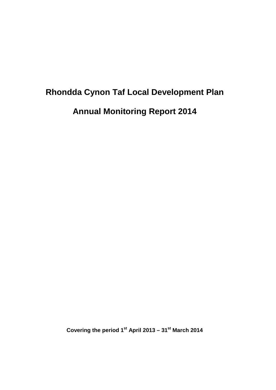# **Rhondda Cynon Taf Local Development Plan Annual Monitoring Report 2014**

**Covering the period 1st April 2013 – 31st March 2014**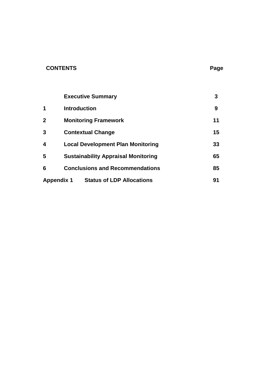# **CONTENTS Page**

|                   | <b>Executive Summary</b>                   | 3  |
|-------------------|--------------------------------------------|----|
| 1                 | <b>Introduction</b>                        | 9  |
| $\mathbf{2}$      | <b>Monitoring Framework</b>                | 11 |
| 3                 | <b>Contextual Change</b>                   | 15 |
| 4                 | <b>Local Development Plan Monitoring</b>   | 33 |
| 5                 | <b>Sustainability Appraisal Monitoring</b> | 65 |
| 6                 | <b>Conclusions and Recommendations</b>     |    |
| <b>Appendix 1</b> | <b>Status of LDP Allocations</b>           | 91 |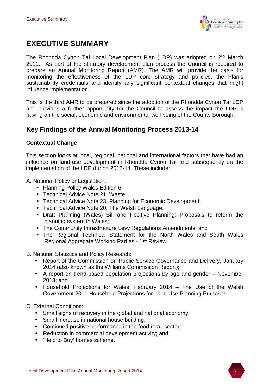

# **EXECUTIVE SUMMARY**

The Rhondda Cynon Taf Local Development Plan (LDP) was adopted on 2<sup>nd</sup> March 2011. As part of the statutory development plan process the Council is required to prepare an Annual Monitoring Report (AMR). The AMR will provide the basis for monitoring the effectiveness of the LDP core strategy and policies, the Plan's sustainability credentials and identify any significant contextual changes that might influence implementation.

This is the third AMR to be prepared since the adoption of the Rhondda Cynon Taf LDP and provides a further opportunity for the Council to assess the impact the LDP is having on the social, economic and environmental well being of the County Borough.

# **Key Findings of the Annual Monitoring Process 2013-14**

#### **Contextual Change**

This section looks at local, regional, national and international factors that have had an influence on land-use development in Rhondda Cynon Taf and subsequently on the implementation of the LDP during 2013-14. These include:

A. National Policy or Legislation:

- Planning Policy Wales Edition 6;
- Technical Advice Note 21, Waste;
- Technical Advice Note 23, Planning for Economic Development;
- Technical Advice Note 20, The Welsh Language;
- Draft Planning (Wales) Bill and Positive Planning: Proposals to reform the planning system in Wales;
- The Community Infrastructure Levy Regulations Amendments; and
- The Regional Technical Statement for the North Wales and South Wales Regional Aggregate Working Parties - 1st Review.

B. National Statistics and Policy Research:

- Report of the Commission on Public Service Governance and Delivery, January 2014 (also known as the Williams Commission Report);
- A report on trend-based population projections by age and gender November 2013; and
- Household Projections for Wales, February 2014 The Use of the Welsh Government 2011 Household Projections for Land Use Planning Purposes.

#### C. External Conditions:

- Small signs of recovery in the global and national economy;
- Small increase in national house building:
- Continued positive performance in the food retail sector;
- Reduction in commercial development activity; and
- 'Help to Buy' homes scheme.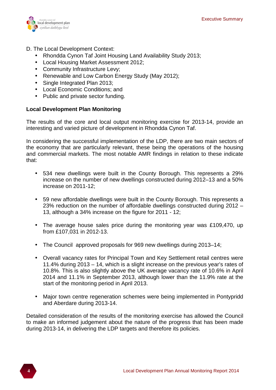

- D. The Local Development Context:
	- Rhondda Cynon Taf Joint Housing Land Availability Study 2013;
	- Local Housing Market Assessment 2012;
	- Community Infrastructure Levy;
	- Renewable and Low Carbon Energy Study (May 2012);
	- Single Integrated Plan 2013;
	- Local Economic Conditions; and
	- Public and private sector funding.

#### **Local Development Plan Monitoring**

The results of the core and local output monitoring exercise for 2013-14, provide an interesting and varied picture of development in Rhondda Cynon Taf.

In considering the successful implementation of the LDP, there are two main sectors of the economy that are particularly relevant, these being the operations of the housing and commercial markets. The most notable AMR findings in relation to these indicate that:

- 534 new dwellings were built in the County Borough. This represents a 29% increase on the number of new dwellings constructed during 2012–13 and a 50% increase on 2011-12;
- 59 new affordable dwellings were built in the County Borough. This represents a 23% reduction on the number of affordable dwellings constructed during 2012 – 13, although a 34% increase on the figure for 2011 - 12;
- The average house sales price during the monitoring year was £109,470, up from £107,031 in 2012-13.
- The Council approved proposals for 969 new dwellings during 2013–14;
- Overall vacancy rates for Principal Town and Key Settlement retail centres were 11.4% during 2013 – 14, which is a slight increase on the previous year's rates of 10.8%. This is also slightly above the UK average vacancy rate of 10.6% in April 2014 and 11.1% in September 2013, although lower than the 11.9% rate at the start of the monitoring period in April 2013.
- Major town centre regeneration schemes were being implemented in Pontypridd and Aberdare during 2013-14.

Detailed consideration of the results of the monitoring exercise has allowed the Council to make an informed judgement about the nature of the progress that has been made during 2013-14, in delivering the LDP targets and therefore its policies.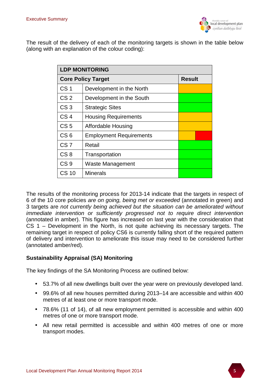

The result of the delivery of each of the monitoring targets is shown in the table below (along with an explanation of the colour coding):

| <b>LDP MONITORING</b>     |                                |  |  |
|---------------------------|--------------------------------|--|--|
| <b>Core Policy Target</b> | <b>Result</b>                  |  |  |
| CS <sub>1</sub>           | Development in the North       |  |  |
| CS <sub>2</sub>           | Development in the South       |  |  |
| CS <sub>3</sub>           | <b>Strategic Sites</b>         |  |  |
| CS <sub>4</sub>           | <b>Housing Requirements</b>    |  |  |
| CS <sub>5</sub>           | Affordable Housing             |  |  |
| CS <sub>6</sub>           | <b>Employment Requirements</b> |  |  |
| CS <sub>7</sub>           | Retail                         |  |  |
| CS <sub>8</sub>           | Transportation                 |  |  |
| CS <sub>9</sub>           | <b>Waste Management</b>        |  |  |
| CS 10                     | <b>Minerals</b>                |  |  |

The results of the monitoring process for 2013-14 indicate that the targets in respect of 6 of the 10 core policies are on going, being met or exceeded (annotated in green) and 3 targets are not currently being achieved but the situation can be ameliorated without immediate intervention or sufficiently progressed not to require direct intervention (annotated in amber). This figure has increased on last year with the consideration that CS 1 – Development in the North, is not quite achieving its necessary targets. The remaining target in respect of policy CS6 is currently falling short of the required pattern of delivery and intervention to ameliorate this issue may need to be considered further (annotated amber/red).

#### **Sustainability Appraisal (SA) Monitoring**

The key findings of the SA Monitoring Process are outlined below:

- 53.7% of all new dwellings built over the year were on previously developed land.
- 99.6% of all new houses permitted during 2013–14 are accessible and within 400 metres of at least one or more transport mode.
- 78.6% (11 of 14), of all new employment permitted is accessible and within 400 metres of one or more transport mode.
- All new retail permitted is accessible and within 400 metres of one or more transport modes.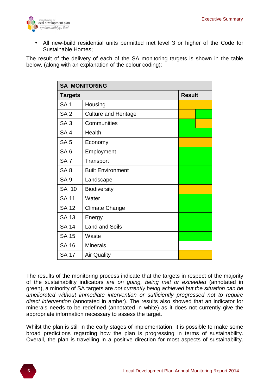

• All new-build residential units permitted met level 3 or higher of the Code for Sustainable Homes;

The result of the delivery of each of the SA monitoring targets is shown in the table below, (along with an explanation of the colour coding):

| <b>SA MONITORING</b> |                             |  |               |  |
|----------------------|-----------------------------|--|---------------|--|
| <b>Targets</b>       |                             |  | <b>Result</b> |  |
| <b>SA1</b>           | Housing                     |  |               |  |
| SA <sub>2</sub>      | <b>Culture and Heritage</b> |  |               |  |
| SA <sub>3</sub>      | Communities                 |  |               |  |
| SA <sub>4</sub>      | Health                      |  |               |  |
| <b>SA 5</b>          | Economy                     |  |               |  |
| SA <sub>6</sub>      | Employment                  |  |               |  |
| SA <sub>7</sub>      | Transport                   |  |               |  |
| SA <sub>8</sub>      | <b>Built Environment</b>    |  |               |  |
| SA <sub>9</sub>      | Landscape                   |  |               |  |
| SA 10                | <b>Biodiversity</b>         |  |               |  |
| <b>SA 11</b>         | Water                       |  |               |  |
| <b>SA 12</b>         | <b>Climate Change</b>       |  |               |  |
| <b>SA 13</b>         | Energy                      |  |               |  |
| <b>SA 14</b>         | <b>Land and Soils</b>       |  |               |  |
| <b>SA 15</b>         | Waste                       |  |               |  |
| <b>SA 16</b>         | <b>Minerals</b>             |  |               |  |
| <b>SA 17</b>         | <b>Air Quality</b>          |  |               |  |

The results of the monitoring process indicate that the targets in respect of the majority of the sustainability indicators are on going, being met or exceeded (annotated in green), a minority of SA targets are not currently being achieved but the situation can be ameliorated without immediate intervention or sufficiently progressed not to require direct intervention (annotated in amber). The results also showed that an indicator for minerals needs to be redefined (annotated in white) as it does not currently give the appropriate information necessary to assess the target.

Whilst the plan is still in the early stages of implementation, it is possible to make some broad predictions regarding how the plan is progressing in terms of sustainability. Overall, the plan is travelling in a positive direction for most aspects of sustainability.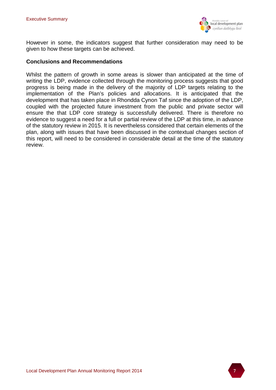

However in some, the indicators suggest that further consideration may need to be given to how these targets can be achieved.

#### **Conclusions and Recommendations**

Whilst the pattern of growth in some areas is slower than anticipated at the time of writing the LDP, evidence collected through the monitoring process suggests that good progress is being made in the delivery of the majority of LDP targets relating to the implementation of the Plan's policies and allocations. It is anticipated that the development that has taken place in Rhondda Cynon Taf since the adoption of the LDP, coupled with the projected future investment from the public and private sector will ensure the that LDP core strategy is successfully delivered. There is therefore no evidence to suggest a need for a full or partial review of the LDP at this time, in advance of the statutory review in 2015. It is nevertheless considered that certain elements of the plan, along with issues that have been discussed in the contextual changes section of this report, will need to be considered in considerable detail at the time of the statutory review.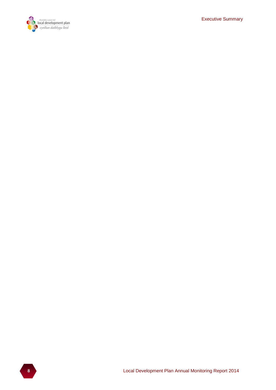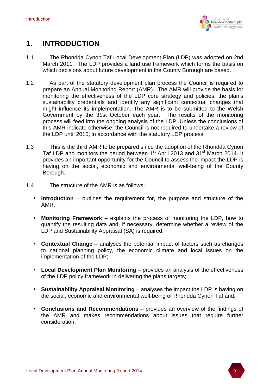

# **1. INTRODUCTION**

- 1.1 The Rhondda Cynon Taf Local Development Plan (LDP) was adopted on 2nd March 2011. The LDP provides a land use framework which forms the basis on which decisions about future development in the County Borough are based.
- 1.2 As part of the statutory development plan process the Council is required to prepare an Annual Monitoring Report (AMR). The AMR will provide the basis for monitoring the effectiveness of the LDP core strategy and policies, the plan's sustainability credentials and identify any significant contextual changes that might influence its implementation. The AMR is to be submitted to the Welsh Government by the 31st October each year. The results of the monitoring process will feed into the ongoing analysis of the LDP. Unless the conclusions of this AMR indicate otherwise, the Council is not required to undertake a review of the LDP until 2015, in accordance with the statutory LDP process.
- 1.3 This is the third AMR to be prepared since the adoption of the Rhondda Cynon Taf LDP and monitors the period between 1<sup>st</sup> April 2013 and 31<sup>st</sup> March 2014. It provides an important opportunity for the Council to assess the impact the LDP is having on the social, economic and environmental well-being of the County Borough.
- 1.4 The structure of the AMR is as follows;
	- **Introduction** outlines the requirement for, the purpose and structure of the AMR;
	- **Monitoring Framework** explains the process of monitoring the LDP, how to quantify the resulting data and, if necessary, determine whether a review of the LDP and Sustainability Appraisal (SA) is required;
	- **Contextual Change** analyses the potential impact of factors such as changes to national planning policy, the economic climate and local issues on the implementation of the LDP;
	- **Local Development Plan Monitoring** provides an analysis of the effectiveness of the LDP policy framework in delivering the plans targets;
	- **Sustainability Appraisal Monitoring** analyses the impact the LDP is having on the social, economic and environmental well-being of Rhondda Cynon Taf and;
	- **Conclusions and Recommendations** provides an overview of the findings of the AMR and makes recommendations about issues that require further consideration.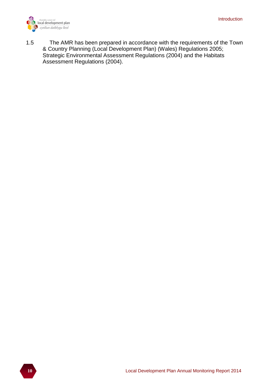

1.5 The AMR has been prepared in accordance with the requirements of the Town & Country Planning (Local Development Plan) (Wales) Regulations 2005; Strategic Environmental Assessment Regulations (2004) and the Habitats Assessment Regulations (2004).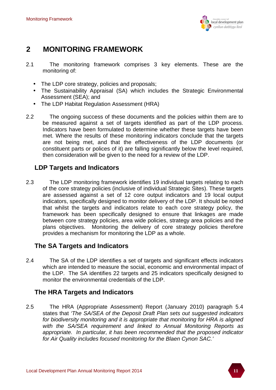

# **2 MONITORING FRAMEWORK**

- 2.1 The monitoring framework comprises 3 key elements. These are the monitoring of:
	- The LDP core strategy, policies and proposals:
	- The Sustainability Appraisal (SA) which includes the Strategic Environmental Assessment (SEA); and
	- The LDP Habitat Regulation Assessment (HRA)
- 2.2 The ongoing success of these documents and the policies within them are to be measured against a set of targets identified as part of the LDP process. Indicators have been formulated to determine whether these targets have been met. Where the results of these monitoring indicators conclude that the targets are not being met, and that the effectiveness of the LDP documents (or constituent parts or polices of it) are falling significantly below the level required, then consideration will be given to the need for a review of the LDP.

# **LDP Targets and Indicators**

2.3 The LDP monitoring framework identifies 19 individual targets relating to each of the core strategy policies (inclusive of individual Strategic Sites). These targets are assessed against a set of 12 core output indicators and 19 local output indicators, specifically designed to monitor delivery of the LDP. It should be noted that whilst the targets and indicators relate to each core strategy policy, the framework has been specifically designed to ensure that linkages are made between core strategy policies, area wide policies, strategy area policies and the plans objectives. Monitoring the delivery of core strategy policies therefore provides a mechanism for monitoring the LDP as a whole.

## **The SA Targets and Indicators**

2.4 The SA of the LDP identifies a set of targets and significant effects indicators which are intended to measure the social, economic and environmental impact of the LDP. The SA identifies 22 targets and 25 indicators specifically designed to monitor the environmental credentials of the LDP.

# **The HRA Targets and Indicators**

2.5 The HRA (Appropriate Assessment) Report (January 2010) paragraph 5.4 states that 'The SA/SEA of the Deposit Draft Plan sets out suggested indicators for biodiversity monitoring and it is appropriate that monitoring for HRA is aligned with the SA/SEA requirement and linked to Annual Monitoring Reports as appropriate. In particular, it has been recommended that the proposed indicator for Air Quality includes focused monitoring for the Blaen Cynon SAC.'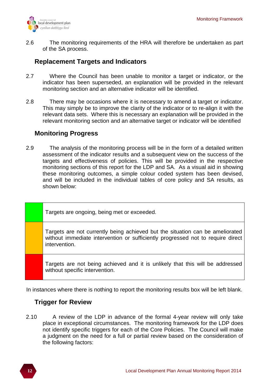

2.6 The monitoring requirements of the HRA will therefore be undertaken as part of the SA process.

# **Replacement Targets and Indicators**

- 2.7 Where the Council has been unable to monitor a target or indicator, or the indicator has been superseded, an explanation will be provided in the relevant monitoring section and an alternative indicator will be identified.
- 2.8 There may be occasions where it is necessary to amend a target or indicator. This may simply be to improve the clarity of the indicator or to re-align it with the relevant data sets. Where this is necessary an explanation will be provided in the relevant monitoring section and an alternative target or indicator will be identified

## **Monitoring Progress**

2.9 The analysis of the monitoring process will be in the form of a detailed written assessment of the indicator results and a subsequent view on the success of the targets and effectiveness of policies. This will be provided in the respective monitoring sections of this report for the LDP and SA. As a visual aid in showing these monitoring outcomes, a simple colour coded system has been devised, and will be included in the individual tables of core policy and SA results, as shown below:

Targets are ongoing, being met or exceeded.

Targets are not currently being achieved but the situation can be ameliorated without immediate intervention or sufficiently progressed not to require direct intervention.

Targets are not being achieved and it is unlikely that this will be addressed without specific intervention.

In instances where there is nothing to report the monitoring results box will be left blank.

## **Trigger for Review**

2.10 A review of the LDP in advance of the formal 4-year review will only take place in exceptional circumstances. The monitoring framework for the LDP does not identify specific triggers for each of the Core Policies. The Council will make a judgment on the need for a full or partial review based on the consideration of the following factors: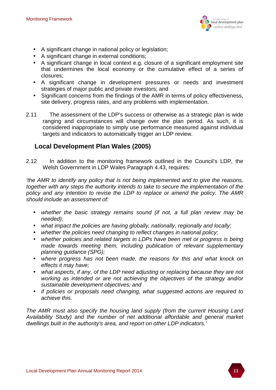

- A significant change in national policy or legislation;
- A significant change in external conditions;
- A significant change in local context e.g. closure of a significant employment site that undermines the local economy or the cumulative effect of a series of closures;
- A significant change in development pressures or needs and investment strategies of major public and private investors; and
- Significant concerns from the findings of the AMR in terms of policy effectiveness, site delivery, progress rates, and any problems with implementation.
- 2.11 The assessment of the LDP's success or otherwise as a strategic plan is wide ranging and circumstances will change over the plan period. As such, it is considered inappropriate to simply use performance measured against individual targets and indicators to automatically trigger an LDP review.

# **Local Development Plan Wales (2005)**

2.12 In addition to the monitoring framework outlined in the Council's LDP, the Welsh Government in LDP Wales Paragraph 4.43, requires:

'the AMR to identify any policy that is not being implemented and to give the reasons, together with any steps the authority intends to take to secure the implementation of the policy and any intention to revise the LDP to replace or amend the policy. The AMR should include an assessment of:

- whether the basic strategy remains sound (if not, a full plan review may be needed);
- what impact the policies are having globally, nationally, regionally and locally;
- whether the policies need changing to reflect changes in national policy;
- whether policies and related targets in LDPs have been met or progress is being made towards meeting them, including publication of relevant supplementary planning guidance (SPG);
- where progress has not been made, the reasons for this and what knock on effects it may have;
- what aspects, if any, of the LDP need adjusting or replacing because they are not working as intended or are not achieving the objectives of the strategy and/or sustainable development objectives; and
- if policies or proposals need changing, what suggested actions are required to achieve this.

The AMR must also specify the housing land supply (from the current Housing Land Availability Study) and the number of net additional affordable and general market dwellings built in the authority's area, and report on other LDP indicators.'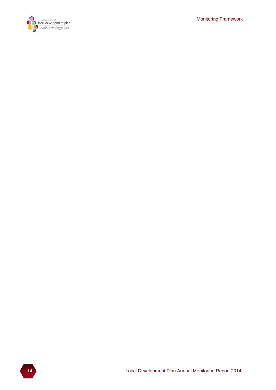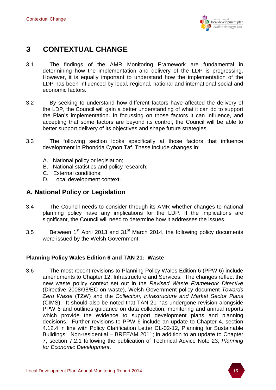

# **3 CONTEXTUAL CHANGE**

- 3.1 The findings of the AMR Monitoring Framework are fundamental in determining how the implementation and delivery of the LDP is progressing. However, it is equally important to understand how the implementation of the LDP has been influenced by local, regional, national and international social and economic factors.
- 3.2 By seeking to understand how different factors have affected the delivery of the LDP, the Council will gain a better understanding of what it can do to support the Plan's implementation. In focussing on those factors it can influence, and accepting that some factors are beyond its control, the Council will be able to better support delivery of its objectives and shape future strategies.
- 3.3 The following section looks specifically at those factors that influence development in Rhondda Cynon Taf. These include changes in:
	- A. National policy or legislation;
	- B. National statistics and policy research;
	- C. External conditions;
	- D. Local development context.

### **A. National Policy or Legislation**

- 3.4 The Council needs to consider through its AMR whether changes to national planning policy have any implications for the LDP. If the implications are significant, the Council will need to determine how it addresses the issues.
- 3.5 Between  $1<sup>st</sup>$  April 2013 and 31 $<sup>st</sup>$  March 2014, the following policy documents</sup> were issued by the Welsh Government:

#### **Planning Policy Wales Edition 6 and TAN 21: Waste**

3.6 The most recent revisions to Planning Policy Wales Edition 6 (PPW 6) include amendments to Chapter 12: Infrastructure and Services. The changes reflect the new waste policy context set out in the Revised Waste Framework Directive (Directive 2008/98/EC on waste), Welsh Government policy document Towards Zero Waste (TZW) and the Collection, Infrastructure and Market Sector Plans (CIMS). It should also be noted that TAN 21 has undergone revision alongside PPW 6 and outlines guidance on data collection, monitoring and annual reports which provide the evidence to support development plans and planning decisions. Further revisions to PPW 6 include an update to Chapter 4, section 4.12.4 in line with Policy Clarification Letter CL-02-12, Planning for Sustainable Buildings: Non-residential – BREEAM 2011; in addition to an update to Chapter 7, section 7.2.1 following the publication of Technical Advice Note 23, Planning for Economic Development.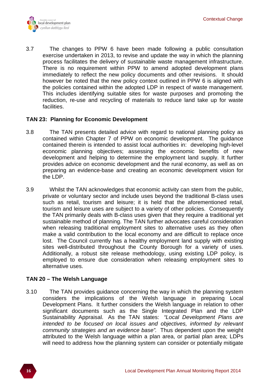

3.7 The changes to PPW 6 have been made following a public consultation exercise undertaken in 2013, to revise and update the way in which the planning process facilitates the delivery of sustainable waste management infrastructure. There is no requirement within PPW to amend adopted development plans immediately to reflect the new policy documents and other revisions. It should however be noted that the new policy context outlined in PPW 6 is aligned with the policies contained within the adopted LDP in respect of waste management. This includes identifying suitable sites for waste purposes and promoting the reduction, re-use and recycling of materials to reduce land take up for waste facilities.

#### **TAN 23: Planning for Economic Development**

- 3.8 The TAN presents detailed advice with regard to national planning policy as contained within Chapter 7 of PPW on economic development. The guidance contained therein is intended to assist local authorities in: developing high-level economic planning objectives; assessing the economic benefits of new development and helping to determine the employment land supply. It further provides advice on economic development and the rural economy, as well as on preparing an evidence-base and creating an economic development vision for the LDP.
- 3.9 Whilst the TAN acknowledges that economic activity can stem from the public, private or voluntary sector and include uses beyond the traditional B-class uses such as retail, tourism and leisure; it is held that the aforementioned retail, tourism and leisure uses are subject to a variety of other policies. Consequently the TAN primarily deals with B-class uses given that they require a traditional yet sustainable method of planning. The TAN further advocates careful consideration when releasing traditional employment sites to alternative uses as they often make a valid contribution to the local economy and are difficult to replace once lost. The Council currently has a healthy employment land supply with existing sites well-distributed throughout the County Borough for a variety of uses. Additionally, a robust site release methodology, using existing LDP policy, is employed to ensure due consideration when releasing employment sites to alternative uses.

#### **TAN 20 – The Welsh Language**

3.10 The TAN provides guidance concerning the way in which the planning system considers the implications of the Welsh language in preparing Local Development Plans. It further considers the Welsh language in relation to other significant documents such as the Single Integrated Plan and the LDP Sustainability Appraisal. As the TAN states: "Local Development Plans are intended to be focused on local issues and objectives, informed by relevant community strategies and an evidence base". Thus dependent upon the weight attributed to the Welsh language within a plan area, or partial plan area; LDPs will need to address how the planning system can consider or potentially mitigate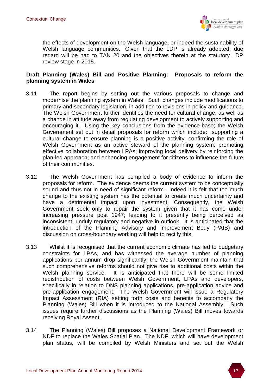

the effects of development on the Welsh language, or indeed the sustainability of Welsh language communities. Given that the LDP is already adopted; due regard will be had to TAN 20 and the objectives therein at the statutory LDP review stage in 2015.

#### **Draft Planning (Wales) Bill and Positive Planning: Proposals to reform the planning system in Wales**

- 3.11 The report begins by setting out the various proposals to change and modernise the planning system in Wales. Such changes include modifications to primary and secondary legislation, in addition to revisions in policy and guidance. The Welsh Government further identifies the need for cultural change, as well as a change in attitude away from regulating development to actively supporting and encouraging it. Using the key conclusions from the evidence-base; the Welsh Government set out in detail proposals for reform which include: supporting a cultural change to ensure planning is a positive activity; confirming the role of Welsh Government as an active steward of the planning system; promoting effective collaboration between LPAs; improving local delivery by reinforcing the plan-led approach; and enhancing engagement for citizens to influence the future of their communities.
- 3.12 The Welsh Government has compiled a body of evidence to inform the proposals for reform. The evidence deems the current system to be conceptually sound and thus not in need of significant reform. Indeed it is felt that too much change to the existing system has the potential to create much uncertainty and have a detrimental impact upon investment. Consequently, the Welsh Government seek only to repair the system given that it has come under increasing pressure post 1947; leading to it presently being perceived as inconsistent, unduly regulatory and negative in outlook. It is anticipated that the introduction of the Planning Advisory and Improvement Body (PAIB) and discussion on cross-boundary working will help to rectify this.
- 3.13 Whilst it is recognised that the current economic climate has led to budgetary constraints for LPAs, and has witnessed the average number of planning applications per annum drop significantly; the Welsh Government maintain that such comprehensive reforms should not give rise to additional costs within the Welsh planning service. It is anticipated that there will be some limited redistribution of costs between Welsh Government, LPAs and developers, specifically in relation to DNS planning applications, pre-application advice and pre-application engagement. The Welsh Government will issue a Regulatory Impact Assessment (RIA) setting forth costs and benefits to accompany the Planning (Wales) Bill when it is introduced to the National Assembly. Such issues require further discussions as the Planning (Wales) Bill moves towards receiving Royal Assent.
- 3.14 The Planning (Wales) Bill proposes a National Development Framework or NDF to replace the Wales Spatial Plan. The NDF, which will have development plan status, will be compiled by Welsh Ministers and set out the Welsh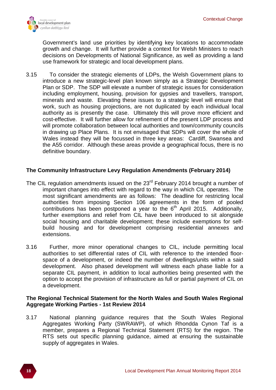

Government's land use priorities by identifying key locations to accommodate growth and change. It will further provide a context for Welsh Ministers to reach decisions on Developments of National Significance, as well as providing a land use framework for strategic and local development plans.

3.15 To consider the strategic elements of LDPs, the Welsh Government plans to introduce a new strategic-level plan known simply as a Strategic Development Plan or SDP. The SDP will elevate a number of strategic issues for consideration including employment, housing, provision for gypsies and travellers, transport, minerals and waste. Elevating these issues to a strategic level will ensure that work, such as housing projections, are not duplicated by each individual local authority as is presently the case. Ultimately this will prove more efficient and cost-effective. It will further allow for refinement of the present LDP process and will promote collaboration between local authorities and town/community councils in drawing up Place Plans. It is not envisaged that SDPs will cover the whole of Wales instead they will be focussed in three key areas: Cardiff, Swansea and the A55 corridor. Although these areas provide a geographical focus, there is no definitive boundary.

#### **The Community Infrastructure Levy Regulation Amendments (February 2014)**

- The CIL regulation amendments issued on the  $23<sup>rd</sup>$  February 2014 brought a number of important changes into effect with regard to the way in which CIL operates. The most significant amendments are as follows: The deadline for restricting local authorities from imposing Section 106 agreements in the form of pooled contributions has been postponed a year to the  $6<sup>th</sup>$  April 2015. Additionally, further exemptions and relief from CIL have been introduced to sit alongside social housing and charitable development; these include exemptions for selfbuild housing and for development comprising residential annexes and extensions.
- 3.16 Further, more minor operational changes to CIL, include permitting local authorities to set differential rates of CIL with reference to the intended floorspace of a development, or indeed the number of dwellings/units within a said development. Also phased development will witness each phase liable for a separate CIL payment, in addition to local authorities being presented with the option to accept the provision of infrastructure as full or partial payment of CIL on a development.

#### **The Regional Technical Statement for the North Wales and South Wales Regional Aggregate Working Parties - 1st Review 2014**

3.17 National planning guidance requires that the South Wales Regional Aggregates Working Party (SWRAWP), of which Rhondda Cynon Taf is a member, prepares a Regional Technical Statement (RTS) for the region. The RTS sets out specific planning guidance, aimed at ensuring the sustainable supply of aggregates in Wales.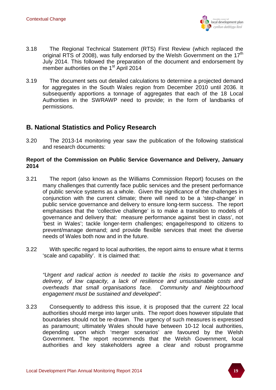

- 3.18 The Regional Technical Statement (RTS) First Review (which replaced the original RTS of 2008), was fully endorsed by the Welsh Government on the  $17<sup>th</sup>$ July 2014. This followed the preparation of the document and endorsement by member authorities on the 1<sup>st</sup> April 2014
- 3.19 The document sets out detailed calculations to determine a projected demand for aggregates in the South Wales region from December 2010 until 2036. It subsequently apportions a tonnage of aggregates that each of the 18 Local Authorities in the SWRAWP need to provide; in the form of landbanks of permissions.

## **B. National Statistics and Policy Research**

3.20 The 2013-14 monitoring year saw the publication of the following statistical and research documents:

#### **Report of the Commission on Public Service Governance and Delivery, January 2014**

- 3.21 The report (also known as the Williams Commission Report) focuses on the many challenges that currently face public services and the present performance of public service systems as a whole. Given the significance of the challenges in conjunction with the current climate; there will need to be a 'step-change' in public service governance and delivery to ensure long-term success. The report emphasises that the 'collective challenge' is to make a transition to models of governance and delivery that: measure performance against 'best in class', not 'best in Wales'; tackle longer-term challenges; engage/respond to citizens to prevent/manage demand; and provide flexible services that meet the diverse needs of Wales both now and in the future.
- 3.22 With specific regard to local authorities, the report aims to ensure what it terms 'scale and capability'. It is claimed that:

"Urgent and radical action is needed to tackle the risks to governance and delivery, of low capacity, a lack of resilience and unsustainable costs and overheads that small organisations face. Community and Neighbourhood engagement must be sustained and developed".

3.23 Consequently to address this issue, it is proposed that the current 22 local authorities should merge into larger units. The report does however stipulate that boundaries should not be re-drawn. The urgency of such measures is expressed as paramount; ultimately Wales should have between 10-12 local authorities, depending upon which 'merger scenarios' are favoured by the Welsh Government. The report recommends that the Welsh Government, local authorities and key stakeholders agree a clear and robust programme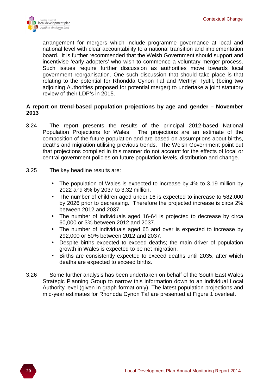

arrangement for mergers which include programme governance at local and national level with clear accountability to a national transition and implementation board. It is further recommended that the Welsh Government should support and incentivise 'early adopters' who wish to commence a voluntary merger process. Such issues require further discussion as authorities move towards local government reorganisation. One such discussion that should take place is that relating to the potential for Rhondda Cynon Taf and Merthyr Tydfil, (being two adjoining Authorities proposed for potential merger) to undertake a joint statutory review of their LDP's in 2015.

#### **A report on trend-based population projections by age and gender – November 2013**

- 3.24 The report presents the results of the principal 2012-based National Population Projections for Wales. The projections are an estimate of the composition of the future population and are based on assumptions about births, deaths and migration utilising previous trends. The Welsh Government point out that projections compiled in this manner do not account for the effects of local or central government policies on future population levels, distribution and change.
- 3.25 The key headline results are:
	- The population of Wales is expected to increase by 4% to 3.19 million by 2022 and 8% by 2037 to 3.32 million.
	- The number of children aged under 16 is expected to increase to 582,000 by 2026 prior to decreasing. Therefore the projected increase is circa 2% between 2012 and 2037.
	- The number of individuals aged 16-64 is projected to decrease by circa 60,000 or 3% between 2012 and 2037.
	- The number of individuals aged 65 and over is expected to increase by 292,000 or 50% between 2012 and 2037.
	- Despite births expected to exceed deaths; the main driver of population growth in Wales is expected to be net migration.
	- Births are consistently expected to exceed deaths until 2035, after which deaths are expected to exceed births.
- 3.26 Some further analysis has been undertaken on behalf of the South East Wales Strategic Planning Group to narrow this information down to an individual Local Authority level (given in graph format only). The latest population projections and mid-year estimates for Rhondda Cynon Taf are presented at Figure 1 overleaf.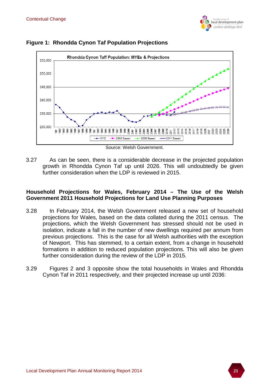



**Figure 1: Rhondda Cynon Taf Population Projections**

Source: Welsh Government.

3.27 As can be seen, there is a considerable decrease in the projected population growth in Rhondda Cynon Taf up until 2026. This will undoubtedly be given further consideration when the LDP is reviewed in 2015.

#### **Household Projections for Wales, February 2014 – The Use of the Welsh Government 2011 Household Projections for Land Use Planning Purposes**

- 3.28 In February 2014, the Welsh Government released a new set of household projections for Wales, based on the data collated during the 2011 census. The projections, which the Welsh Government has stressed should not be used in isolation, indicate a fall in the number of new dwellings required per annum from previous projections. This is the case for all Welsh authorities with the exception of Newport. This has stemmed, to a certain extent, from a change in household formations in addition to reduced population projections. This will also be given further consideration during the review of the LDP in 2015.
- 3.29 Figures 2 and 3 opposite show the total households in Wales and Rhondda Cynon Taf in 2011 respectively, and their projected increase up until 2036: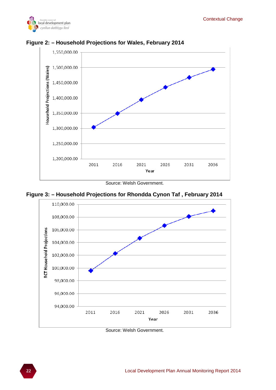



**Figure 2: – Household Projections for Wales, February 2014** 

Source: Welsh Government.





Source: Welsh Government.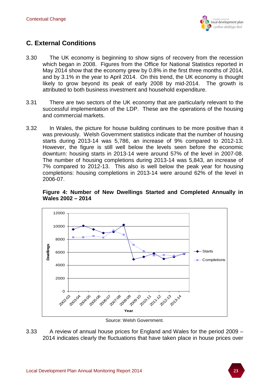

# **C. External Conditions**

- 3.30 The UK economy is beginning to show signs of recovery from the recession which began in 2008. Figures from the Office for National Statistics reported in May 2014 show that the economy grew by 0.8% in the first three months of 2014, and by 3.1% in the year to April 2014. On this trend, the UK economy is thought likely to grow beyond its peak of early 2008 by mid-2014. The growth is attributed to both business investment and household expenditure.
- 3.31 There are two sectors of the UK economy that are particularly relevant to the successful implementation of the LDP. These are the operations of the housing and commercial markets.
- 3.32 In Wales, the picture for house building continues to be more positive than it was previously. Welsh Government statistics indicate that the number of housing starts during 2013-14 was 5,786, an increase of 9% compared to 2012-13. However, the figure is still well below the levels seen before the economic downturn: housing starts in 2013-14 were around 57% of the level in 2007-08. The number of housing completions during 2013-14 was 5,843, an increase of 7% compared to 2012-13. This also is well below the peak year for housing completions: housing completions in 2013-14 were around 62% of the level in 2006-07.



**Figure 4: Number of New Dwellings Started and Completed Annually in Wales 2002 – 2014** 

3.33 A review of annual house prices for England and Wales for the period 2009 – 2014 indicates clearly the fluctuations that have taken place in house prices over

Source: Welsh Government.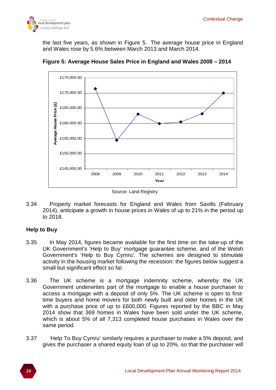

the last five years, as shown in Figure 5. The average house price in England and Wales rose by 5.6% between March 2013 and March 2014.





3.34 Property market forecasts for England and Wales from Savills (February 2014), anticipate a growth in house prices in Wales of up to 21% in the period up to 2018.

#### **Help to Buy**

- 3.35 In May 2014, figures became available for the first time on the take-up of the UK Government's 'Help to Buy' mortgage guarantee scheme, and of the Welsh Government's 'Help to Buy Cymru'. The schemes are designed to stimulate activity in the housing market following the recession: the figures below suggest a small but significant effect so far.
- 3.36 The UK scheme is a mortgage indemnity scheme, whereby the UK Government underwrites part of the mortgage to enable a house purchaser to access a mortgage with a deposit of only 5%. The UK scheme is open to firsttime buyers and home movers for both newly built and older homes in the UK with a purchase price of up to £600,000. Figures reported by the BBC in May 2014 show that 369 homes in Wales have been sold under the UK scheme, which is about 5% of all 7,313 completed house purchases in Wales over the same period.
- 3.37 'Help To Buy Cymru' similarly requires a purchaser to make a 5% deposit, and gives the purchaser a shared equity loan of up to 20%, so that the purchaser will

Source: Land Registry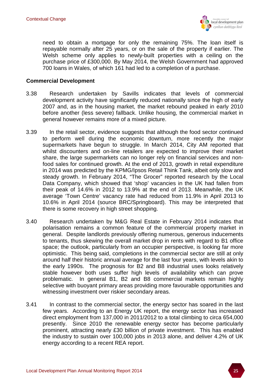

need to obtain a mortgage for only the remaining 75%. The loan itself is repayable normally after 25 years, or on the sale of the property if earlier. The Welsh scheme only applies to newly-built properties with a ceiling on the purchase price of £300,000. By May 2014, the Welsh Government had approved 700 loans in Wales, of which 161 had led to a completion of a purchase.

#### **Commercial Development**

- 3.38 Research undertaken by Savills indicates that levels of commercial development activity have significantly reduced nationally since the high of early 2007 and, as in the housing market, the market rebound peaked in early 2010 before another (less severe) fallback. Unlike housing, the commercial market in general however remains more of a mixed picture.
- 3.39 In the retail sector, evidence suggests that although the food sector continued to perform well during the economic downturn, more recently the major supermarkets have begun to struggle. In March 2014, City AM reported that whilst discounters and on-line retailers are expected to improve their market share, the large supermarkets can no longer rely on financial services and nonfood sales for continued growth. At the end of 2013, growth in retail expenditure in 2014 was predicted by the KPMG/Ipsos Retail Think Tank, albeit only slow and steady growth. In February 2014, "The Grocer" reported research by the Local Data Company, which showed that 'shop' vacancies in the UK had fallen from their peak of 14.6% in 2012 to 13.9% at the end of 2013. Meanwhile, the UK average 'Town Centre' vacancy rate had reduced from 11.9% in April 2013 to 10.6% in April 2014 (source BRC/Springboard). This may be interpreted that there is some recovery in high street shopping.
- 3.40 Research undertaken by M&G Real Estate in February 2014 indicates that polarisation remains a common feature of the commercial property market in general. Despite landlords previously offering numerous, generous inducements to tenants, thus skewing the overall market drop in rents with regard to B1 office space; the outlook, particularly from an occupier perspective, is looking far more optimistic. This being said, completions in the commercial sector are still at only around half their historic annual average for the last four years, with levels akin to the early 1990s. The prognosis for B2 and B8 industrial uses looks relatively stable however both uses suffer high levels of availability which can prove problematic. In general B1, B2 and B8 commercial markets remain highly selective with buoyant primary areas providing more favourable opportunities and witnessing investment over riskier secondary areas.
- 3.41 In contrast to the commercial sector, the energy sector has soared in the last few years. According to an Energy UK report, the energy sector has increased direct employment from 137,000 in 2011/2012 to a total climbing to circa 654,000 presently. Since 2010 the renewable energy sector has become particularly prominent, attracting nearly £30 billion of private investment. This has enabled the industry to sustain over 100,000 jobs in 2013 alone, and deliver 4.2% of UK energy according to a recent REA report.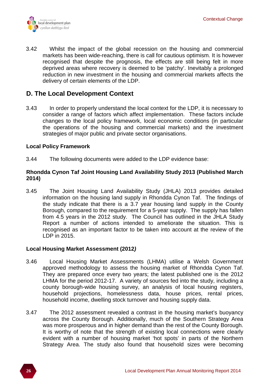

3.42 Whilst the impact of the global recession on the housing and commercial markets has been wide-reaching, there is call for cautious optimism. It is however recognised that despite the prognosis, the effects are still being felt in more deprived areas where recovery is deemed to be 'patchy'. Inevitably a prolonged reduction in new investment in the housing and commercial markets affects the delivery of certain elements of the LDP.

# **D. The Local Development Context**

3.43 In order to properly understand the local context for the LDP, it is necessary to consider a range of factors which affect implementation. These factors include changes to the local policy framework, local economic conditions (in particular the operations of the housing and commercial markets) and the investment strategies of major public and private sector organisations.

#### **Local Policy Framework**

3.44 The following documents were added to the LDP evidence base:

#### **Rhondda Cynon Taf Joint Housing Land Availability Study 2013 (Published March 2014)**

3.45 The Joint Housing Land Availability Study (JHLA) 2013 provides detailed information on the housing land supply in Rhondda Cynon Taf. The findings of the study indicate that there is a 3.7 year housing land supply in the County Borough, compared to the requirement for a 5-year supply. The supply has fallen from 4.5 years in the 2012 study. The Council has outlined in the JHLA Study Report a number of actions intended to ameliorate the situation. This is recognised as an important factor to be taken into account at the review of the LDP in 2015.

#### **Local Housing Market Assessment (2012)**

- 3.46 Local Housing Market Assessments (LHMA) utilise a Welsh Government approved methodology to assess the housing market of Rhondda Cynon Taf. They are prepared once every two years; the latest published one is the 2012 LHMA for the period 2012-17. A variety of sources fed into the study, including a county borough-wide housing survey, an analysis of local housing registers, household projections, homelessness data, house prices, rental prices, household income, dwelling stock turnover and housing supply data.
- 3.47 The 2012 assessment revealed a contrast in the housing market's buoyancy across the County Borough. Additionally, much of the Southern Strategy Area was more prosperous and in higher demand than the rest of the County Borough. It is worthy of note that the strength of existing local connections were clearly evident with a number of housing market 'hot spots' in parts of the Northern Strategy Area. The study also found that household sizes were becoming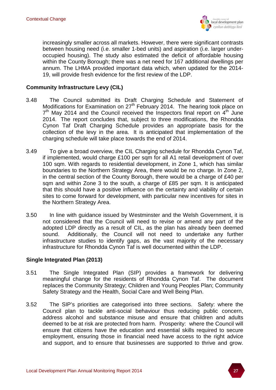

increasingly smaller across all markets. However, there were significant contrasts between housing need (i.e. smaller 1-bed units) and aspiration (i.e. larger underoccupied housing). The study also estimated the deficit of affordable housing within the County Borough; there was a net need for 167 additional dwellings per annum. The LHMA provided important data which, when updated for the 2014- 19, will provide fresh evidence for the first review of the LDP.

#### **Community Infrastructure Levy (CIL)**

- 3.48 The Council submitted its Draft Charging Schedule and Statement of Modifications for Examination on  $27<sup>th</sup>$  February 2014. The hearing took place on 7<sup>th</sup> May 2014 and the Council received the Inspectors final report on 4<sup>th</sup> June 2014. The report concludes that, subject to three modifications, the Rhondda Cynon Taf Draft Charging Schedule provides an appropriate basis for the collection of the levy in the area. It is anticipated that implementation of the charging schedule will take place towards the end of 2014.
- 3.49 To give a broad overview, the CIL Charging schedule for Rhondda Cynon Taf, if implemented, would charge £100 per sqm for all A1 retail development of over 100 sqm. With regards to residential development, in Zone 1, which has similar boundaries to the Northern Strategy Area, there would be no charge. In Zone 2, in the central section of the County Borough, there would be a charge of £40 per sqm and within Zone 3 to the south, a charge of £85 per sqm. It is anticipated that this should have a positive influence on the certainty and viability of certain sites to come forward for development, with particular new incentives for sites in the Northern Strategy Area.
- 3.50 In line with guidance issued by Westminster and the Welsh Government, it is not considered that the Council will need to revise or amend any part of the adopted LDP directly as a result of CIL, as the plan has already been deemed sound. Additionally, the Council will not need to undertake any further infrastructure studies to identify gaps, as the vast majority of the necessary infrastructure for Rhondda Cynon Taf is well documented within the LDP.

#### **Single Integrated Plan (2013)**

- 3.51 The Single Integrated Plan (SIP) provides a framework for delivering meaningful change for the residents of Rhondda Cynon Taf. The document replaces the Community Strategy; Children and Young Peoples Plan; Community Safety Strategy and the Health, Social Care and Well Being Plan.
- 3.52 The SIP's priorities are categorised into three sections. Safety: where the Council plan to tackle anti-social behaviour thus reducing public concern, address alcohol and substance misuse and ensure that children and adults deemed to be at risk are protected from harm. Prosperity: where the Council will ensure that citizens have the education and essential skills required to secure employment, ensuring those in financial need have access to the right advice and support, and to ensure that businesses are supported to thrive and grow.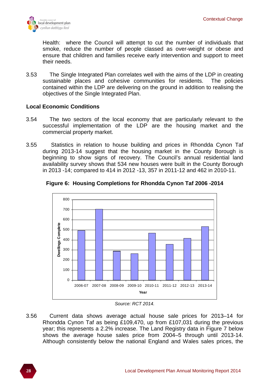

Health: where the Council will attempt to cut the number of individuals that smoke, reduce the number of people classed as over-weight or obese and ensure that children and families receive early intervention and support to meet their needs.

3.53 The Single Integrated Plan correlates well with the aims of the LDP in creating sustainable places and cohesive communities for residents. The policies contained within the LDP are delivering on the ground in addition to realising the objectives of the Single Integrated Plan.

#### **Local Economic Conditions**

- 3.54 The two sectors of the local economy that are particularly relevant to the successful implementation of the LDP are the housing market and the commercial property market.
- 3.55 Statistics in relation to house building and prices in Rhondda Cynon Taf during 2013-14 suggest that the housing market in the County Borough is beginning to show signs of recovery. The Council's annual residential land availability survey shows that 534 new houses were built in the County Borough in 2013 -14; compared to 414 in 2012 -13, 357 in 2011-12 and 462 in 2010-11.





3.56 Current data shows average actual house sale prices for 2013–14 for Rhondda Cynon Taf as being £109,470, up from £107,031 during the previous year; this represents a 2.2% increase. The Land Registry data in Figure 7 below shows the average house sales price from 2004–5 through until 2013-14. Although consistently below the national England and Wales sales prices, the

Source: RCT 2014.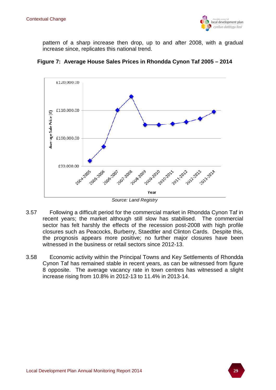

pattern of a sharp increase then drop, up to and after 2008, with a gradual increase since, replicates this national trend.



#### **Figure 7: Average House Sales Prices in Rhondda Cynon Taf 2005 – 2014**

- 3.57 Following a difficult period for the commercial market in Rhondda Cynon Taf in recent years; the market although still slow has stabilised. The commercial sector has felt harshly the effects of the recession post-2008 with high profile closures such as Peacocks, Burberry, Staedtler and Clinton Cards. Despite this, the prognosis appears more positive; no further major closures have been witnessed in the business or retail sectors since 2012-13.
- 3.58 Economic activity within the Principal Towns and Key Settlements of Rhondda Cynon Taf has remained stable in recent years, as can be witnessed from figure 8 opposite. The average vacancy rate in town centres has witnessed a slight increase rising from 10.8% in 2012-13 to 11.4% in 2013-14.

Source: Land Registry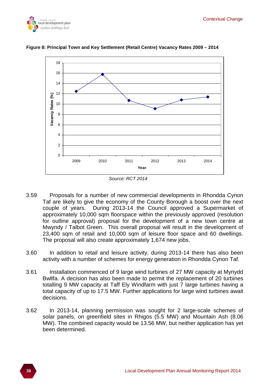



**Figure 8: Principal Town and Key Settlement (Retail Centre) Vacancy Rates 2009 – 2014** 

Source: RCT 2014

- 3.59 Proposals for a number of new commercial developments in Rhondda Cynon Taf are likely to give the economy of the County Borough a boost over the next couple of years. During 2013-14 the Council approved a Supermarket of approximately 10,000 sqm floorspace within the previously approved (resolution for outline approval) proposal for the development of a new town centre at Mwyndy / Talbot Green. This overall proposal will result in the development of 23,400 sqm of retail and 10,000 sqm of leisure floor space and 60 dwellings. The proposal will also create approximately 1,674 new jobs.
- 3.60 In addition to retail and leisure activity, during 2013-14 there has also been activity with a number of schemes for energy generation in Rhondda Cynon Taf.
- 3.61 Installation commenced of 9 large wind turbines of 27 MW capacity at Mynydd Bwllfa. A decision has also been made to permit the replacement of 20 turbines totalling 9 MW capacity at Taff Ely Windfarm with just 7 large turbines having a total capacity of up to 17.5 MW. Further applications for large wind turbines await decisions.
- 3.62 In 2013-14, planning permission was sought for 2 large-scale schemes of solar panels, on greenfield sites in Rhigos (5.5 MW) and Mountain Ash (8.06 MW). The combined capacity would be 13.56 MW, but neither application has yet been determined.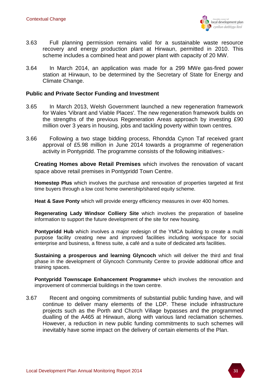

- 3.63 Full planning permission remains valid for a sustainable waste resource recovery and energy production plant at Hirwaun, permitted in 2010. This scheme includes a combined heat and power plant with capacity of 20 MW.
- 3.64 In March 2014, an application was made for a 299 MWe gas-fired power station at Hirwaun, to be determined by the Secretary of State for Energy and Climate Change.

#### **Public and Private Sector Funding and Investment**

- 3.65 In March 2013, Welsh Government launched a new regeneration framework for Wales 'Vibrant and Viable Places'. The new regeneration framework builds on the strengths of the previous Regeneration Areas approach by investing £90 million over 3 years in housing, jobs and tackling poverty within town centres.
- 3.66 Following a two stage bidding process, Rhondda Cynon Taf received grant approval of £5.98 million in June 2014 towards a programme of regeneration activity in Pontypridd. The programme consists of the following initiatives:-

**Creating Homes above Retail Premises** which involves the renovation of vacant space above retail premises in Pontypridd Town Centre.

**Homestep Plus** which involves the purchase and renovation of properties targeted at first time buyers through a low cost home ownership/shared equity scheme.

**Heat & Save Ponty** which will provide energy efficiency measures in over 400 homes.

**Regenerating Lady Windsor Colliery Site** which involves the preparation of baseline information to support the future development of the site for new housing.

**Pontypridd Hub** which involves a major redesign of the YMCA building to create a multi purpose facility creating new and improved facilities including workspace for social enterprise and business, a fitness suite, a café and a suite of dedicated arts facilities.

**Sustaining a prosperous and learning Glyncoch** which will deliver the third and final phase in the development of Glyncoch Community Centre to provide additional office and training spaces.

**Pontypridd Townscape Enhancement Programme+** which involves the renovation and improvement of commercial buildings in the town centre.

3.67 Recent and ongoing commitments of substantial public funding have, and will continue to deliver many elements of the LDP. These include infrastructure projects such as the Porth and Church Village bypasses and the programmed dualling of the A465 at Hirwaun, along with various land reclamation schemes. However, a reduction in new public funding commitments to such schemes will inevitably have some impact on the delivery of certain elements of the Plan.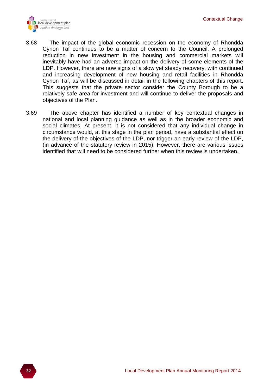

- 3.68 The impact of the global economic recession on the economy of Rhondda Cynon Taf continues to be a matter of concern to the Council. A prolonged reduction in new investment in the housing and commercial markets will inevitably have had an adverse impact on the delivery of some elements of the LDP. However, there are now signs of a slow yet steady recovery, with continued and increasing development of new housing and retail facilities in Rhondda Cynon Taf, as will be discussed in detail in the following chapters of this report. This suggests that the private sector consider the County Borough to be a relatively safe area for investment and will continue to deliver the proposals and objectives of the Plan.
- 3.69 The above chapter has identified a number of key contextual changes in national and local planning guidance as well as in the broader economic and social climates. At present, it is not considered that any individual change in circumstance would, at this stage in the plan period, have a substantial effect on the delivery of the objectives of the LDP, nor trigger an early review of the LDP, (in advance of the statutory review in 2015). However, there are various issues identified that will need to be considered further when this review is undertaken.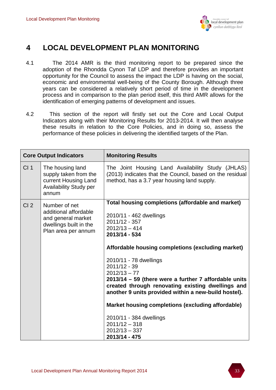

# **4 LOCAL DEVELOPMENT PLAN MONITORING**

- 4.1 The 2014 AMR is the third monitoring report to be prepared since the adoption of the Rhondda Cynon Taf LDP and therefore provides an important opportunity for the Council to assess the impact the LDP is having on the social, economic and environmental well-being of the County Borough. Although three years can be considered a relatively short period of time in the development process and in comparison to the plan period itself, this third AMR allows for the identification of emerging patterns of development and issues.
- 4.2 This section of the report will firstly set out the Core and Local Output Indicators along with their Monitoring Results for 2013-2014. It will then analyse these results in relation to the Core Policies, and in doing so, assess the performance of these policies in delivering the identified targets of the Plan.

| <b>Core Output Indicators</b> |                                                                                                               | <b>Monitoring Results</b>                                                                                                                                                                                                                                                                                                                                                                                                                                                                                                                                         |  |  |
|-------------------------------|---------------------------------------------------------------------------------------------------------------|-------------------------------------------------------------------------------------------------------------------------------------------------------------------------------------------------------------------------------------------------------------------------------------------------------------------------------------------------------------------------------------------------------------------------------------------------------------------------------------------------------------------------------------------------------------------|--|--|
| CI <sub>1</sub>               | The housing land<br>supply taken from the<br>current Housing Land<br>Availability Study per<br>annum          | The Joint Housing Land Availability Study (JHLAS)<br>(2013) indicates that the Council, based on the residual<br>method, has a 3.7 year housing land supply.                                                                                                                                                                                                                                                                                                                                                                                                      |  |  |
| CI <sub>2</sub>               | Number of net<br>additional affordable<br>and general market<br>dwellings built in the<br>Plan area per annum | Total housing completions (affordable and market)<br>2010/11 - 462 dwellings<br>2011/12 - 357<br>$2012/13 - 414$<br>2013/14 - 534<br>Affordable housing completions (excluding market)<br>2010/11 - 78 dwellings<br>$2011/12 - 39$<br>$2012/13 - 77$<br>2013/14 - 59 (there were a further 7 affordable units<br>created through renovating existing dwellings and<br>another 9 units provided within a new-build hostel).<br>Market housing completions (excluding affordable)<br>2010/11 - 384 dwellings<br>$2011/12 - 318$<br>$2012/13 - 337$<br>2013/14 - 475 |  |  |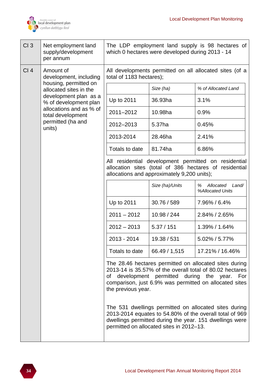

| CI <sub>3</sub> | Net employment land<br>supply/development<br>per annum                                                                                                                                                                  | The LDP employment land supply is 98 hectares of<br>which 0 hectares were developed during 2013 - 14                                                                                                                                                                                                         |                                          |                                                                                                                    |
|-----------------|-------------------------------------------------------------------------------------------------------------------------------------------------------------------------------------------------------------------------|--------------------------------------------------------------------------------------------------------------------------------------------------------------------------------------------------------------------------------------------------------------------------------------------------------------|------------------------------------------|--------------------------------------------------------------------------------------------------------------------|
| CI <sub>4</sub> | Amount of<br>development, including<br>housing, permitted on<br>allocated sites in the<br>development plan as a<br>% of development plan<br>allocations and as % of<br>total development<br>permitted (ha and<br>units) | All developments permitted on all allocated sites (of a<br>total of 1183 hectares);                                                                                                                                                                                                                          |                                          |                                                                                                                    |
|                 |                                                                                                                                                                                                                         |                                                                                                                                                                                                                                                                                                              | Size (ha)                                | % of Allocated Land                                                                                                |
|                 |                                                                                                                                                                                                                         | Up to 2011                                                                                                                                                                                                                                                                                                   | 36.93ha                                  | 3.1%                                                                                                               |
|                 |                                                                                                                                                                                                                         | 2011-2012                                                                                                                                                                                                                                                                                                    | 10.98ha                                  | 0.9%                                                                                                               |
|                 |                                                                                                                                                                                                                         | 2012-2013                                                                                                                                                                                                                                                                                                    | 5.37ha                                   | 0.45%                                                                                                              |
|                 |                                                                                                                                                                                                                         | 2013-2014                                                                                                                                                                                                                                                                                                    | 28.46ha                                  | 2.41%                                                                                                              |
|                 |                                                                                                                                                                                                                         | Totals to date                                                                                                                                                                                                                                                                                               | 81.74ha                                  | 6.86%                                                                                                              |
|                 |                                                                                                                                                                                                                         | All residential development permitted on residential<br>allocation sites (total of 386 hectares of residential<br>allocations and approximately 9,200 units);                                                                                                                                                |                                          |                                                                                                                    |
|                 |                                                                                                                                                                                                                         |                                                                                                                                                                                                                                                                                                              | Size (ha)/Units                          | Land/<br>%<br>Allocated<br>%Allocated Units                                                                        |
|                 |                                                                                                                                                                                                                         | Up to 2011                                                                                                                                                                                                                                                                                                   | 30.76 / 589                              | 7.96% / 6.4%                                                                                                       |
|                 |                                                                                                                                                                                                                         | $2011 - 2012$                                                                                                                                                                                                                                                                                                | 10.98 / 244                              | 2.84% / 2.65%                                                                                                      |
|                 |                                                                                                                                                                                                                         | $2012 - 2013$                                                                                                                                                                                                                                                                                                | 5.37/151                                 | 1.39% / 1.64%                                                                                                      |
|                 |                                                                                                                                                                                                                         | 2013 - 2014                                                                                                                                                                                                                                                                                                  | 19.38 / 531                              | 5.02% / 5.77%                                                                                                      |
|                 |                                                                                                                                                                                                                         | Totals to date                                                                                                                                                                                                                                                                                               | 66.49 / 1,515                            | 17.21% / 16.46%                                                                                                    |
|                 |                                                                                                                                                                                                                         | The 28.46 hectares permitted on allocated sites during<br>2013-14 is 35.57% of the overall total of 80.02 hectares<br>of development permitted during the year. For<br>comparison, just 6.9% was permitted on allocated sites<br>the previous year.<br>The 531 dwellings permitted on allocated sites during |                                          |                                                                                                                    |
|                 |                                                                                                                                                                                                                         |                                                                                                                                                                                                                                                                                                              | permitted on allocated sites in 2012-13. | 2013-2014 equates to 54.80% of the overall total of 969<br>dwellings permitted during the year. 151 dwellings were |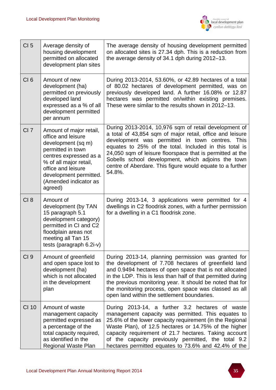

| Cl <sub>5</sub> | Average density of<br>housing development<br>permitted on allocated<br>development plan sites                                                                                                                                    | The average density of housing development permitted<br>on allocated sites is 27.34 dph. This is a reduction from<br>the average density of 34.1 dph during 2012-13.                                                                                                                                                                                                                                                      |
|-----------------|----------------------------------------------------------------------------------------------------------------------------------------------------------------------------------------------------------------------------------|---------------------------------------------------------------------------------------------------------------------------------------------------------------------------------------------------------------------------------------------------------------------------------------------------------------------------------------------------------------------------------------------------------------------------|
| CI <sub>6</sub> | Amount of new<br>development (ha)<br>permitted on previously<br>developed land<br>expressed as a % of all<br>development permitted<br>per annum                                                                                  | During 2013-2014, 53.60%, or 42.89 hectares of a total<br>of 80.02 hectares of development permitted, was on<br>previously developed land. A further 16.08% or 12.87<br>hectares was permitted on/within existing premises.<br>These were similar to the results shown in 2012-13.                                                                                                                                        |
| CI <sub>7</sub> | Amount of major retail,<br>office and leisure<br>development (sq m)<br>permitted in town<br>centres expressed as a<br>% of all major retail,<br>office and leisure<br>development permitted.<br>(Amended indicator as<br>agreed) | During 2013-2014, 10,976 sqm of retail development of<br>a total of 43,854 sqm of major retail, office and leisure<br>development was permitted in town centres. This<br>equates to 25% of the total. Included in this total is<br>24,050 sqm of leisure floorspace that is permitted at the<br>Sobells school development, which adjoins the town<br>centre of Aberdare. This figure would equate to a further<br>54.8%. |
| CI <sub>8</sub> | Amount of<br>development (by TAN<br>15 paragraph 5.1<br>development category)<br>permitted in CI and C2<br>floodplain areas not<br>meeting all Tan 15<br>tests (paragraph 6.2i-v)                                                | During 2013-14, 3 applications were permitted for 4<br>dwellings in C2 floodrisk zones, with a further permission<br>for a dwelling in a C1 floodrisk zone.                                                                                                                                                                                                                                                               |
| CI <sub>9</sub> | Amount of greenfield<br>and open space lost to<br>development (ha)<br>which is not allocated<br>in the development<br>plan                                                                                                       | During 2013-14, planning permission was granted for<br>the development of 7.708 hectares of greenfield land<br>and 0.9494 hectares of open space that is not allocated<br>in the LDP. This is less than half of that permitted during<br>the previous monitoring year. It should be noted that for<br>the monitoring process, open space was classed as all<br>open land within the settlement boundaries.                |
| <b>CI 10</b>    | Amount of waste<br>management capacity<br>permitted expressed as<br>a percentage of the<br>total capacity required,<br>as identified in the<br>Regional Waste Plan                                                               | During 2013-14, a further 3.2 hectares of waste<br>management capacity was permitted. This equates to<br>25.6% of the lower capacity requirement (in the Regional<br>Waste Plan), of 12.5 hectares or 14.75% of the higher<br>capacity requirement of 21.7 hectares. Taking account<br>of the capacity previously permitted, the total 9.2<br>hectares permitted equates to 73.6% and 42.4% of the                        |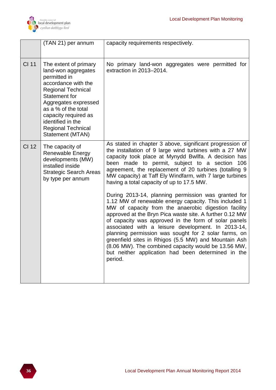

|              | (TAN 21) per annum                                                                                                                                                                                                                                                             | capacity requirements respectively.                                                                                                                                                                                                                                                                                                                                                                                                                                                                                                                                                                                                                                                       |
|--------------|--------------------------------------------------------------------------------------------------------------------------------------------------------------------------------------------------------------------------------------------------------------------------------|-------------------------------------------------------------------------------------------------------------------------------------------------------------------------------------------------------------------------------------------------------------------------------------------------------------------------------------------------------------------------------------------------------------------------------------------------------------------------------------------------------------------------------------------------------------------------------------------------------------------------------------------------------------------------------------------|
| <b>CI 11</b> | The extent of primary<br>land-won aggregates<br>permitted in<br>accordance with the<br>Regional Technical<br><b>Statement for</b><br>Aggregates expressed<br>as a % of the total<br>capacity required as<br>identified in the<br><b>Regional Technical</b><br>Statement (MTAN) | No primary land-won aggregates were permitted for<br>extraction in 2013-2014.                                                                                                                                                                                                                                                                                                                                                                                                                                                                                                                                                                                                             |
| <b>CI 12</b> | The capacity of<br><b>Renewable Energy</b><br>developments (MW)<br>installed inside<br><b>Strategic Search Areas</b><br>by type per annum                                                                                                                                      | As stated in chapter 3 above, significant progression of<br>the installation of 9 large wind turbines with a 27 MW<br>capacity took place at Mynydd Bwllfa. A decision has<br>been made to permit, subject to a section 106<br>agreement, the replacement of 20 turbines (totalling 9<br>MW capacity) at Taff Ely Windfarm, with 7 large turbines<br>having a total capacity of up to 17.5 MW.<br>During 2013-14, planning permission was granted for<br>1.12 MW of renewable energy capacity. This included 1<br>MW of capacity from the anaerobic digestion facility<br>approved at the Bryn Pica waste site. A further 0.12 MW<br>of capacity was approved in the form of solar panels |
|              |                                                                                                                                                                                                                                                                                | associated with a leisure development. In 2013-14,<br>planning permission was sought for 2 solar farms, on<br>greenfield sites in Rhigos (5.5 MW) and Mountain Ash<br>(8.06 MW). The combined capacity would be 13.56 MW,<br>but neither application had been determined in the<br>period.                                                                                                                                                                                                                                                                                                                                                                                                |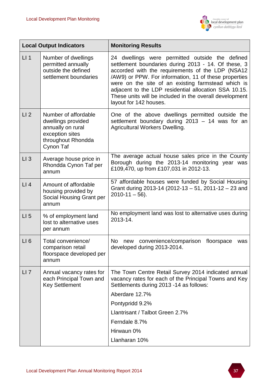

| <b>Local Output Indicators</b> |                                                                                                                       | <b>Monitoring Results</b>                                                                                                                                                                                                                                                                                                                                                                                               |  |
|--------------------------------|-----------------------------------------------------------------------------------------------------------------------|-------------------------------------------------------------------------------------------------------------------------------------------------------------------------------------------------------------------------------------------------------------------------------------------------------------------------------------------------------------------------------------------------------------------------|--|
| $LI$ 1                         | Number of dwellings<br>permitted annually<br>outside the defined<br>settlement boundaries                             | 24 dwellings were permitted outside the defined<br>settlement boundaries during 2013 - 14. Of these, 3<br>accorded with the requirements of the LDP (NSA12<br>/AW9) or PPW. For information, 11 of these properties<br>were on the site of an existing farmstead which is<br>adjacent to the LDP residential allocation SSA 10.15.<br>These units will be included in the overall development<br>layout for 142 houses. |  |
| LI                             | Number of affordable<br>dwellings provided<br>annually on rural<br>exception sites<br>throughout Rhondda<br>Cynon Taf | One of the above dwellings permitted outside the<br>settlement boundary during 2013 - 14 was for an<br>Agricultural Workers Dwelling.                                                                                                                                                                                                                                                                                   |  |
| $LI$ 3                         | Average house price in<br>Rhondda Cynon Taf per<br>annum                                                              | The average actual house sales price in the County<br>Borough during the 2013-14 monitoring year was<br>£109,470, up from £107,031 in 2012-13.                                                                                                                                                                                                                                                                          |  |
| $LI$ 4                         | Amount of affordable<br>housing provided by<br>Social Housing Grant per<br>annum                                      | 57 affordable houses were funded by Social Housing<br>Grant during 2013-14 (2012-13 - 51, 2011-12 - 23 and<br>$2010-11-56$ ).                                                                                                                                                                                                                                                                                           |  |
| $LI$ 5                         | % of employment land<br>lost to alternative uses<br>per annum                                                         | No employment land was lost to alternative uses during<br>2013-14.                                                                                                                                                                                                                                                                                                                                                      |  |
| LI <sub>6</sub>                | Total convenience/<br>comparison retail<br>floorspace developed per<br>annum                                          | convenience/comparison<br>No.<br>floorspace<br>new<br>was<br>developed during 2013-2014.                                                                                                                                                                                                                                                                                                                                |  |
| LI                             | Annual vacancy rates for<br>each Principal Town and<br><b>Key Settlement</b>                                          | The Town Centre Retail Survey 2014 indicated annual<br>vacancy rates for each of the Principal Towns and Key<br>Settlements during 2013 -14 as follows:                                                                                                                                                                                                                                                                 |  |
|                                |                                                                                                                       | Aberdare 12.7%                                                                                                                                                                                                                                                                                                                                                                                                          |  |
|                                |                                                                                                                       | Pontypridd 9.2%                                                                                                                                                                                                                                                                                                                                                                                                         |  |
|                                |                                                                                                                       | Llantrisant / Talbot Green 2.7%                                                                                                                                                                                                                                                                                                                                                                                         |  |
|                                |                                                                                                                       | Ferndale 8.7%                                                                                                                                                                                                                                                                                                                                                                                                           |  |
|                                |                                                                                                                       | Hirwaun 0%<br>Llanharan 10%                                                                                                                                                                                                                                                                                                                                                                                             |  |
|                                |                                                                                                                       |                                                                                                                                                                                                                                                                                                                                                                                                                         |  |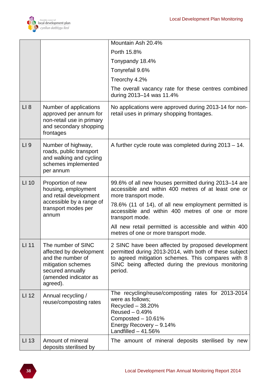

|        |                                                                                                                                                   | Mountain Ash 20.4%<br>Porth 15.8%<br>Tonypandy 18.4%<br>Tonyrefail 9.6%<br>Treorchy 4.2%<br>The overall vacancy rate for these centres combined                                                                                                                                                                                                                     |
|--------|---------------------------------------------------------------------------------------------------------------------------------------------------|---------------------------------------------------------------------------------------------------------------------------------------------------------------------------------------------------------------------------------------------------------------------------------------------------------------------------------------------------------------------|
|        |                                                                                                                                                   | during 2013-14 was 11.4%                                                                                                                                                                                                                                                                                                                                            |
| LI8    | Number of applications<br>approved per annum for<br>non-retail use in primary<br>and secondary shopping<br>frontages                              | No applications were approved during 2013-14 for non-<br>retail uses in primary shopping frontages.                                                                                                                                                                                                                                                                 |
| $LI$ 9 | Number of highway,<br>roads, public transport<br>and walking and cycling<br>schemes implemented<br>per annum                                      | A further cycle route was completed during 2013 - 14.                                                                                                                                                                                                                                                                                                               |
| LI 10  | Proportion of new<br>housing, employment<br>and retail development<br>accessible by a range of<br>transport modes per<br>annum                    | 99.6% of all new houses permitted during 2013–14 are<br>accessible and within 400 metres of at least one or<br>more transport mode.<br>78.6% (11 of 14), of all new employment permitted is<br>accessible and within 400 metres of one or more<br>transport mode.<br>All new retail permitted is accessible and within 400<br>metres of one or more transport mode. |
| LI 11  | The number of SINC<br>affected by development<br>and the number of<br>mitigation schemes<br>secured annually<br>(amended indicator as<br>agreed). | 2 SINC have been affected by proposed development<br>permitted during 2013-2014, with both of these subject<br>to agreed mitigation schemes. This compares with 8<br>SINC being affected during the previous monitoring<br>period.                                                                                                                                  |
| LI 12  | Annual recycling /<br>reuse/composting rates                                                                                                      | The recycling/reuse/composting rates for 2013-2014<br>were as follows;<br>Recycled - 38.20%<br>Reused $-0.49%$<br>Composted $-10.61%$<br>Energy Recovery - 9.14%<br>Landfilled $-41.56%$                                                                                                                                                                            |
| LI 13  | Amount of mineral<br>deposits sterilised by                                                                                                       | The amount of mineral deposits sterilised by new                                                                                                                                                                                                                                                                                                                    |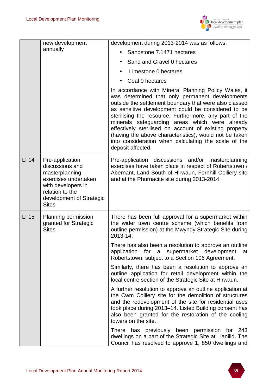

|       | new development                                                                                                                                                   | development during 2013-2014 was as follows:                                                                                                                                                                                                                                                                                                                                                                                                                                                                                         |
|-------|-------------------------------------------------------------------------------------------------------------------------------------------------------------------|--------------------------------------------------------------------------------------------------------------------------------------------------------------------------------------------------------------------------------------------------------------------------------------------------------------------------------------------------------------------------------------------------------------------------------------------------------------------------------------------------------------------------------------|
|       | annually                                                                                                                                                          | Sandstone 7.1471 hectares                                                                                                                                                                                                                                                                                                                                                                                                                                                                                                            |
|       |                                                                                                                                                                   | Sand and Gravel 0 hectares                                                                                                                                                                                                                                                                                                                                                                                                                                                                                                           |
|       |                                                                                                                                                                   | Limestone 0 hectares                                                                                                                                                                                                                                                                                                                                                                                                                                                                                                                 |
|       |                                                                                                                                                                   | Coal 0 hectares                                                                                                                                                                                                                                                                                                                                                                                                                                                                                                                      |
|       |                                                                                                                                                                   | In accordance with Mineral Planning Policy Wales, it<br>was determined that only permanent developments<br>outside the settlement boundary that were also classed<br>as sensitive development could be considered to be<br>sterilising the resource. Furthermore, any part of the<br>minerals safeguarding areas which were already<br>effectively sterilised on account of existing property<br>(having the above characteristics), would not be taken<br>into consideration when calculating the scale of the<br>deposit affected. |
| LI 14 | Pre-application<br>discussions and<br>masterplanning<br>exercises undertaken<br>with developers in<br>relation to the<br>development of Strategic<br><b>Sites</b> | Pre-application discussions and/or masterplanning<br>exercises have taken place in respect of Robertstown /<br>Abernant, Land South of Hirwaun, Fernhill Colliery site<br>and at the Phurnacite site during 2013-2014.                                                                                                                                                                                                                                                                                                               |
| LI 15 | Planning permission<br>granted for Strategic<br><b>Sites</b>                                                                                                      | There has been full approval for a supermarket within<br>the wider town centre scheme (which benefits from<br>outline permission) at the Mwyndy Strategic Site during<br>2013-14.                                                                                                                                                                                                                                                                                                                                                    |
|       |                                                                                                                                                                   | There has also been a resolution to approve an outline<br>application for a supermarket development<br>at<br>Robertstown, subject to a Section 106 Agreement.                                                                                                                                                                                                                                                                                                                                                                        |
|       |                                                                                                                                                                   | Similarly, there has been a resolution to approve an<br>outline application for retail development within the<br>local centre section of the Strategic Site at Hirwaun.                                                                                                                                                                                                                                                                                                                                                              |
|       |                                                                                                                                                                   | A further resolution to approve an outline application at<br>the Cwm Colliery site for the demolition of structures<br>and the redevelopment of the site for residential uses<br>took place during 2013-14. Listed Building consent has<br>also been granted for the restoration of the cooling<br>towers on the site.                                                                                                                                                                                                               |
|       |                                                                                                                                                                   | There has previously been permission for 243<br>dwellings on a part of the Strategic Site at Llanilid. The<br>Council has resolved to approve 1, 850 dwellings and                                                                                                                                                                                                                                                                                                                                                                   |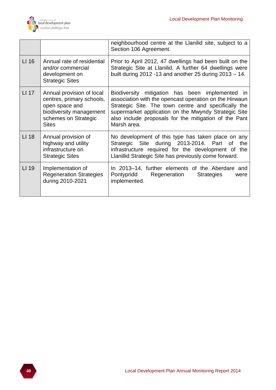

|       |                                                                                                                                             | neighbourhood centre at the Llanilid site, subject to a<br>Section 106 Agreement.                                                                                                                                                                                                                 |  |
|-------|---------------------------------------------------------------------------------------------------------------------------------------------|---------------------------------------------------------------------------------------------------------------------------------------------------------------------------------------------------------------------------------------------------------------------------------------------------|--|
| LI 16 | Annual rate of residential<br>and/or commercial<br>development on<br><b>Strategic Sites</b>                                                 | Prior to April 2012, 47 dwellings had been built on the<br>Strategic Site at Llanilid. A further 64 dwellings were<br>built during $2012 - 13$ and another 25 during $2013 - 14$ .                                                                                                                |  |
| LI 17 | Annual provision of local<br>centres, primary schools,<br>open space and<br>biodiversity management<br>schemes on Strategic<br><b>Sites</b> | Biodiversity mitigation has been implemented in<br>association with the opencast operation on the Hirwaun<br>Strategic Site. The town centre and specifically the<br>supermarket application on the Mwyndy Strategic Site<br>also include proposals for the mitigation of the Pant<br>Marsh area. |  |
| LI 18 | Annual provision of<br>highway and utility<br>infrastructure on<br><b>Strategic Sites</b>                                                   | No development of this type has taken place on any<br>Strategic Site during 2013-2014. Part of<br>the<br>infrastructure required for the development of the<br>Llanillid Strategic Site has previously come forward.                                                                              |  |
| LI 19 | Implementation of<br><b>Regeneration Strategies</b><br>during 2010-2021                                                                     | In 2013–14, further elements of the Aberdare and<br>Pontypridd<br>Regeneration<br><b>Strategies</b><br>were<br>implemented.                                                                                                                                                                       |  |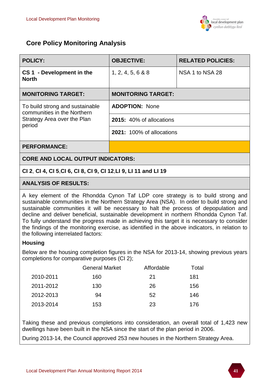

# **Core Policy Monitoring Analysis**

| <b>POLICY:</b>                                                 | <b>OBJECTIVE:</b>               | <b>RELATED POLICIES:</b> |  |
|----------------------------------------------------------------|---------------------------------|--------------------------|--|
| CS 1 - Development in the<br><b>North</b>                      | 1, 2, 4, 5, 6 & 88              | NSA 1 to NSA 28          |  |
| <b>MONITORING TARGET:</b>                                      | <b>MONITORING TARGET:</b>       |                          |  |
| To build strong and sustainable<br>communities in the Northern | <b>ADOPTION: None</b>           |                          |  |
| Strategy Area over the Plan<br>period                          | <b>2015:</b> 40% of allocations |                          |  |
|                                                                | 2021: 100% of allocations       |                          |  |
| <b>PERFORMANCE:</b>                                            |                                 |                          |  |

**CORE AND LOCAL OUTPUT INDICATORS:** 

### **CI 2**, **CI 4, CI 5**,**CI 6, CI 8, CI 9, CI 12**,**LI 9, LI 11 and LI 19**

### **ANALYSIS OF RESULTS:**

A key element of the Rhondda Cynon Taf LDP core strategy is to build strong and sustainable communities in the Northern Strategy Area (NSA). In order to build strong and sustainable communities it will be necessary to halt the process of depopulation and decline and deliver beneficial, sustainable development in northern Rhondda Cynon Taf. To fully understand the progress made in achieving this target it is necessary to consider the findings of the monitoring exercise, as identified in the above indicators, in relation to the following interrelated factors:

### **Housing**

Below are the housing completion figures in the NSA for 2013-14, showing previous years completions for comparative purposes (CI 2);

|           | <b>General Market</b> | Affordable | Total |
|-----------|-----------------------|------------|-------|
| 2010-2011 | 160                   | 21         | 181   |
| 2011-2012 | 130                   | 26         | 156   |
| 2012-2013 | 94                    | 52         | 146   |
| 2013-2014 | 153                   | 23         | 176   |

Taking these and previous completions into consideration, an overall total of 1,423 new dwellings have been built in the NSA since the start of the plan period in 2006.

During 2013-14, the Council approved 253 new houses in the Northern Strategy Area.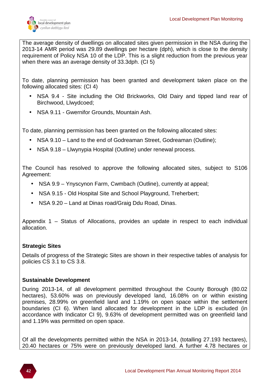

The average density of dwellings on allocated sites given permission in the NSA during the 2013-14 AMR period was 29.89 dwellings per hectare (dph), which is close to the density requirement of Policy NSA 10 of the LDP. This is a slight reduction from the previous year when there was an average density of 33.3dph. (CI 5)

To date, planning permission has been granted and development taken place on the following allocated sites: (CI 4)

- NSA 9.4 Site including the Old Brickworks, Old Dairy and tipped land rear of Birchwood, Llwydcoed;
- NSA 9.11 Gwernifor Grounds, Mountain Ash.

To date, planning permission has been granted on the following allocated sites:

- NSA 9.10 Land to the end of Godreaman Street, Godreaman (Outline);
- NSA 9.18 Llwynypia Hospital (Outline) under renewal process.

The Council has resolved to approve the following allocated sites, subject to S106 Agreement:

- NSA 9.9 Ynyscynon Farm, Cwmbach (Outline), currently at appeal;
- NSA 9.15 Old Hospital Site and School Playground, Treherbert;
- NSA 9.20 Land at Dinas road/Graig Ddu Road, Dinas.

Appendix 1 – Status of Allocations, provides an update in respect to each individual allocation.

### **Strategic Sites**

Details of progress of the Strategic Sites are shown in their respective tables of analysis for policies CS 3.1 to CS 3.8.

### **Sustainable Development**

During 2013-14, of all development permitted throughout the County Borough (80.02 hectares), 53.60% was on previously developed land, 16.08% on or within existing premises, 28.99% on greenfield land and 1.19% on open space within the settlement boundaries (CI 6). When land allocated for development in the LDP is excluded (in accordance with Indicator CI 9), 9.63% of development permitted was on greenfield land and 1.19% was permitted on open space.

Of all the developments permitted within the NSA in 2013-14, (totalling 27.193 hectares), 20.40 hectares or 75% were on previously developed land. A further 4.78 hectares or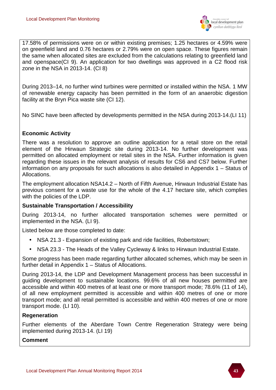

17.58% of permissions were on or within existing premises; 1.25 hectares or 4.59% were on greenfield land and 0.76 hectares or 2.79% were on open space. These figures remain the same when allocated sites are excluded from the calculations relating to greenfield land and openspace(CI 9). An application for two dwellings was approved in a C2 flood risk zone in the NSA in 2013-14. (CI 8)

During 2013–14, no further wind turbines were permitted or installed within the NSA. 1 MW of renewable energy capacity has been permitted in the form of an anaerobic digestion facility at the Bryn Pica waste site (CI 12).

No SINC have been affected by developments permitted in the NSA during 2013-14.(LI 11)

### **Economic Activity**

There was a resolution to approve an outline application for a retail store on the retail element of the Hirwaun Strategic site during 2013-14. No further development was permitted on allocated employment or retail sites in the NSA. Further information is given regarding these issues in the relevant analysis of results for CS6 and CS7 below. Further information on any proposals for such allocations is also detailed in Appendix 1 – Status of Allocations.

The employment allocation NSA14.2 – North of Fifth Avenue, Hirwaun Industrial Estate has previous consent for a waste use for the whole of the 4.17 hectare site, which complies with the policies of the LDP.

### **Sustainable Transportation / Accessibility**

During 2013-14, no further allocated transportation schemes were permitted or implemented in the NSA. (LI 9).

Listed below are those completed to date:

- NSA 21.3 Expansion of existing park and ride facilities, Robertstown;
- NSA 23.3 The Heads of the Valley Cycleway & links to Hirwaun Industrial Estate.

Some progress has been made regarding further allocated schemes, which may be seen in further detail in Appendix 1 – Status of Allocations.

During 2013-14, the LDP and Development Management process has been successful in guiding development to sustainable locations. 99.6% of all new houses permitted are accessible and within 400 metres of at least one or more transport mode; 78.6% (11 of 14), of all new employment permitted is accessible and within 400 metres of one or more transport mode; and all retail permitted is accessible and within 400 metres of one or more transport mode. (LI 10).

#### **Regeneration**

Further elements of the Aberdare Town Centre Regeneration Strategy were being implemented during 2013-14. (LI 19)

### **Comment**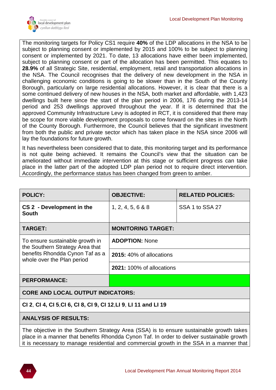

The monitoring targets for Policy CS1 require **40%** of the LDP allocations in the NSA to be subject to planning consent or implemented by 2015 and 100% to be subject to planning consent or implemented by 2021. To date, 13 allocations have either been implemented, subject to planning consent or part of the allocation has been permitted. This equates to **28.9%** of all Strategic Site, residential, employment, retail and transportation allocations in the NSA. The Council recognises that the delivery of new development in the NSA in challenging economic conditions is going to be slower than in the South of the County Borough, particularly on large residential allocations. However, it is clear that there is a some continued delivery of new houses in the NSA, both market and affordable, with 1,423 dwellings built here since the start of the plan period in 2006, 176 during the 2013-14 period and 253 dwellings approved throughout the year. If it is determined that the approved Community Infrastructure Levy is adopted in RCT, it is considered that there may be scope for more viable development proposals to come forward on the sites in the North of the County Borough. Furthermore, the Council believes that the significant investment from both the public and private sector which has taken place in the NSA since 2006 will lay the foundations for future growth.

It has nevertheless been considered that to date, this monitoring target and its performance is not quite being achieved. It remains the Council's view that the situation can be ameliorated without immediate intervention at this stage or sufficient progress can take place in the latter part of the adopted LDP plan period not to require direct intervention. Accordingly, the performance status has been changed from green to amber.

| <b>OBJECTIVE:</b>                | <b>RELATED POLICIES:</b> |
|----------------------------------|--------------------------|
| 1, 2, 4, 5, 6 & 88               | SSA 1 to SSA 27          |
| <b>MONITORING TARGET:</b>        |                          |
| <b>ADOPTION: None</b>            |                          |
| 2015: 40% of allocations         |                          |
| <b>2021:</b> 100% of allocations |                          |
|                                  |                          |
|                                  |                          |

**CORE AND LOCAL OUTPUT INDICATORS:** 

### **CI 2**, **CI 4, CI 5**,**CI 6, CI 8, CI 9, CI 12**,**LI 9**, **LI 11 and LI 19**

### **ANALYSIS OF RESULTS:**

The objective in the Southern Strategy Area (SSA) is to ensure sustainable growth takes place in a manner that benefits Rhondda Cynon Taf. In order to deliver sustainable growth it is necessary to manage residential and commercial growth in the SSA in a manner that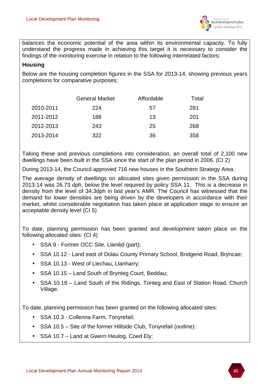

balances the economic potential of the area within its environmental capacity. To fully understand the progress made in achieving this target it is necessary to consider the findings of the monitoring exercise in relation to the following interrelated factors:

### **Housing**

Below are the housing completion figures in the SSA for 2013-14, showing previous years completions for comparative purposes;

|           | <b>General Market</b> | Affordable | Total |
|-----------|-----------------------|------------|-------|
| 2010-2011 | 224                   | 57         | 281   |
| 2011-2012 | 188                   | 13         | 201   |
| 2012-2013 | 243                   | 25         | 268   |
| 2013-2014 | 322                   | 36         | 358   |

Taking these and previous completions into consideration, an overall total of 2,100 new dwellings have been built in the SSA since the start of the plan period in 2006. (CI 2)

During 2013-14, the Council approved 716 new houses in the Southern Strategy Area.

The average density of dwellings on allocated sites given permission in the SSA during 2013-14 was 26.73 dph, below the level required by policy SSA 11. This is a decrease in density from the level of 34.3dph in last year's AMR. The Council has witnessed that the demand for lower densities are being driven by the developers in accordance with their market, whilst considerable negotiation has taken place at application stage to ensure an acceptable density level (CI 5)

To date, planning permission has been granted and development taken place on the following allocated sites: (CI 4)

- SSA 9 Former OCC Site, Llanilid (part);
- SSA 10.12 Land east of Dolau County Primary School, Bridgend Road, Bryncae;
- SSA 10.13 West of Llechau, Llanharry;
- SSA 10.15 Land South of Brynteg Court, Beddau;
- SSA 10.18 Land South of the Ridings, Tonteg and East of Station Road, Church Village.

To date, planning permission has been granted on the following allocated sites:

- SSA 10.3 Collenna Farm, Tonyrefail;
- SSA 10.5 Site of the former Hillside Club, Tonyrefail (outline):
- SSA 10.7 Land at Gwern Heulog, Coed Ely;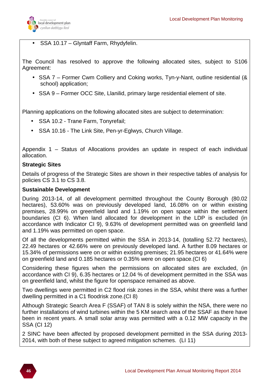

• SSA 10.17 – Glyntaff Farm, Rhydyfelin.

The Council has resolved to approve the following allocated sites, subject to S106 Agreement:

- SSA 7 Former Cwm Colliery and Coking works, Tyn-y-Nant, outline residential (& school) application;
- SSA 9 Former OCC Site, Llanilid, primary large residential element of site.

Planning applications on the following allocated sites are subject to determination:

- SSA 10.2 Trane Farm, Tonyrefail;
- SSA 10.16 The Link Site, Pen-yr-Eglwys, Church Village.

Appendix 1 – Status of Allocations provides an update in respect of each individual allocation.

### **Strategic Sites**

Details of progress of the Strategic Sites are shown in their respective tables of analysis for policies CS 3.1 to CS 3.8.

### **Sustainable Development**

During 2013-14, of all development permitted throughout the County Borough (80.02 hectares), 53.60% was on previously developed land, 16.08% on or within existing premises, 28.99% on greenfield land and 1.19% on open space within the settlement boundaries (CI 6). When land allocated for development in the LDP is excluded (in accordance with Indicator CI 9), 9.63% of development permitted was on greenfield land and 1.19% was permitted on open space.

Of all the developments permitted within the SSA in 2013-14, (totalling 52.72 hectares), 22.49 hectares or 42.66% were on previously developed land. A further 8.09 hectares or 15.34% of permissions were on or within existing premises; 21.95 hectares or 41.64% were on greenfield land and 0.185 hectares or 0.35% were on open space.(CI 6)

Considering these figures when the permissions on allocated sites are excluded, (in accordance with CI 9), 6.35 hectares or 12.04 % of development permitted in the SSA was on greenfield land, whilst the figure for openspace remained as above.

Two dwellings were permitted in C2 flood risk zones in the SSA, whilst there was a further dwelling permitted in a C1 floodrisk zone.(CI 8)

Although Strategic Search Area F (SSAF) of TAN 8 is solely within the NSA, there were no further installations of wind turbines within the 5 KM search area of the SSAF as there have been in recent years. A small solar array was permitted with a 0.12 MW capacity in the SSA (CI 12)

2 SINC have been affected by proposed development permitted in the SSA during 2013- 2014, with both of these subject to agreed mitigation schemes. (LI 11)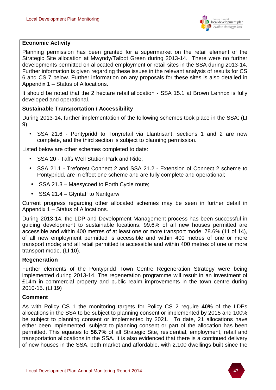

### **Economic Activity**

Planning permission has been granted for a supermarket on the retail element of the Strategic Site allocation at Mwyndy/Talbot Green during 2013-14. There were no further developments permitted on allocated employment or retail sites in the SSA during 2013-14. Further information is given regarding these issues in the relevant analysis of results for CS 6 and CS 7 below. Further information on any proposals for these sites is also detailed in Appendix 1 – Status of Allocations.

It should be noted that the 2 hectare retail allocation - SSA 15.1 at Brown Lennox is fully developed and operational.

### **Sustainable Transportation / Accessibility**

During 2013-14, further implementation of the following schemes took place in the SSA: (LI 9)

• SSA 21.6 - Pontypridd to Tonyrefail via Llantrisant; sections 1 and 2 are now complete, and the third section is subject to planning permission.

Listed below are other schemes completed to date:

- SSA 20 Taffs Well Station Park and Ride;
- SSA 21.1 Treforest Connect 2 and SSA 21.2 Extension of Connect 2 scheme to Pontypridd, are in effect one scheme and are fully complete and operational;
- SSA 21.3 Maesycoed to Porth Cycle route;
- SSA 21.4 Glyntaff to Nantgarw.

Current progress regarding other allocated schemes may be seen in further detail in Appendix 1 – Status of Allocations.

During 2013-14, the LDP and Development Management process has been successful in guiding development to sustainable locations. 99.6% of all new houses permitted are accessible and within 400 metres of at least one or more transport mode; 78.6% (11 of 14), of all new employment permitted is accessible and within 400 metres of one or more transport mode; and all retail permitted is accessible and within 400 metres of one or more transport mode. (LI 10).

### **Regeneration**

Further elements of the Pontypridd Town Centre Regeneration Strategy were being implemented during 2013-14. The regeneration programme will result in an investment of £14m in commercial property and public realm improvements in the town centre during 2010-15. (LI 19)

### **Comment**

As with Policy CS 1 the monitoring targets for Policy CS 2 require **40%** of the LDPs allocations in the SSA to be subject to planning consent or implemented by 2015 and 100% be subject to planning consent or implemented by 2021. To date, 21 allocations have either been implemented, subject to planning consent or part of the allocation has been permitted. This equates to **56.7%** of all Strategic Site, residential, employment, retail and transportation allocations in the SSA. It is also evidenced that there is a continued delivery of new houses in the SSA, both market and affordable, with 2,100 dwellings built since the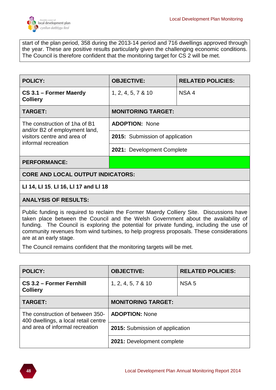start of the plan period, 358 during the 2013-14 period and 716 dwellings approved through the year. These are positive results particularly given the challenging economic conditions. The Council is therefore confident that the monitoring target for CS 2 will be met.

| <b>POLICY:</b>                                                                      | <b>OBJECTIVE:</b>                      | <b>RELATED POLICIES:</b> |
|-------------------------------------------------------------------------------------|----------------------------------------|--------------------------|
| CS 3.1 – Former Maerdy<br><b>Colliery</b>                                           | 1, 2, 4, 5, 7 & 10                     | NSA <sub>4</sub>         |
| <b>TARGET:</b>                                                                      | <b>MONITORING TARGET:</b>              |                          |
| The construction of 1ha of B1                                                       | <b>ADOPTION: None</b>                  |                          |
| and/or B2 of employment land,<br>visitors centre and area of<br>informal recreation | <b>2015:</b> Submission of application |                          |
|                                                                                     | 2021: Development Complete             |                          |
| <b>PERFORMANCE:</b>                                                                 |                                        |                          |
|                                                                                     |                                        |                          |

# **CORE AND LOCAL OUTPUT INDICATORS:**

### **LI 14, LI 15**, **LI 16, Ll 17 and Ll 18**

### **ANALYSIS OF RESULTS:**

Public funding is required to reclaim the Former Maerdy Colliery Site. Discussions have taken place between the Council and the Welsh Government about the availability of funding. The Council is exploring the potential for private funding, including the use of community revenues from wind turbines, to help progress proposals. These considerations are at an early stage.

The Council remains confident that the monitoring targets will be met.

| <b>POLICY:</b>                                                           | <b>OBJECTIVE:</b>               | <b>RELATED POLICIES:</b> |
|--------------------------------------------------------------------------|---------------------------------|--------------------------|
| CS 3.2 - Former Fernhill<br><b>Colliery</b>                              | 1, 2, 4, 5, 7 & 10              | NSA <sub>5</sub>         |
| <b>TARGET:</b>                                                           | <b>MONITORING TARGET:</b>       |                          |
| The construction of between 350-<br>400 dwellings, a local retail centre | <b>ADOPTION: None</b>           |                          |
| and area of informal recreation                                          | 2015: Submission of application |                          |
|                                                                          | 2021: Development complete      |                          |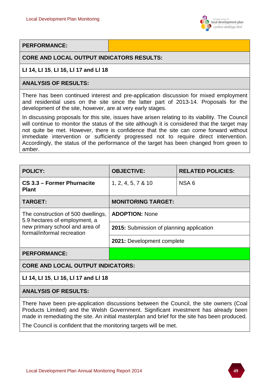

#### **PERFORMANCE:**

### **CORE AND LOCAL OUTPUT INDICATORS RESULTS:**

### **LI 14, LI 15**, **LI 16, Ll 17 and Ll 18**

#### **ANALYSIS OF RESULTS:**

There has been continued interest and pre-application discussion for mixed employment and residential uses on the site since the latter part of 2013-14. Proposals for the development of the site, however, are at very early stages.

In discussing proposals for this site, issues have arisen relating to its viability. The Council will continue to monitor the status of the site although it is considered that the target may not quite be met. However, there is confidence that the site can come forward without immediate intervention or sufficiently progressed not to require direct intervention. Accordingly, the status of the performance of the target has been changed from green to amber.

| <b>POLICY:</b>                                                                                                                      | <b>OBJECTIVE:</b>                        | <b>RELATED POLICIES:</b> |
|-------------------------------------------------------------------------------------------------------------------------------------|------------------------------------------|--------------------------|
| CS 3.3 - Former Phurnacite<br><b>Plant</b>                                                                                          | 1, 2, 4, 5, 7 & 10                       | NSA <sub>6</sub>         |
| <b>TARGET:</b>                                                                                                                      | <b>MONITORING TARGET:</b>                |                          |
| The construction of 500 dwellings,<br>5.9 hectares of employment, a<br>new primary school and area of<br>formal/informal recreation | <b>ADOPTION: None</b>                    |                          |
|                                                                                                                                     | 2015: Submission of planning application |                          |
|                                                                                                                                     | 2021: Development complete               |                          |
| <b>PERFORMANCE:</b>                                                                                                                 |                                          |                          |
|                                                                                                                                     |                                          |                          |

### **CORE AND LOCAL OUTPUT INDICATORS:**

### **LI 14, LI 15**, **LI 16, Ll 17 and Ll 18**

#### **ANALYSIS OF RESULTS:**

There have been pre-application discussions between the Council, the site owners (Coal Products Limited) and the Welsh Government. Significant investment has already been made in remediating the site. An initial masterplan and brief for the site has been produced.

The Council is confident that the monitoring targets will be met.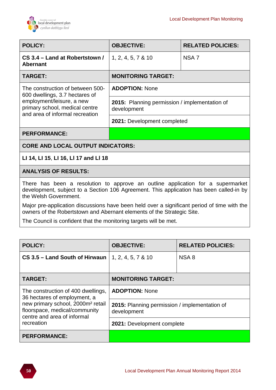

| <b>POLICY:</b>                                                                                                                                                       | <b>OBJECTIVE:</b>                                            | <b>RELATED POLICIES:</b> |
|----------------------------------------------------------------------------------------------------------------------------------------------------------------------|--------------------------------------------------------------|--------------------------|
| CS 3.4 – Land at Robertstown /<br><b>Abernant</b>                                                                                                                    | 1, 2, 4, 5, 7 & 10                                           | NSA <sub>7</sub>         |
| <b>TARGET:</b>                                                                                                                                                       | <b>MONITORING TARGET:</b>                                    |                          |
| The construction of between 500-<br>600 dwellings, 3.7 hectares of<br>employment/leisure, a new<br>primary school, medical centre<br>and area of informal recreation | <b>ADOPTION: None</b>                                        |                          |
|                                                                                                                                                                      | 2015: Planning permission / implementation of<br>development |                          |
|                                                                                                                                                                      | 2021: Development completed                                  |                          |
| <b>PERFORMANCE:</b>                                                                                                                                                  |                                                              |                          |
| <b>CORE AND LOCAL OUTPUT INDICATORS:</b>                                                                                                                             |                                                              |                          |

### **LI 14, LI 15**, **LI 16, Ll 17 and Ll 18**

#### **ANALYSIS OF RESULTS:**

There has been a resolution to approve an outline application for a supermarket development, subject to a Section 106 Agreement. This application has been called-in by the Welsh Government.

Major pre-application discussions have been held over a significant period of time with the owners of the Robertstown and Abernant elements of the Strategic Site.

The Council is confident that the monitoring targets will be met.

| <b>POLICY:</b>                                                                                                | <b>OBJECTIVE:</b>                                            | <b>RELATED POLICIES:</b> |
|---------------------------------------------------------------------------------------------------------------|--------------------------------------------------------------|--------------------------|
| $CS$ 3.5 – Land South of Hirwaun                                                                              | 1, 2, 4, 5, 7 & 10                                           | NSA <sub>8</sub>         |
|                                                                                                               |                                                              |                          |
| <b>TARGET:</b>                                                                                                | <b>MONITORING TARGET:</b>                                    |                          |
| The construction of 400 dwellings,<br>36 hectares of employment, a                                            | <b>ADOPTION: None</b>                                        |                          |
| new primary school, 2000m <sup>2</sup> retail<br>floorspace, medical/community<br>centre and area of informal | 2015: Planning permission / implementation of<br>development |                          |
| recreation                                                                                                    | 2021: Development complete                                   |                          |
| <b>PERFORMANCE:</b>                                                                                           |                                                              |                          |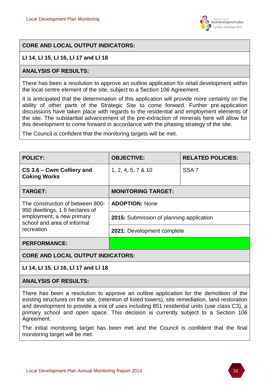

### **CORE AND LOCAL OUTPUT INDICATORS:**

### **LI 14, LI 15**, **LI 16, Ll 17 and Ll 18**

### **ANALYSIS OF RESULTS:**

There has been a resolution to approve an outline application for retail development within the local centre element of the site, subject to a Section 106 Agreement.

It is anticipated that the determination of this application will provide more certainty on the ability of other parts of the Strategic Site to come forward. Further pre-application discussions have taken place with regards to the residential and employment elements of the site. The substantial advancement of the pre-extraction of minerals here will allow for this development to come forward in accordance with the phasing strategy of the site.

The Council is confident that the monitoring targets will be met.

| <b>POLICY:</b>                                                                                                                               | <b>OBJECTIVE:</b>                        | <b>RELATED POLICIES:</b> |
|----------------------------------------------------------------------------------------------------------------------------------------------|------------------------------------------|--------------------------|
| CS 3.6 – Cwm Colliery and<br><b>Coking Works</b>                                                                                             | 1, 2, 4, 5, 7 & 10                       | SSA <sub>7</sub>         |
| <b>TARGET:</b>                                                                                                                               | <b>MONITORING TARGET:</b>                |                          |
| The construction of between 800-<br>950 dwellings, 1.9 hectares of<br>employment, a new primary<br>school and area of informal<br>recreation | <b>ADOPTION: None</b>                    |                          |
|                                                                                                                                              | 2015: Submission of planning application |                          |
|                                                                                                                                              | 2021: Development complete               |                          |
| <b>PERFORMANCE:</b>                                                                                                                          |                                          |                          |
| <b>CORE AND LOCAL OUTPUT INDICATORS:</b>                                                                                                     |                                          |                          |

## **LI 14, LI 15**, **LI 16, Ll 17 and Ll 18**

### **ANALYSIS OF RESULTS:**

There has been a resolution to approve an outline application for the demolition of the existing structures on the site, (retention of listed towers), site remediation, land restoration and development to provide a mix of uses including 851 residential units (use class C3), a primary school and open space. This decision is currently subject to a Section 106 Agreement.

The initial monitoring target has been met and the Council is confident that the final monitoring target will be met.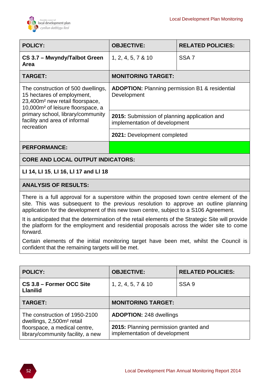

| <b>POLICY:</b>                                                                                                                                                                                                                                       | <b>OBJECTIVE:</b>                                                             | <b>RELATED POLICIES:</b> |
|------------------------------------------------------------------------------------------------------------------------------------------------------------------------------------------------------------------------------------------------------|-------------------------------------------------------------------------------|--------------------------|
| CS 3.7 - Mwyndy/Talbot Green<br>Area                                                                                                                                                                                                                 | 1, 2, 4, 5, 7 & 10                                                            | SSA <sub>7</sub>         |
| <b>TARGET:</b>                                                                                                                                                                                                                                       | <b>MONITORING TARGET:</b>                                                     |                          |
| The construction of 500 dwellings,<br>15 hectares of employment,<br>23,400m <sup>2</sup> new retail floorspace,<br>10,000m <sup>2</sup> of leisure floorspace, a<br>primary school, library/community<br>facility and area of informal<br>recreation | <b>ADOPTION:</b> Planning permission B1 & residential<br>Development          |                          |
|                                                                                                                                                                                                                                                      | 2015: Submission of planning application and<br>implementation of development |                          |
|                                                                                                                                                                                                                                                      | 2021: Development completed                                                   |                          |
| <b>PERFORMANCE:</b>                                                                                                                                                                                                                                  |                                                                               |                          |
| <b>CORE AND LOCAL OUTPUT INDICATORS:</b>                                                                                                                                                                                                             |                                                                               |                          |

### **LI 14, LI 15**, **LI 16, Ll 17 and Ll 18**

### **ANALYSIS OF RESULTS:**

There is a full approval for a superstore within the proposed town centre element of the site. This was subsequent to the previous resolution to approve an outline planning application for the development of this new town centre, subject to a S106 Agreement.

It is anticipated that the determination of the retail elements of the Strategic Site will provide the platform for the employment and residential proposals across the wider site to come forward.

Certain elements of the initial monitoring target have been met, whilst the Council is confident that the remaining targets will be met.

| <b>POLICY:</b>                                                                                              | <b>OBJECTIVE:</b>                                                      | <b>RELATED POLICIES:</b> |
|-------------------------------------------------------------------------------------------------------------|------------------------------------------------------------------------|--------------------------|
| CS 3.8 - Former OCC Site<br><b>Llanilid</b>                                                                 | 1, 2, 4, 5, 7, 8, 10                                                   | SSA <sub>9</sub>         |
| <b>TARGET:</b>                                                                                              | <b>MONITORING TARGET:</b>                                              |                          |
| The construction of 1950-2100                                                                               | <b>ADOPTION: 248 dwellings</b>                                         |                          |
| dwellings, 2,500m <sup>2</sup> retail<br>floorspace, a medical centre,<br>library/community facility, a new | 2015: Planning permission granted and<br>implementation of development |                          |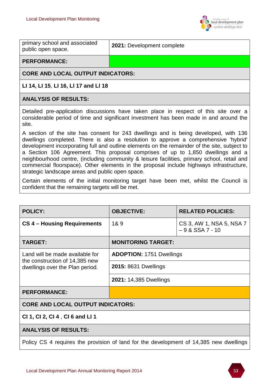

primary school and associated public open space. **2021:** Development complete

**PERFORMANCE:** 

### **CORE AND LOCAL OUTPUT INDICATORS:**

**LI 14, LI 15**, **LI 16, Ll 17 and Ll 18**

### **ANALYSIS OF RESULTS:**

Detailed pre-application discussions have taken place in respect of this site over a considerable period of time and significant investment has been made in and around the site.

A section of the site has consent for 243 dwellings and is being developed, with 136 dwellings completed. There is also a resolution to approve a comprehensive 'hybrid' development incorporating full and outline elements on the remainder of the site, subject to a Section 106 Agreement. This proposal comprises of up to 1,850 dwellings and a neighbourhood centre, (including community & leisure facilities, primary school, retail and commercial floorspace). Other elements in the proposal include highways infrastructure, strategic landscape areas and public open space.

Certain elements of the initial monitoring target have been met, whilst the Council is confident that the remaining targets will be met.

| <b>POLICY:</b>                                                                         | <b>OBJECTIVE:</b>               | <b>RELATED POLICIES:</b>                      |
|----------------------------------------------------------------------------------------|---------------------------------|-----------------------------------------------|
| <b>CS 4 - Housing Requirements</b>                                                     | 1& 9                            | CS 3, AW 1, NSA 5, NSA 7<br>$-9$ & SSA 7 - 10 |
| <b>TARGET:</b>                                                                         | <b>MONITORING TARGET:</b>       |                                               |
| Land will be made available for                                                        | <b>ADOPTION: 1751 Dwellings</b> |                                               |
| the construction of 14,385 new<br>dwellings over the Plan period.                      | <b>2015: 8631 Dwellings</b>     |                                               |
|                                                                                        | 2021: 14,385 Dwellings          |                                               |
| <b>PERFORMANCE:</b>                                                                    |                                 |                                               |
| <b>CORE AND LOCAL OUTPUT INDICATORS:</b>                                               |                                 |                                               |
| CI 1, CI 2, CI 4, CI 6 and LI 1                                                        |                                 |                                               |
| <b>ANALYSIS OF RESULTS:</b>                                                            |                                 |                                               |
| Policy CS 4 requires the provision of land for the development of 14,385 new dwellings |                                 |                                               |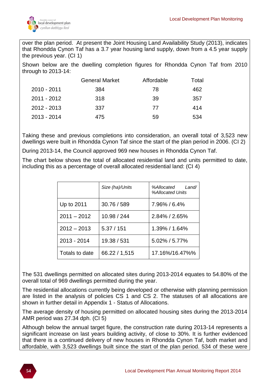

over the plan period. At present the Joint Housing Land Availability Study (2013), indicates that Rhondda Cynon Taf has a 3.7 year housing land supply, down from a 4.5 year supply the previous year. (CI 1)

Shown below are the dwelling completion figures for Rhondda Cynon Taf from 2010 through to 2013-14:

|             | <b>General Market</b> | Affordable | Total |
|-------------|-----------------------|------------|-------|
| 2010 - 2011 | 384                   | 78         | 462   |
| 2011 - 2012 | 318                   | 39         | 357   |
| 2012 - 2013 | 337                   | 77         | 414   |
| 2013 - 2014 | 475                   | 59         | 534   |

Taking these and previous completions into consideration, an overall total of 3,523 new dwellings were built in Rhondda Cynon Taf since the start of the plan period in 2006. (CI 2)

During 2013-14, the Council approved 969 new houses in Rhondda Cynon Taf.

The chart below shows the total of allocated residential land and units permitted to date, including this as a percentage of overall allocated residential land: (CI 4)

|                | Size (ha)/Units | Land/<br>%Allocated<br>%Allocated Units |
|----------------|-----------------|-----------------------------------------|
| Up to 2011     | 30.76 / 589     | 7.96% / 6.4%                            |
| $2011 - 2012$  | 10.98 / 244     | 2.84% / 2.65%                           |
| $2012 - 2013$  | 5.37/151        | 1.39% / 1.64%                           |
| 2013 - 2014    | 19.38 / 531     | 5.02% / 5.77%                           |
| Totals to date | 66.22 / 1,515   | 17.16%/16.47%%                          |

The 531 dwellings permitted on allocated sites during 2013-2014 equates to 54.80% of the overall total of 969 dwellings permitted during the year.

The residential allocations currently being developed or otherwise with planning permission are listed in the analysis of policies CS 1 and CS 2. The statuses of all allocations are shown in further detail in Appendix 1 - Status of Allocations.

The average density of housing permitted on allocated housing sites during the 2013-2014 AMR period was 27.34 dph. (CI 5)

Although below the annual target figure, the construction rate during 2013-14 represents a significant increase on last years building activity, of close to 30%. It is further evidenced that there is a continued delivery of new houses in Rhondda Cynon Taf, both market and affordable, with 3,523 dwellings built since the start of the plan period. 534 of these were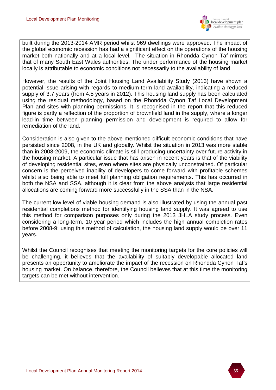

built during the 2013-2014 AMR period whilst 969 dwellings were approved. The impact of the global economic recession has had a significant effect on the operations of the housing market both nationally and at a local level. The situation in Rhondda Cynon Taf mirrors that of many South East Wales authorities. The under performance of the housing market locally is attributable to economic conditions not necessarily to the availability of land.

However, the results of the Joint Housing Land Availability Study (2013) have shown a potential issue arising with regards to medium-term land availability, indicating a reduced supply of 3.7 years (from 4.5 years in 2012). This housing land supply has been calculated using the residual methodology, based on the Rhondda Cynon Taf Local Development Plan and sites with planning permissions. It is recognised in the report that this reduced figure is partly a reflection of the proportion of brownfield land in the supply, where a longer lead-in time between planning permission and development is required to allow for remediation of the land.

Consideration is also given to the above mentioned difficult economic conditions that have persisted since 2008, in the UK and globally. Whilst the situation in 2013 was more stable than in 2008-2009, the economic climate is still producing uncertainty over future activity in the housing market. A particular issue that has arisen in recent years is that of the viability of developing residential sites, even where sites are physically unconstrained. Of particular concern is the perceived inability of developers to come forward with profitable schemes whilst also being able to meet full planning obligation requirements. This has occurred in both the NSA and SSA, although it is clear from the above analysis that large residential allocations are coming forward more successfully in the SSA than in the NSA.

The current low level of viable housing demand is also illustrated by using the annual past residential completions method for identifying housing land supply. It was agreed to use this method for comparison purposes only during the 2013 JHLA study process. Even considering a long-term, 10 year period which includes the high annual completion rates before 2008-9; using this method of calculation, the housing land supply would be over 11 years.

Whilst the Council recognises that meeting the monitoring targets for the core policies will be challenging, it believes that the availability of suitably developable allocated land presents an opportunity to ameliorate the impact of the recession on Rhondda Cynon Taf's housing market. On balance, therefore, the Council believes that at this time the monitoring targets can be met without intervention.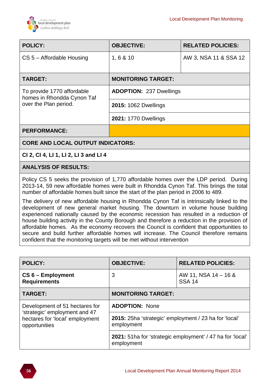

| <b>POLICY:</b>                                                                    | <b>OBJECTIVE:</b>              | <b>RELATED POLICIES:</b> |
|-----------------------------------------------------------------------------------|--------------------------------|--------------------------|
| $CS 5 -$ Affordable Housing                                                       | 1, 6 & 10                      | AW 3, NSA 11 & SSA 12    |
|                                                                                   |                                |                          |
| <b>TARGET:</b>                                                                    | <b>MONITORING TARGET:</b>      |                          |
| To provide 1770 affordable<br>homes in Rhondda Cynon Taf<br>over the Plan period. | <b>ADOPTION: 237 Dwellings</b> |                          |
|                                                                                   | <b>2015: 1062 Dwellings</b>    |                          |
|                                                                                   | <b>2021: 1770 Dwellings</b>    |                          |
| <b>PERFORMANCE:</b>                                                               |                                |                          |
| <b>CORE AND LOCAL OUTPUT INDICATORS:</b>                                          |                                |                          |

**CI 2, CI 4, LI 1, LI 2, LI 3 and LI 4** 

### **ANALYSIS OF RESULTS:**

Policy CS 5 seeks the provision of 1,770 affordable homes over the LDP period. During 2013-14, 59 new affordable homes were built in Rhondda Cynon Taf. This brings the total number of affordable homes built since the start of the plan period in 2006 to 489.

The delivery of new affordable housing in Rhondda Cynon Taf is intrinsically linked to the development of new general market housing. The downturn in volume house building experienced nationally caused by the economic recession has resulted in a reduction of house building activity in the County Borough and therefore a reduction in the provision of affordable homes. As the economy recovers the Council is confident that opportunities to secure and build further affordable homes will increase. The Council therefore remains confident that the monitoring targets will be met without intervention

| <b>POLICY:</b>                                                                                                      | <b>OBJECTIVE:</b>                                                       | <b>RELATED POLICIES:</b>              |
|---------------------------------------------------------------------------------------------------------------------|-------------------------------------------------------------------------|---------------------------------------|
| $CS 6$ – Employment<br><b>Requirements</b>                                                                          | 3                                                                       | AW 11, NSA 14 - 16 &<br><b>SSA 14</b> |
| <b>TARGET:</b>                                                                                                      | <b>MONITORING TARGET:</b>                                               |                                       |
| Development of 51 hectares for<br>'strategic' employment and 47<br>hectares for 'local' employment<br>opportunities | <b>ADOPTION: None</b>                                                   |                                       |
|                                                                                                                     | 2015: 25ha 'strategic' employment / 23 ha for 'local'<br>employment     |                                       |
|                                                                                                                     | 2021: 51ha for 'strategic employment' / 47 ha for 'local'<br>employment |                                       |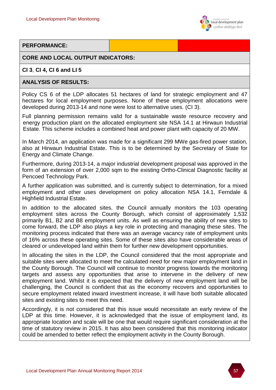

#### **PERFORMANCE:**

### **CORE AND LOCAL OUTPUT INDICATORS:**

#### **CI 3**, **CI 4, CI 6 and LI 5**

#### **ANALYSIS OF RESULTS:**

Policy CS 6 of the LDP allocates 51 hectares of land for strategic employment and 47 hectares for local employment purposes. None of these employment allocations were developed during 2013-14 and none were lost to alternative uses. (CI 3).

Full planning permission remains valid for a sustainable waste resource recovery and energy production plant on the allocated employment site NSA 14.1 at Hirwaun Industrial Estate. This scheme includes a combined heat and power plant with capacity of 20 MW.

In March 2014, an application was made for a significant 299 MWe gas-fired power station, also at Hirwaun Industrial Estate. This is to be determined by the Secretary of State for Energy and Climate Change.

Furthermore, during 2013-14, a major industrial development proposal was approved in the form of an extension of over 2,000 sqm to the existing Ortho-Clinical Diagnostic facility at Pencoed Technology Park.

A further application was submitted, and is currently subject to determination, for a mixed employment and other uses development on policy allocation NSA 14.1, Ferndale & Highfield Industrial Estate.

In addition to the allocated sites, the Council annually monitors the 103 operating employment sites across the County Borough, which consist of approximately 1,532 primarily B1, B2 and B8 employment units. As well as ensuring the ability of new sites to come forward, the LDP also plays a key role in protecting and managing these sites. The monitoring process indicated that there was an average vacancy rate of employment units of 16% across these operating sites. Some of these sites also have considerable areas of cleared or undeveloped land within them for further new development opportunities.

In allocating the sites in the LDP, the Council considered that the most appropriate and suitable sites were allocated to meet the calculated need for new major employment land in the County Borough. The Council will continue to monitor progress towards the monitoring targets and assess any opportunities that arise to intervene in the delivery of new employment land. Whilst it is expected that the delivery of new employment land will be challenging, the Council is confident that as the economy recovers and opportunities to secure employment related inward investment increase, it will have both suitable allocated sites and existing sites to meet this need.

Accordingly, it is not considered that this issue would necessitate an early review of the LDP at this time. However, it is acknowledged that the issue of employment land, its appropriate location and scale will be one that would require significant consideration at the time of statutory review in 2015. It has also been considered that this monitoring indicator could be amended to better reflect the employment activity in the County Borough.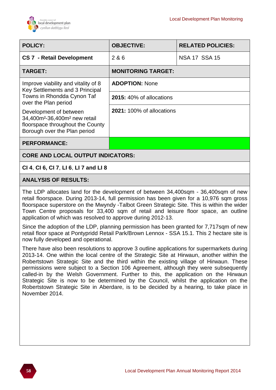

| <b>POLICY:</b>                                                                                                                                      | <b>OBJECTIVE:</b>                | <b>RELATED POLICIES:</b> |
|-----------------------------------------------------------------------------------------------------------------------------------------------------|----------------------------------|--------------------------|
| <b>CS 7 - Retail Development</b>                                                                                                                    | 2 & 6                            | <b>NSA 17 SSA 15</b>     |
| <b>TARGET:</b>                                                                                                                                      | <b>MONITORING TARGET:</b>        |                          |
| Improve viability and vitality of 8<br>Key Settlements and 3 Principal                                                                              | <b>ADOPTION: None</b>            |                          |
| Towns in Rhondda Cynon Taf<br>over the Plan period                                                                                                  | <b>2015:</b> 40% of allocations  |                          |
| Development of between<br>34,400m <sup>2</sup> -36,400m <sup>2</sup> new retail<br>floorspace throughout the County<br>Borough over the Plan period | <b>2021:</b> 100% of allocations |                          |
| <b>PERFORMANCE:</b>                                                                                                                                 |                                  |                          |
| <b>CORE AND LOCAL OUTPUT INDICATORS:</b>                                                                                                            |                                  |                          |

### **CI 4**, **CI 6, CI 7**, **LI 6**, **LI 7 and LI 8**

### **ANALYSIS OF RESULTS:**

The LDP allocates land for the development of between 34,400sqm - 36,400sqm of new retail floorspace. During 2013-14, full permission has been given for a 10,976 sqm gross floorspace superstore on the Mwyndy -Talbot Green Strategic Site. This is within the wider Town Centre proposals for 33,400 sqm of retail and leisure floor space, an outline application of which was resolved to approve during 2012-13.

Since the adoption of the LDP, planning permission has been granted for 7,717sqm of new retail floor space at Pontypridd Retail Park/Brown Lennox - SSA 15.1. This 2 hectare site is now fully developed and operational.

There have also been resolutions to approve 3 outline applications for supermarkets during 2013-14. One within the local centre of the Strategic Site at Hirwaun, another within the Robertstown Strategic Site and the third within the existing village of Hirwaun. These permissions were subject to a Section 106 Agreement, although they were subsequently called-in by the Welsh Government. Further to this, the application on the Hirwaun Strategic Site is now to be determined by the Council, whilst the application on the Robertstown Strategic Site in Aberdare, is to be decided by a hearing, to take place in November 2014.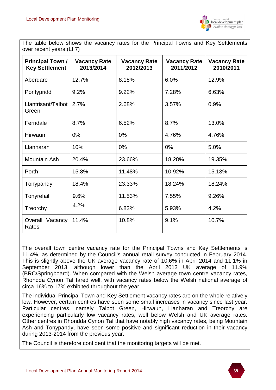

The table below shows the vacancy rates for the Principal Towns and Key Settlements over recent years:(LI 7)

| <b>Principal Town /</b><br><b>Key Settlement</b> | <b>Vacancy Rate</b><br>2013/2014 | <b>Vacancy Rate</b><br>2012/2013 | <b>Vacancy Rate</b><br>2011/2012 | <b>Vacancy Rate</b><br>2010/2011 |
|--------------------------------------------------|----------------------------------|----------------------------------|----------------------------------|----------------------------------|
| Aberdare                                         | 12.7%                            | 8.18%                            | 6.0%                             | 12.9%                            |
| Pontypridd                                       | 9.2%                             | 9.22%                            | 7.28%                            | 6.63%                            |
| Llantrisant/Talbot<br>Green                      | 2.7%                             | 2.68%                            | 3.57%                            | 0.9%                             |
| Ferndale                                         | 8.7%                             | 6.52%                            | 8.7%                             | 13.0%                            |
| Hirwaun                                          | 0%                               | 0%                               | 4.76%                            | 4.76%                            |
| Llanharan                                        | 10%                              | 0%                               | 0%                               | 5.0%                             |
| <b>Mountain Ash</b>                              | 20.4%                            | 23.66%                           | 18.28%                           | 19.35%                           |
| Porth                                            | 15.8%                            | 11.48%                           | 10.92%                           | 15.13%                           |
| Tonypandy                                        | 18.4%                            | 23.33%                           | 18.24%                           | 18.24%                           |
| Tonyrefail                                       | 9.6%                             | 11.53%                           | 7.55%                            | 9.26%                            |
| Treorchy                                         | 4.2%                             | 6.83%                            | 5.93%                            | 4.2%                             |
| Overall Vacancy<br>Rates                         | 11.4%                            | 10.8%                            | 9.1%                             | 10.7%                            |

The overall town centre vacancy rate for the Principal Towns and Key Settlements is 11.4%, as determined by the Council's annual retail survey conducted in February 2014. This is slightly above the UK average vacancy rate of 10.6% in April 2014 and 11.1% in September 2013, although lower than the April 2013 UK average of 11.9% (BRC/Springboard). When compared with the Welsh average town centre vacancy rates, Rhondda Cynon Taf fared well, with vacancy rates below the Welsh national average of circa 16% to 17% exhibited throughout the year.

The individual Principal Town and Key Settlement vacancy rates are on the whole relatively low. However, certain centres have seen some small increases in vacancy since last year. Particular centres, namely Talbot Green, Hirwaun, Llanharan and Treorchy are experiencing particularly low vacancy rates, well below Welsh and UK average rates. Other centres in Rhondda Cynon Taf that have notably high vacancy rates, being Mountain Ash and Tonypandy, have seen some positive and significant reduction in their vacancy during 2013-2014 from the previous year.

The Council is therefore confident that the monitoring targets will be met.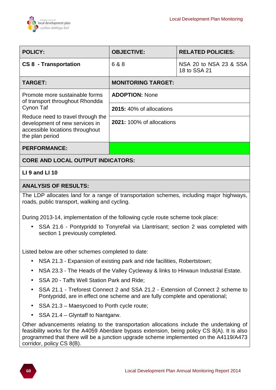

| <b>POLICY:</b>                                                                                                            | <b>OBJECTIVE:</b>                | <b>RELATED POLICIES:</b>               |  |
|---------------------------------------------------------------------------------------------------------------------------|----------------------------------|----------------------------------------|--|
| <b>CS 8 - Transportation</b>                                                                                              | 6 & 8                            | NSA 20 to NSA 23 & SSA<br>18 to SSA 21 |  |
| <b>TARGET:</b>                                                                                                            | <b>MONITORING TARGET:</b>        |                                        |  |
| Promote more sustainable forms<br>of transport throughout Rhondda                                                         | <b>ADOPTION: None</b>            |                                        |  |
| Cynon Taf                                                                                                                 | <b>2015:</b> 40% of allocations  |                                        |  |
| Reduce need to travel through the<br>development of new services in<br>accessible locations throughout<br>the plan period | <b>2021:</b> 100% of allocations |                                        |  |
| <b>PERFORMANCE:</b>                                                                                                       |                                  |                                        |  |
|                                                                                                                           |                                  |                                        |  |

### **CORE AND LOCAL OUTPUT INDICATORS:**

### **LI 9 and LI 10**

### **ANALYSIS OF RESULTS:**

The LDP allocates land for a range of transportation schemes, including major highways, roads, public transport, walking and cycling.

During 2013-14, implementation of the following cycle route scheme took place:

• SSA 21.6 - Pontypridd to Tonyrefail via Llantrisant; section 2 was completed with section 1 previously completed.

Listed below are other schemes completed to date:

- NSA 21.3 Expansion of existing park and ride facilities, Robertstown;
- NSA 23.3 The Heads of the Valley Cycleway & links to Hirwaun Industrial Estate.
- SSA 20 Taffs Well Station Park and Ride;
- SSA 21.1 Treforest Connect 2 and SSA 21.2 Extension of Connect 2 scheme to Pontypridd, are in effect one scheme and are fully complete and operational;
- SSA 21.3 Maesycoed to Porth cycle route;
- SSA 21.4 Glyntaff to Nantgarw.

Other advancements relating to the transportation allocations include the undertaking of feasibility works for the A4059 Aberdare bypass extension, being policy CS 8(A). It is also programmed that there will be a junction upgrade scheme implemented on the A4119/A473 corridor, policy CS 8(B).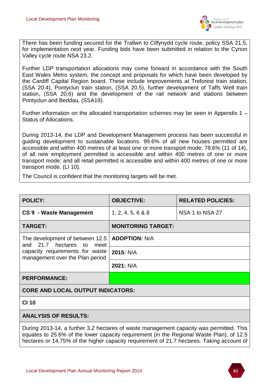

There has been funding secured for the Trallwn to Cilfynydd cycle route, policy SSA 21.5, for implementation next year. Funding bids have been submitted in relation to the Cynon Valley cycle route NSA 23.2.

Further LDP transportation allocations may come forward in accordance with the South East Wales Metro system, the concept and proposals for which have been developed by the Cardiff Capital Region board. These include improvements at Treforest train station, (SSA 20.4), Pontyclun train station, (SSA 20.5), further development of Taffs Well train station, (SSA 20.6) and the development of the rail network and stations between Pontyclun and Beddau, (SSA19).

Further information on the allocated transportation schemes may be seen in Appendix 1 – Status of Allocations.

During 2013-14, the LDP and Development Management process has been successful in guiding development to sustainable locations. 99.6% of all new houses permitted are accessible and within 400 metres of at least one or more transport mode; 78.6% (11 of 14), of all new employment permitted is accessible and within 400 metres of one or more transport mode; and all retail permitted is accessible and within 400 metres of one or more transport mode. (LI 10).

The Council is confident that the monitoring targets will be met.

| <b>POLICY:</b>                                                     | <b>OBJECTIVE:</b>         | <b>RELATED POLICIES:</b> |  |
|--------------------------------------------------------------------|---------------------------|--------------------------|--|
| CS 9 - Waste Management                                            | 1, 2, 4, 5, 6 & 88        | NSA 1 to NSA 27          |  |
| <b>TARGET:</b>                                                     | <b>MONITORING TARGET:</b> |                          |  |
| The development of between 12.5<br>and 21.7 hectares to meet       | <b>ADOPTION: N/A</b>      |                          |  |
| capacity requirements for waste<br>management over the Plan period | 2015: N/A                 |                          |  |
|                                                                    | 2021: N/A                 |                          |  |
| <b>PERFORMANCE:</b>                                                |                           |                          |  |
| <b>CORE AND LOCAL OUTPUT INDICATORS:</b>                           |                           |                          |  |
| <b>CI 10</b>                                                       |                           |                          |  |

**ANALYSIS OF RESULTS:** 

During 2013-14, a further 3.2 hectares of waste management capacity was permitted. This equates to 25.6% of the lower capacity requirement (in the Regional Waste Plan), of 12.5 hectares or 14.75% of the higher capacity requirement of 21.7 hectares. Taking account of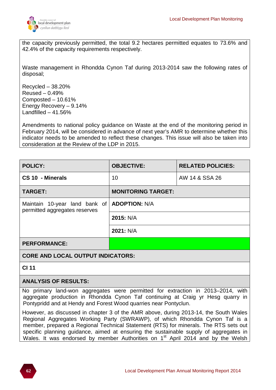

the capacity previously permitted, the total 9.2 hectares permitted equates to 73.6% and 42.4% of the capacity requirements respectively.

Waste management in Rhondda Cynon Taf during 2013-2014 saw the following rates of disposal;

Recycled – 38.20%  $Reused - 0.49%$ Composted – 10.61% Energy Recovery – 9.14% Landfilled  $-41.56%$ 

Amendments to national policy guidance on Waste at the end of the monitoring period in February 2014, will be considered in advance of next year's AMR to determine whether this indicator needs to be amended to reflect these changes. This issue will also be taken into consideration at the Review of the LDP in 2015.

| <b>POLICY:</b>                                                                 | <b>OBJECTIVE:</b>         | <b>RELATED POLICIES:</b> |
|--------------------------------------------------------------------------------|---------------------------|--------------------------|
| CS 10 - Minerals                                                               | 10                        | AW 14 & SSA 26           |
| <b>TARGET:</b>                                                                 | <b>MONITORING TARGET:</b> |                          |
| Maintain 10-year land bank of   ADOPTION: N/A<br>permitted aggregates reserves |                           |                          |
|                                                                                | 2015: N/A                 |                          |
|                                                                                | 2021: N/A                 |                          |
| <b>PERFORMANCE:</b>                                                            |                           |                          |

### **CORE AND LOCAL OUTPUT INDICATORS:**

### **CI 11**

### **ANALYSIS OF RESULTS:**

No primary land-won aggregates were permitted for extraction in 2013–2014, with aggregate production in Rhondda Cynon Taf continuing at Craig yr Hesg quarry in Pontypridd and at Hendy and Forest Wood quarries near Pontyclun.

However, as discussed in chapter 3 of the AMR above, during 2013-14, the South Wales Regional Aggregates Working Party (SWRAWP), of which Rhondda Cynon Taf is a member, prepared a Regional Technical Statement (RTS) for minerals. The RTS sets out specific planning guidance, aimed at ensuring the sustainable supply of aggregates in Wales. It was endorsed by member Authorities on 1<sup>st</sup> April 2014 and by the Welsh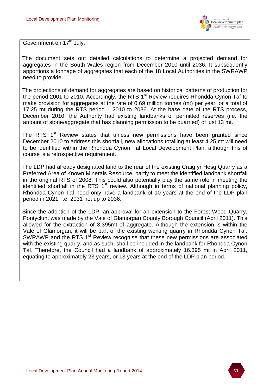

Government on 17<sup>th</sup> July.

The document sets out detailed calculations to determine a projected demand for aggregates in the South Wales region from December 2010 until 2036. It subsequently apportions a tonnage of aggregates that each of the 18 Local Authorities in the SWRAWP need to provide.

The projections of demand for aggregates are based on historical patterns of production for the period 2001 to 2010. Accordingly, the RTS 1<sup>st</sup> Review requires Rhondda Cynon Taf to make provision for aggregates at the rate of 0.69 million tonnes (mt) per year, or a total of 17.25 mt during the RTS period – 2010 to 2036. At the base date of the RTS process, December 2010, the Authority had existing landbanks of permitted reserves (i.e. the amount of stone/aggregate that has planning permission to be quarried) of just 13 mt.

The RTS 1<sup>st</sup> Review states that unless new permissions have been granted since December 2010 to address this shortfall, new allocations totalling at least 4.25 mt will need to be identified within the Rhondda Cynon Taf Local Development Plan; although this of course is a retrospective requirement.

The LDP had already designated land to the rear of the existing Craig yr Hesg Quarry as a Preferred Area of Known Minerals Resource, partly to meet the identified landbank shortfall in the original RTS of 2008. This could also potentially play the same role in meeting the identified shortfall in the RTS  $1<sup>st</sup>$  review. Although in terms of national planning policy, Rhondda Cynon Taf need only have a landbank of 10 years at the end of the LDP plan period in 2021, i.e. 2031 not up to 2036.

Since the adoption of the LDP, an approval for an extension to the Forest Wood Quarry, Pontyclun, was made by the Vale of Glamorgan County Borough Council (April 2011). This allowed for the extraction of 3.395mt of aggregate. Although the extension is within the Vale of Glamorgan, it will be part of the existing working quarry in Rhondda Cynon Taf. SWRAWP and the RTS 1<sup>st</sup> Review recognise that these new permissions are associated with the existing quarry, and as such, shall be included in the landbank for Rhondda Cynon Taf. Therefore, the Council had a landbank of approximately 16.395 mt in April 2011, equating to approximately 23 years, or 13 years at the end of the LDP plan period.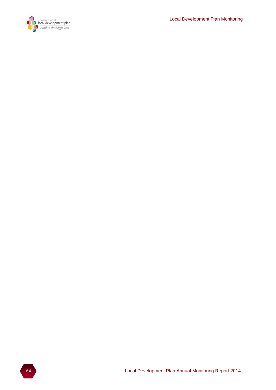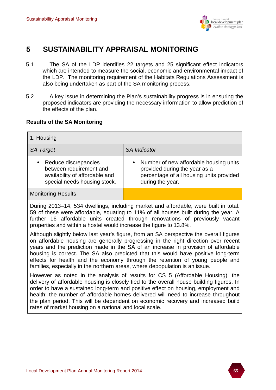

# **5 SUSTAINABILITY APPRAISAL MONITORING**

- 5.1 The SA of the LDP identifies 22 targets and 25 significant effect indicators which are intended to measure the social, economic and environmental impact of the LDP. The monitoring requirement of the Habitats Regulations Assessment is also being undertaken as part of the SA monitoring process.
- 5.2 A key issue in determining the Plan's sustainability progress is in ensuring the proposed indicators are providing the necessary information to allow prediction of the effects of the plan.

### **Results of the SA Monitoring**

| 1. Housing                                                                                                                                                                                                                                                                                                                                                                                                                                                                                                            |                                                                                                                                         |  |
|-----------------------------------------------------------------------------------------------------------------------------------------------------------------------------------------------------------------------------------------------------------------------------------------------------------------------------------------------------------------------------------------------------------------------------------------------------------------------------------------------------------------------|-----------------------------------------------------------------------------------------------------------------------------------------|--|
| <b>SA Target</b>                                                                                                                                                                                                                                                                                                                                                                                                                                                                                                      | <b>SA</b> Indicator                                                                                                                     |  |
| Reduce discrepancies<br>between requirement and<br>availability of affordable and<br>special needs housing stock.                                                                                                                                                                                                                                                                                                                                                                                                     | Number of new affordable housing units<br>provided during the year as a<br>percentage of all housing units provided<br>during the year. |  |
| <b>Monitoring Results</b>                                                                                                                                                                                                                                                                                                                                                                                                                                                                                             |                                                                                                                                         |  |
| During 2013–14, 534 dwellings, including market and affordable, were built in total.<br>59 of these were affordable, equating to 11% of all houses built during the year. A<br>further 16 affordable units created through renovations of previously vacant<br>properties and within a hostel would increase the figure to 13.8%.                                                                                                                                                                                     |                                                                                                                                         |  |
| Although slightly below last year's figure, from an SA perspective the overall figures<br>on affordable housing are generally progressing in the right direction over recent<br>years and the prediction made in the SA of an increase in provision of affordable<br>housing is correct. The SA also predicted that this would have positive long-term<br>effects for health and the economy through the retention of young people and<br>families, especially in the northern areas, where depopulation is an issue. |                                                                                                                                         |  |

However as noted in the analysis of results for CS 5 (Affordable Housing), the delivery of affordable housing is closely tied to the overall house building figures. In order to have a sustained long-term and positive effect on housing, employment and health; the number of affordable homes delivered will need to increase throughout the plan period. This will be dependent on economic recovery and increased build rates of market housing on a national and local scale.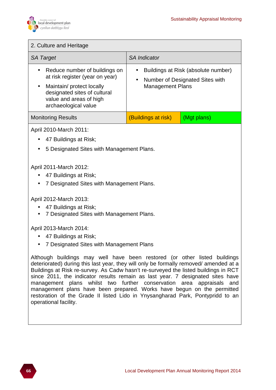

| 2. Culture and Heritage                                                                                                                                                                                    |                                                                                                                                                                                                                                                                                                                                                                       |  |
|------------------------------------------------------------------------------------------------------------------------------------------------------------------------------------------------------------|-----------------------------------------------------------------------------------------------------------------------------------------------------------------------------------------------------------------------------------------------------------------------------------------------------------------------------------------------------------------------|--|
| <b>SA Target</b>                                                                                                                                                                                           | <b>SA Indicator</b>                                                                                                                                                                                                                                                                                                                                                   |  |
| Reduce number of buildings on<br>$\bullet$<br>at risk register (year on year)<br>Maintain/ protect locally<br>$\bullet$<br>designated sites of cultural<br>value and areas of high<br>archaeological value | Buildings at Risk (absolute number)<br>$\bullet$<br>Number of Designated Sites with<br>$\bullet$<br><b>Management Plans</b>                                                                                                                                                                                                                                           |  |
| <b>Monitoring Results</b>                                                                                                                                                                                  | (Buildings at risk)<br>(Mgt plans)                                                                                                                                                                                                                                                                                                                                    |  |
| April 2010-March 2011:<br>47 Buildings at Risk;<br>5 Designated Sites with Management Plans.<br>April 2011-March 2012:                                                                                     |                                                                                                                                                                                                                                                                                                                                                                       |  |
| 47 Buildings at Risk;<br>7 Designated Sites with Management Plans.                                                                                                                                         |                                                                                                                                                                                                                                                                                                                                                                       |  |
| April 2012-March 2013:<br>47 Buildings at Risk;<br>7 Designated Sites with Management Plans.                                                                                                               |                                                                                                                                                                                                                                                                                                                                                                       |  |
| April 2013-March 2014:<br>47 Buildings at Risk;<br>7 Designated Sites with Management Plans                                                                                                                |                                                                                                                                                                                                                                                                                                                                                                       |  |
| management plans whilst two further conservation                                                                                                                                                           | Although buildings may well have been restored (or other listed buildings<br>deteriorated) during this last year, they will only be formally removed/ amended at a<br>Buildings at Risk re-survey. As Cadw hasn't re-surveyed the listed buildings in RCT<br>since 2011, the indicator results remain as last year. 7 designated sites have<br>area appraisals<br>and |  |

management plans have been prepared. Works have begun on the permitted restoration of the Grade II listed Lido in Ynysangharad Park, Pontypridd to an operational facility.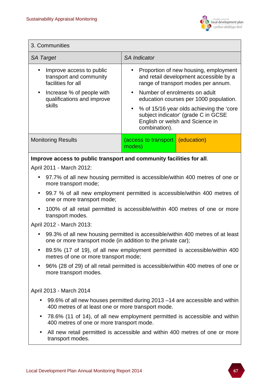г



| 3. Communities                                                                 |                                                                                                                                       |  |  |  |
|--------------------------------------------------------------------------------|---------------------------------------------------------------------------------------------------------------------------------------|--|--|--|
| <b>SA Target</b>                                                               | <b>SA Indicator</b>                                                                                                                   |  |  |  |
| Improve access to public<br>transport and community<br>facilities for all      | Proportion of new housing, employment<br>$\bullet$<br>and retail development accessible by a<br>range of transport modes per annum.   |  |  |  |
| Increase % of people with<br>$\bullet$<br>qualifications and improve<br>skills | • Number of enrolments on adult<br>education courses per 1000 population.                                                             |  |  |  |
|                                                                                | • % of 15/16 year olds achieving the 'core<br>subject indicator' (grade C in GCSE<br>English or welsh and Science in<br>combination). |  |  |  |
| <b>Monitoring Results</b>                                                      | (access to transport (education)<br>modes)                                                                                            |  |  |  |

### **Improve access to public transport and community facilities for all**.

April 2011 - March 2012:

- 97.7% of all new housing permitted is accessible/within 400 metres of one or more transport mode;
- 99.7 % of all new employment permitted is accessible/within 400 metres of one or more transport mode;
- 100% of all retail permitted is accessible/within 400 metres of one or more transport modes.

April 2012 - March 2013:

- 99.3% of all new housing permitted is accessible/within 400 metres of at least one or more transport mode (in addition to the private car);
- 89.5% (17 of 19), of all new employment permitted is accessible/within 400 metres of one or more transport mode;
- 96% (28 of 29) of all retail permitted is accessible/within 400 metres of one or more transport modes.

April 2013 - March 2014

- 99.6% of all new houses permitted during 2013 –14 are accessible and within 400 metres of at least one or more transport mode.
- 78.6% (11 of 14), of all new employment permitted is accessible and within 400 metres of one or more transport mode.
- All new retail permitted is accessible and within 400 metres of one or more transport modes.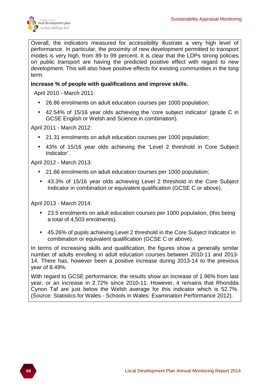

Overall, the indicators measured for accessibility illustrate a very high level of performance. In particular, the proximity of new development permitted to transport modes is very high, from 89 to 99 percent. It is clear that the LDPs strong policies on public transport are having the predicted positive effect with regard to new development. This will also have positive effects for existing communities in the long term.

### **Increase % of people with qualifications and improve skills.**

April 2010 - March 2011:

- 26.86 enrolments on adult education courses per 1000 population;
- 42.54% of 15/16 year olds achieving the 'core subject indicator' (grade C in GCSE English or Welsh and Science in combination).

April 2011 - March 2012:

- 21.31 enrolments on adult education courses per 1000 population;
- 43% of 15/16 year olds achieving the 'Level 2 threshold in Core Subject Indicator'.

April 2012 - March 2013:

- 21.66 enrolments on adult education courses per 1000 population;
- 43.3% of 15/16 year olds achieving Level 2 threshold in the Core Subject Indicator in combination or equivalent qualification (GCSE C or above).

April 2013 - March 2014:

- 23.5 enrolments on adult education courses per 1000 population, (this being a total of 4,503 enrolments).
- 45.26% of pupils achieving Level 2 threshold in the Core Subject Indicator in combination or equivalent qualification (GCSE C or above).

In terms of increasing skills and qualification, the figures show a generally similar number of adults enrolling in adult education courses between 2010-11 and 2013- 14. There has, however been a positive increase during 2013-14 to the previous year of 8.49%.

With regard to GCSE performance, the results show an increase of 1.96% from last year, or an increase in 2.72% since 2010-11. However, it remains that Rhondda Cynon Taf are just below the Welsh average for this indicator which is 52.7%. (Source: Statistics for Wales - Schools in Wales: Examination Performance 2012).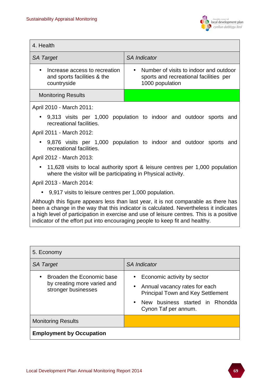

| 4. Health                                                                                                                                                                    |                                                                                                     |  |  |  |
|------------------------------------------------------------------------------------------------------------------------------------------------------------------------------|-----------------------------------------------------------------------------------------------------|--|--|--|
| <b>SA Target</b>                                                                                                                                                             | <b>SA</b> Indicator                                                                                 |  |  |  |
| Increase access to recreation<br>and sports facilities & the<br>countryside                                                                                                  | Number of visits to indoor and outdoor<br>sports and recreational facilities per<br>1000 population |  |  |  |
| <b>Monitoring Results</b>                                                                                                                                                    |                                                                                                     |  |  |  |
| April 2010 - March 2011:                                                                                                                                                     |                                                                                                     |  |  |  |
| • 9,313 visits per 1,000 population to indoor and outdoor sports and<br>recreational facilities.                                                                             |                                                                                                     |  |  |  |
| April 2011 - March 2012:                                                                                                                                                     |                                                                                                     |  |  |  |
| 9,876 visits per 1,000 population to indoor and outdoor sports and<br>recreational facilities.                                                                               |                                                                                                     |  |  |  |
| April 2012 - March 2013:                                                                                                                                                     |                                                                                                     |  |  |  |
| • 11,628 visits to local authority sport & leisure centres per 1,000 population<br>where the visitor will be participating in Physical activity.                             |                                                                                                     |  |  |  |
| April 2013 - March 2014:                                                                                                                                                     |                                                                                                     |  |  |  |
| • 9,917 visits to leisure centres per 1,000 population.                                                                                                                      |                                                                                                     |  |  |  |
| Although this figure appears less than last year, it is not comparable as there has<br>been a change in the way that this indicator is calculated. Nevertheless it indicates |                                                                                                     |  |  |  |

been a change in the way that this indicator is calculated. Nevertheless it indicates a high level of participation in exercise and use of leisure centres. This is a positive indicator of the effort put into encouraging people to keep fit and healthy.

| 5. Economy                                                                                   |                                                                                                                                                                         |  |  |
|----------------------------------------------------------------------------------------------|-------------------------------------------------------------------------------------------------------------------------------------------------------------------------|--|--|
| <b>SA Target</b>                                                                             | <b>SA</b> Indicator                                                                                                                                                     |  |  |
| Broaden the Economic base<br>$\bullet$<br>by creating more varied and<br>stronger businesses | Economic activity by sector<br>• Annual vacancy rates for each<br><b>Principal Town and Key Settlement</b><br>• New business started in Rhondda<br>Cynon Taf per annum. |  |  |
| <b>Monitoring Results</b>                                                                    |                                                                                                                                                                         |  |  |
| <b>Employment by Occupation</b>                                                              |                                                                                                                                                                         |  |  |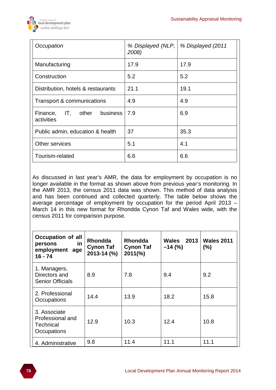

| Occupation                                   | % Displayed (NLP,<br>2008) | % Displayed (2011 |
|----------------------------------------------|----------------------------|-------------------|
| Manufacturing                                | 17.9                       | 17.9              |
| Construction                                 | 5.2                        | 5.2               |
| Distribution, hotels & restaurants           | 21.1                       | 19.1              |
| Transport & communications                   | 4.9                        | 4.9               |
| Finance, IT, other<br>business<br>activities | 7.9                        | 6.9               |
| Public admin, education & health             | 37                         | 35.3              |
| Other services                               | 5.1                        | 4.1               |
| Tourism-related                              | 6.6                        | 6.6               |

As discussed in last year's AMR, the data for employment by occupation is no longer available in the format as shown above from previous year's monitoring. In the AMR 2013, the census 2011 data was shown. This method of data analysis and has been continued and collected quarterly. The table below shows the average percentage of employment by occupation for the period April 2013 – March 14 in this new format for Rhondda Cynon Taf and Wales wide, with the census 2011 for comparison purpose.

| <b>Occupation of all</b><br>in<br>persons<br>employment age<br>$16 - 74$ | <b>Rhondda</b><br><b>Cynon Taf</b><br>2013-14 (%) | <b>Rhondda</b><br><b>Cynon Taf</b><br>$2011\frac{6}{6}$ | 2013<br>Wales<br>$-14$ (%) | <b>Wales 2011</b><br>(%) |
|--------------------------------------------------------------------------|---------------------------------------------------|---------------------------------------------------------|----------------------------|--------------------------|
| 1. Managers,<br>Directors and<br><b>Senior Officials</b>                 | 8.9                                               | 7.8                                                     | 9.4                        | 9.2                      |
| 2. Professional<br>Occupations                                           | 14.4                                              | 13.9                                                    | 18.2                       | 15.8                     |
| 3. Associate<br>Professional and<br>Technical<br>Occupations             | 12.9                                              | 10.3                                                    | 12.4                       | 10.8                     |
| 4. Administrative                                                        | 9.8                                               | 11.4                                                    | 11.1                       | 11.1                     |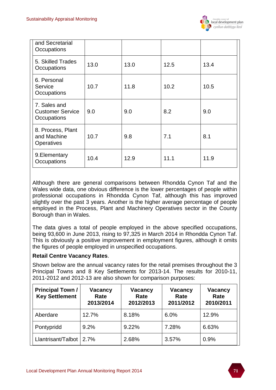

| and Secretarial<br>Occupations                         |      |      |      |      |
|--------------------------------------------------------|------|------|------|------|
| 5. Skilled Trades<br>Occupations                       | 13.0 | 13.0 | 12.5 | 13.4 |
| 6. Personal<br>Service<br>Occupations                  | 10.7 | 11.8 | 10.2 | 10.5 |
| 7. Sales and<br><b>Customer Service</b><br>Occupations | 9.0  | 9.0  | 8.2  | 9.0  |
| 8. Process, Plant<br>and Machine<br><b>Operatives</b>  | 10.7 | 9.8  | 7.1  | 8.1  |
| 9. Elementary<br>Occupations                           | 10.4 | 12.9 | 11.1 | 11.9 |

Although there are general comparisons between Rhondda Cynon Taf and the Wales wide data, one obvious difference is the lower percentages of people within professional occupations in Rhondda Cynon Taf, although this has improved slightly over the past 3 years. Another is the higher average percentage of people employed in the Process, Plant and Machinery Operatives sector in the County Borough than in Wales.

The data gives a total of people employed in the above specified occupations, being 93,600 in June 2013, rising to 97,325 in March 2014 in Rhondda Cynon Taf. This is obviously a positive improvement in employment figures, although it omits the figures of people employed in unspecified occupations.

# **Retail Centre Vacancy Rates**.

Shown below are the annual vacancy rates for the retail premises throughout the 3 Principal Towns and 8 Key Settlements for 2013-14. The results for 2010-11, 2011-2012 and 2012-13 are also shown for comparison purposes:

| <b>Principal Town /</b><br><b>Key Settlement</b> | Vacancy<br>Rate<br>2013/2014 | <b>Vacancy</b><br>Rate<br>2012/2013 | <b>Vacancy</b><br>Rate<br>2011/2012 | <b>Vacancy</b><br>Rate<br>2010/2011 |
|--------------------------------------------------|------------------------------|-------------------------------------|-------------------------------------|-------------------------------------|
| Aberdare                                         | 12.7%                        | 8.18%                               | 6.0%                                | 12.9%                               |
| Pontypridd                                       | 9.2%                         | 9.22%                               | 7.28%                               | 6.63%                               |
| Llantrisant/Talbot                               | 2.7%                         | 2.68%                               | 3.57%                               | 0.9%                                |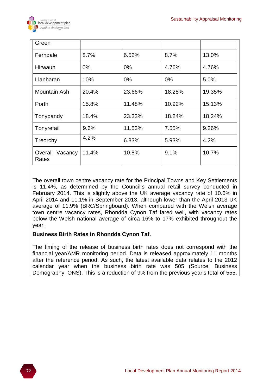

| Green                       |       |        |        |        |
|-----------------------------|-------|--------|--------|--------|
| Ferndale                    | 8.7%  | 6.52%  | 8.7%   | 13.0%  |
| Hirwaun                     | $0\%$ | $0\%$  | 4.76%  | 4.76%  |
| Llanharan                   | 10%   | $0\%$  | $0\%$  | 5.0%   |
| Mountain Ash                | 20.4% | 23.66% | 18.28% | 19.35% |
| Porth                       | 15.8% | 11.48% | 10.92% | 15.13% |
| Tonypandy                   | 18.4% | 23.33% | 18.24% | 18.24% |
| Tonyrefail                  | 9.6%  | 11.53% | 7.55%  | 9.26%  |
| Treorchy                    | 4.2%  | 6.83%  | 5.93%  | 4.2%   |
| Overall<br>Vacancy<br>Rates | 11.4% | 10.8%  | 9.1%   | 10.7%  |

The overall town centre vacancy rate for the Principal Towns and Key Settlements is 11.4%, as determined by the Council's annual retail survey conducted in February 2014. This is slightly above the UK average vacancy rate of 10.6% in April 2014 and 11.1% in September 2013, although lower than the April 2013 UK average of 11.9% (BRC/Springboard). When compared with the Welsh average town centre vacancy rates, Rhondda Cynon Taf fared well, with vacancy rates below the Welsh national average of circa 16% to 17% exhibited throughout the year.

# **Business Birth Rates in Rhondda Cynon Taf.**

The timing of the release of business birth rates does not correspond with the financial year/AMR monitoring period. Data is released approximately 11 months after the reference period. As such, the latest available data relates to the 2012 calendar year when the business birth rate was 505 (Source; Business Demography, ONS). This is a reduction of 9% from the previous year's total of 555.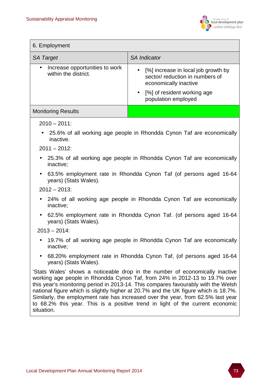

| 6. Employment                                                       |                                                                                                   |
|---------------------------------------------------------------------|---------------------------------------------------------------------------------------------------|
| <b>SA Target</b>                                                    | <b>SA</b> Indicator                                                                               |
| Increase opportunities to work<br>$\bullet$<br>within the district. | • [%] increase in local job growth by<br>sector/ reduction in numbers of<br>economically inactive |
|                                                                     | [%] of resident working age<br>population employed                                                |
| <b>Monitoring Results</b>                                           |                                                                                                   |

 $2010 - 2011$ :

• 25.6% of all working age people in Rhondda Cynon Taf are economically inactive.

 $2011 - 2012$ :

- 25.3% of all working age people in Rhondda Cynon Taf are economically inactive;
- 63.5% employment rate in Rhondda Cynon Taf (of persons aged 16-64 years) (Stats Wales).

2012 – 2013:

- 24% of all working age people in Rhondda Cynon Taf are economically inactive;
- 62.5% employment rate in Rhondda Cynon Taf. (of persons aged 16-64 years) (Stats Wales).

2013 – 2014:

- 19.7% of all working age people in Rhondda Cynon Taf are economically inactive;
- 68.20% employment rate in Rhondda Cynon Taf, (of persons aged 16-64 years) (Stats Wales).

'Stats Wales' shows a noticeable drop in the number of economically inactive working age people in Rhondda Cynon Taf, from 24% in 2012-13 to 19.7% over this year's monitoring period in 2013-14. This compares favourably with the Welsh national figure which is slightly higher at 20.7% and the UK figure which is 18.7%. Similarly, the employment rate has increased over the year, from 62.5% last year to 68.2% this year. This is a positive trend in light of the current economic situation.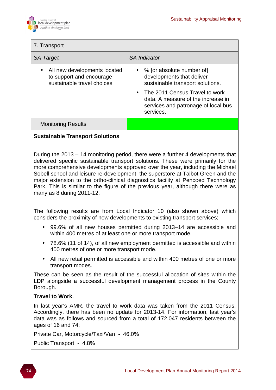

| 7. Transport                                                                                        |                                                                                                                                                                                                                            |
|-----------------------------------------------------------------------------------------------------|----------------------------------------------------------------------------------------------------------------------------------------------------------------------------------------------------------------------------|
| <b>SA Target</b>                                                                                    | <b>SA</b> Indicator                                                                                                                                                                                                        |
| All new developments located<br>$\bullet$<br>to support and encourage<br>sustainable travel choices | • % [or absolute number of]<br>developments that deliver<br>sustainable transport solutions.<br>• The 2011 Census Travel to work<br>data. A measure of the increase in<br>services and patronage of local bus<br>services. |
| <b>Monitoring Results</b>                                                                           |                                                                                                                                                                                                                            |

# **Sustainable Transport Solutions**

During the 2013 – 14 monitoring period, there were a further 4 developments that delivered specific sustainable transport solutions. These were primarily for the more comprehensive developments approved over the year, including the Michael Sobell school and leisure re-development, the superstore at Talbot Green and the major extension to the ortho-clinical diagnostics facility at Pencoed Technology Park. This is similar to the figure of the previous year, although there were as many as 8 during 2011-12.

The following results are from Local Indicator 10 (also shown above) which considers the proximity of new developments to existing transport services;

- 99.6% of all new houses permitted during 2013–14 are accessible and within 400 metres of at least one or more transport mode.
- 78.6% (11 of 14), of all new employment permitted is accessible and within 400 metres of one or more transport mode.
- All new retail permitted is accessible and within 400 metres of one or more transport modes.

These can be seen as the result of the successful allocation of sites within the LDP alongside a successful development management process in the County Borough.

# **Travel to Work**.

In last year's AMR, the travel to work data was taken from the 2011 Census. Accordingly, there has been no update for 2013-14. For information, last year's data was as follows and sourced from a total of 172,047 residents between the ages of 16 and 74;

Private Car, Motorcycle/Taxi/Van - 46.0%

Public Transport - 4.8%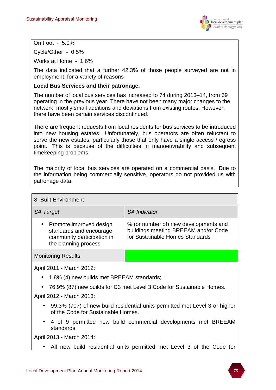

On Foot - 5.0%

Cycle/Other - 0.5%

Works at Home - 1.6%

The data indicated that a further 42.3% of those people surveyed are not in employment, for a variety of reasons

### **Local Bus Services and their patronage.**

The number of local bus services has increased to 74 during 2013–14, from 69 operating in the previous year. There have not been many major changes to the network, mostly small additions and deviations from existing routes. However, there have been certain services discontinued.

There are frequent requests from local residents for bus services to be introduced into new housing estates. Unfortunately, bus operators are often reluctant to serve the new estates, particularly those that only have a single access / egress point. This is because of the difficulties in manoeuvrability and subsequent timekeeping problems.

The majority of local bus services are operated on a commercial basis. Due to the information being commercially sensitive, operators do not provided us with patronage data.

| 8. Built Environment                                                                                       |                                                                                                                  |
|------------------------------------------------------------------------------------------------------------|------------------------------------------------------------------------------------------------------------------|
| <b>SA Target</b>                                                                                           | <b>SA</b> Indicator                                                                                              |
| • Promote improved design<br>standards and encourage<br>community participation in<br>the planning process | % (or number of) new developments and<br>buildings meeting BREEAM and/or Code<br>for Sustainable Homes Standards |
| <b>Monitoring Results</b>                                                                                  |                                                                                                                  |

April 2011 - March 2012:

- 1.8% (4) new builds met BREEAM standards;
- 76.9% (87) new builds for C3 met Level 3 Code for Sustainable Homes.

April 2012 - March 2013:

- 99.3% (707) of new build residential units permitted met Level 3 or higher of the Code for Sustainable Homes.
- 4 of 9 permitted new build commercial developments met BREEAM standards.

April 2013 - March 2014:

• All new build residential units permitted met Level 3 of the Code for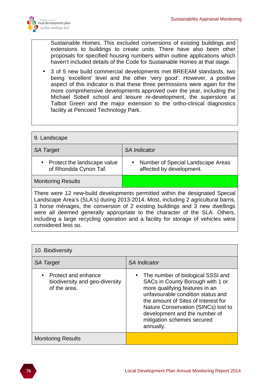

Sustainable Homes. This excluded conversions of existing buildings and extensions to buildings to create units. There have also been other proposals for specified housing numbers within outline applications which haven't included details of the Code for Sustainable Homes at that stage.

• 3 of 5 new build commercial developments met BREEAM standards, two being 'excellent' level and the other 'very good'. However, a positive aspect of this indicator is that these three permissions were again for the more comprehensive developments approved over the year, including the Michael Sobell school and leisure re-development, the superstore at Talbot Green and the major extension to the ortho-clinical diagnostics facility at Pencoed Technology Park.

| 9. Landscape                                                                                                                                                |                                                                            |  |  |
|-------------------------------------------------------------------------------------------------------------------------------------------------------------|----------------------------------------------------------------------------|--|--|
| <b>SA Target</b>                                                                                                                                            | <b>SA</b> Indicator                                                        |  |  |
| • Protect the landscape value<br>of Rhondda Cynon Taf.                                                                                                      | Number of Special Landscape Areas<br>$\bullet$<br>affected by development. |  |  |
| <b>Monitoring Results</b>                                                                                                                                   |                                                                            |  |  |
| There were 12 new-build developments permitted within the designated Special<br>andscane Area's (SLA's) during 2013-2014 Most including 2 agricultural hams |                                                                            |  |  |

Landscape Area's (SLA's) during 2013-2014. Most, including 2 agricultural barns, 3 horse ménages, the conversion of 2 existing buildings and 3 new dwellings were all deemed generally appropriate to the character of the SLA. Others, including a large recycling operation and a facility for storage of vehicles were considered less so.

| 10. Biodiversity                                                      |                                                                                                                                                                                                                                                                                                                     |  |  |
|-----------------------------------------------------------------------|---------------------------------------------------------------------------------------------------------------------------------------------------------------------------------------------------------------------------------------------------------------------------------------------------------------------|--|--|
| <b>SA Target</b>                                                      | <b>SA</b> Indicator                                                                                                                                                                                                                                                                                                 |  |  |
| Protect and enhance<br>biodiversity and geo-diversity<br>of the area. | The number of biological SSSI and<br>$\bullet$<br>SACs in County Borough with 1 or<br>more qualifying features in an<br>unfavourable condition status and<br>the amount of Sites of Interest for<br>Nature Conservation (SINCs) lost to<br>development and the number of<br>mitigation schemes secured<br>annually. |  |  |
| <b>Monitoring Results</b>                                             |                                                                                                                                                                                                                                                                                                                     |  |  |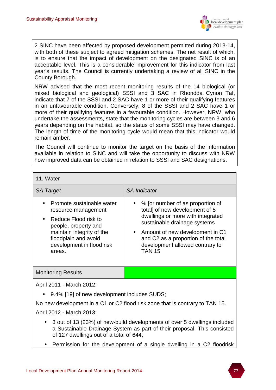

2 SINC have been affected by proposed development permitted during 2013-14, with both of these subject to agreed mitigation schemes. The net result of which, is to ensure that the impact of development on the designated SINC is of an acceptable level. This is a considerable improvement for this indicator from last year's results. The Council is currently undertaking a review of all SINC in the County Borough.

NRW advised that the most recent monitoring results of the 14 biological (or mixed biological and geological) SSSI and 3 SAC in Rhondda Cynon Taf, indicate that 7 of the SSSI and 2 SAC have 1 or more of their qualifying features in an unfavourable condition. Conversely, 8 of the SSSI and 2 SAC have 1 or more of their qualifying features in a favourable condition. However, NRW, who undertake the assessments, state that the monitoring cycles are between 3 and 6 years depending on the habitat, so the status of some SSSI may have changed. The length of time of the monitoring cycle would mean that this indicator would remain amber.

The Council will continue to monitor the target on the basis of the information available in relation to SINC and will take the opportunity to discuss with NRW how improved data can be obtained in relation to SSSI and SAC designations.

|  | 11. Water |
|--|-----------|
|--|-----------|

| <b>SA Target</b>                                                                                                                                                                                            | <b>SA</b> Indicator                                                                                                                                                                                                                                                       |  |
|-------------------------------------------------------------------------------------------------------------------------------------------------------------------------------------------------------------|---------------------------------------------------------------------------------------------------------------------------------------------------------------------------------------------------------------------------------------------------------------------------|--|
| Promote sustainable water<br>$\bullet$<br>resource management<br>• Reduce Flood risk to<br>people, property and<br>maintain integrity of the<br>floodplain and avoid<br>development in flood risk<br>areas. | • % for number of as proportion of<br>total] of new development of 5<br>dwellings or more with integrated<br>sustainable drainage systems<br>• Amount of new development in C1<br>and C2 as a proportion of the total<br>development allowed contrary to<br><b>TAN 15</b> |  |
| <b>Monitoring Results</b>                                                                                                                                                                                   |                                                                                                                                                                                                                                                                           |  |

April 2011 - March 2012:

• 9.4% [19] of new development includes SUDS;

No new development in a C1 or C2 flood risk zone that is contrary to TAN 15.

April 2012 - March 2013:

- 3 out of 13 (23%) of new-build developments of over 5 dwellings included a Sustainable Drainage System as part of their proposal. This consisted of 127 dwellings out of a total of 644;
- Permission for the development of a single dwelling in a C2 floodrisk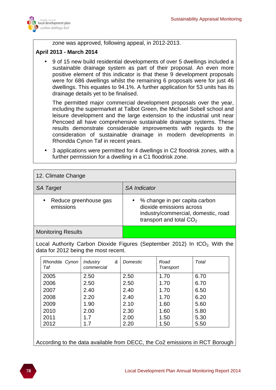

zone was approved, following appeal, in 2012-2013.

# **April 2013 - March 2014**

• 9 of 15 new build residential developments of over 5 dwellings included a sustainable drainage system as part of their proposal. An even more positive element of this indicator is that these 9 development proposals were for 686 dwellings whilst the remaining 6 proposals were for just 46 dwellings. This equates to 94.1%. A further application for 53 units has its drainage details yet to be finalised.

The permitted major commercial development proposals over the year, including the supermarket at Talbot Green, the Michael Sobell school and leisure development and the large extension to the industrial unit near Pencoed all have comprehensive sustainable drainage systems. These results demonstrate considerable improvements with regards to the consideration of sustainable drainage in modern developments in Rhondda Cynon Taf in recent years.

• 3 applications were permitted for 4 dwellings in C2 floodrisk zones, with a further permission for a dwelling in a C1 floodrisk zone.

| 12. Climate Change                              |                                                                                                                                 |  |
|-------------------------------------------------|---------------------------------------------------------------------------------------------------------------------------------|--|
| <b>SA Target</b>                                | <b>SA</b> <i>Indicator</i>                                                                                                      |  |
| Reduce greenhouse gas<br>$\bullet$<br>emissions | • % change in per capita carbon<br>dioxide emissions across<br>industry/commercial, domestic, road<br>transport and total $CO2$ |  |
| <b>Monitoring Results</b>                       |                                                                                                                                 |  |

Local Authority Carbon Dioxide Figures (September 2012) In  $tCO<sub>2</sub>$ . With the data for 2012 being the most recent.

| Rhondda Cynon<br>Taf | <b>Industry</b><br>&<br>commercial | Domestic | Road<br>Transport | Total |
|----------------------|------------------------------------|----------|-------------------|-------|
| 2005                 | 2.50                               | 2.50     | 1.70              | 6.70  |
| 2006                 | 2.50                               | 2.50     | 1.70              | 6.70  |
| 2007                 | 2.40                               | 2.40     | 1.70              | 6.50  |
| 2008                 | 2.20                               | 2.40     | 1.70              | 6.20  |
| 2009                 | 1.90                               | 2.10     | 1.60              | 5.60  |
| 2010                 | 2.00                               | 2.30     | 1.60              | 5.80  |
| 2011                 | 1.7                                | 2.00     | 1.50              | 5.30  |
| 2012                 | 1.7                                | 2.20     | 1.50              | 5.50  |

According to the data available from DECC, the Co2 emissions in RCT Borough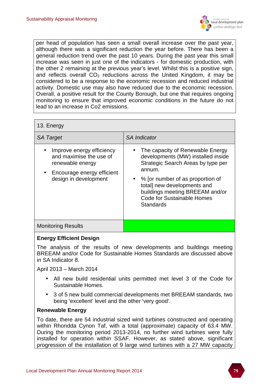

per head of population has seen a small overall increase over the past year, although there was a significant reduction the year before. There has been a general reduction trend over the past 10 years. During the past year this small increase was seen in just one of the indicators - for domestic production, with the other 2 remaining at the previous year's level. Whilst this is a positive sign, and reflects overall  $CO<sub>2</sub>$  reductions across the United Kingdom, it may be considered to be a response to the economic recession and reduced industrial activity. Domestic use may also have reduced due to the economic recession. Overall, a positive result for the County Borough, but one that requires ongoing monitoring to ensure that improved economic conditions in the future do not lead to an increase in Co2 emissions.

| 13. Energy                                                                                                                                   |                                                                                                                                                                                                                                                                                  |  |  |  |  |
|----------------------------------------------------------------------------------------------------------------------------------------------|----------------------------------------------------------------------------------------------------------------------------------------------------------------------------------------------------------------------------------------------------------------------------------|--|--|--|--|
| <b>SA Target</b>                                                                                                                             | <b>SA</b> Indicator                                                                                                                                                                                                                                                              |  |  |  |  |
| Improve energy efficiency<br>and maximise the use of<br>renewable energy<br>Encourage energy efficient<br>$\bullet$<br>design in development | The capacity of Renewable Energy<br>developments (MW) installed inside<br>Strategic Search Areas by type per<br>annum.<br>• % [or number of as proportion of<br>total] new developments and<br>buildings meeting BREEAM and/or<br><b>Code for Sustainable Homes</b><br>Standards |  |  |  |  |
| <b>Monitoring Results</b>                                                                                                                    |                                                                                                                                                                                                                                                                                  |  |  |  |  |

#### **Energy Efficient Design**

The analysis of the results of new developments and buildings meeting BREEAM and/or Code for Sustainable Homes Standards are discussed above in SA Indicator 8.

April 2013 – March 2014

- All new build residential units permitted met level 3 of the Code for Sustainable Homes.
- 3 of 5 new build commercial developments met BREEAM standards, two being 'excellent' level and the other 'very good'.

#### **Renewable Energy**

To date, there are 54 industrial sized wind turbines constructed and operating within Rhondda Cynon Taf, with a total (approximate) capacity of 63.4 MW. During the monitoring period 2013-2014, no further wind turbines were fully installed for operation within SSAF. However, as stated above, significant progression of the installation of 9 large wind turbines with a 27 MW capacity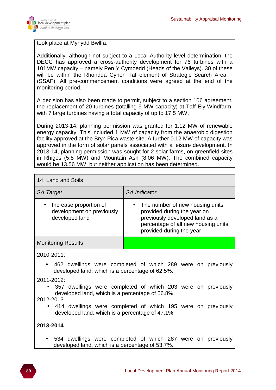

took place at Mynydd Bwllfa.

Additionally, although not subject to a Local Authority level determination, the DECC has approved a cross-authority development for 76 turbines with a 101MW capacity – namely Pen Y Cymoedd (Heads of the Valleys). 30 of these will be within the Rhondda Cynon Taf element of Strategic Search Area F (SSAF). All pre-commencement conditions were agreed at the end of the monitoring period.

A decision has also been made to permit, subject to a section 106 agreement, the replacement of 20 turbines (totalling 9 MW capacity) at Taff Ely Windfarm, with 7 large turbines having a total capacity of up to 17.5 MW.

During 2013-14, planning permission was granted for 1.12 MW of renewable energy capacity. This included 1 MW of capacity from the anaerobic digestion facility approved at the Bryn Pica waste site. A further 0.12 MW of capacity was approved in the form of solar panels associated with a leisure development. In 2013-14, planning permission was sought for 2 solar farms, on greenfield sites in Rhigos (5.5 MW) and Mountain Ash (8.06 MW). The combined capacity would be 13.56 MW, but neither application has been determined.

| 14. Land and Soils                                                                 |                                                                                                                                                                                  |  |  |  |  |
|------------------------------------------------------------------------------------|----------------------------------------------------------------------------------------------------------------------------------------------------------------------------------|--|--|--|--|
| <b>SA Target</b>                                                                   | <b>SA Indicator</b>                                                                                                                                                              |  |  |  |  |
| Increase proportion of<br>$\bullet$<br>development on previously<br>developed land | The number of new housing units<br>$\bullet$<br>provided during the year on<br>previously developed land as a<br>percentage of all new housing units<br>provided during the year |  |  |  |  |
| <b>Monitoring Results</b>                                                          |                                                                                                                                                                                  |  |  |  |  |
| 2010-2011:                                                                         |                                                                                                                                                                                  |  |  |  |  |
| developed land, which is a percentage of 62.5%.                                    | • 462 dwellings were completed of which 289 were on previously                                                                                                                   |  |  |  |  |
| 2011-2012:<br>developed land, which is a percentage of 56.8%.<br>2012-2013         | 357 dwellings were completed of which 203 were on previously                                                                                                                     |  |  |  |  |
| developed land, which is a percentage of 47.1%.                                    | 414 dwellings were completed of which 195 were on previously                                                                                                                     |  |  |  |  |
| 2013-2014                                                                          |                                                                                                                                                                                  |  |  |  |  |
| developed land, which is a percentage of 53.7%.                                    | 534 dwellings were completed of which 287 were on previously                                                                                                                     |  |  |  |  |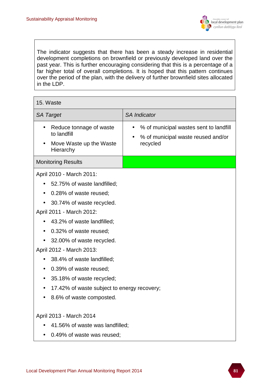

The indicator suggests that there has been a steady increase in residential development completions on brownfield or previously developed land over the past year. This is further encouraging considering that this is a percentage of a far higher total of overall completions. It is hoped that this pattern continues over the period of the plan, with the delivery of further brownfield sites allocated in the LDP.

| 15. Waste                                                                                                                                                                                                                                                                                                                                                                                                                                             |                                                                                          |  |  |  |
|-------------------------------------------------------------------------------------------------------------------------------------------------------------------------------------------------------------------------------------------------------------------------------------------------------------------------------------------------------------------------------------------------------------------------------------------------------|------------------------------------------------------------------------------------------|--|--|--|
| <b>SA Target</b>                                                                                                                                                                                                                                                                                                                                                                                                                                      | <b>SA Indicator</b>                                                                      |  |  |  |
| Reduce tonnage of waste<br>to landfill<br>Move Waste up the Waste<br>Hierarchy                                                                                                                                                                                                                                                                                                                                                                        | % of municipal wastes sent to landfill<br>% of municipal waste reused and/or<br>recycled |  |  |  |
| <b>Monitoring Results</b>                                                                                                                                                                                                                                                                                                                                                                                                                             |                                                                                          |  |  |  |
| April 2010 - March 2011:<br>52.75% of waste landfilled;<br>0.28% of waste reused;<br>30.74% of waste recycled.<br>April 2011 - March 2012:<br>43.2% of waste landfilled;<br>0.32% of waste reused;<br>$\bullet$<br>32.00% of waste recycled.<br>April 2012 - March 2013:<br>38.4% of waste landfilled;<br>0.39% of waste reused;<br>$\bullet$<br>35.18% of waste recycled;<br>17.42% of waste subject to energy recovery;<br>8.6% of waste composted. |                                                                                          |  |  |  |
|                                                                                                                                                                                                                                                                                                                                                                                                                                                       |                                                                                          |  |  |  |
| April 2013 - March 2014                                                                                                                                                                                                                                                                                                                                                                                                                               |                                                                                          |  |  |  |
| 41.56% of waste was landfilled;                                                                                                                                                                                                                                                                                                                                                                                                                       |                                                                                          |  |  |  |
| 0.49% of waste was reused;                                                                                                                                                                                                                                                                                                                                                                                                                            |                                                                                          |  |  |  |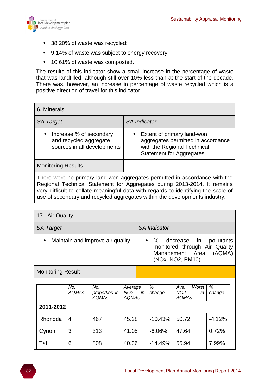

- 38.20% of waste was recycled;
- 9.14% of waste was subject to energy recovery;
- 10.61% of waste was composted.

The results of this indicator show a small increase in the percentage of waste that was landfilled, although still over 10% less than at the start of the decade. There was, however, an increase in percentage of waste recycled which is a positive direction of travel for this indicator.

| 6. Minerals                                                                                   |                                                                                                                              |  |  |  |  |
|-----------------------------------------------------------------------------------------------|------------------------------------------------------------------------------------------------------------------------------|--|--|--|--|
| <b>SA Target</b>                                                                              | <b>SA</b> <i>Indicator</i>                                                                                                   |  |  |  |  |
| Increase % of secondary<br>$\bullet$<br>and recycled aggregate<br>sources in all developments | Extent of primary land-won<br>aggregates permitted in accordance<br>with the Regional Technical<br>Statement for Aggregates. |  |  |  |  |
| <b>Monitoring Results</b>                                                                     |                                                                                                                              |  |  |  |  |
|                                                                                               |                                                                                                                              |  |  |  |  |

There were no primary land-won aggregates permitted in accordance with the Regional Technical Statement for Aggregates during 2013-2014. It remains very difficult to collate meaningful data with regards to identifying the scale of use of secondary and recycled aggregates within the developments industry.

| 17. Air Quality                    |                                                                                                                         |  |  |  |  |
|------------------------------------|-------------------------------------------------------------------------------------------------------------------------|--|--|--|--|
| <b>SA Target</b>                   | <b>SA</b> Indicator                                                                                                     |  |  |  |  |
| • Maintain and improve air quality | $\bullet$ % decrease in<br>pollutants<br>monitored through Air Quality<br>(AQMA)<br>Management Area<br>(NOx, NO2, PM10) |  |  |  |  |
| <b>Monitoring Result</b>           |                                                                                                                         |  |  |  |  |

|           | No.<br><b>AQMAs</b> | No.<br>properties in<br><b>AQMAs</b> | Average<br>NO2<br>in<br>AQMAs | %<br>change | Worst<br>Ave.<br>NO <sub>2</sub><br>in<br>AQMAs | %<br>change |
|-----------|---------------------|--------------------------------------|-------------------------------|-------------|-------------------------------------------------|-------------|
| 2011-2012 |                     |                                      |                               |             |                                                 |             |
| Rhondda   | 4                   | 467                                  | 45.28                         | $-10.43%$   | 50.72                                           | $-4.12%$    |
| Cynon     | 3                   | 313                                  | 41.05                         | $-6.06%$    | 47.64                                           | 0.72%       |
| Taf       | 6                   | 808                                  | 40.36                         | $-14.49%$   | 55.94                                           | 7.99%       |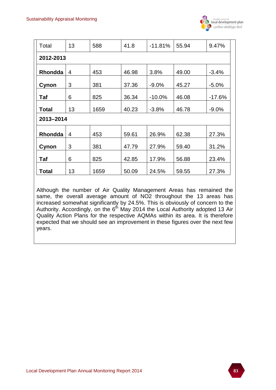

| Total        | 13 | 588  | 41.8  | $-11.81%$ | 55.94 | 9.47%    |
|--------------|----|------|-------|-----------|-------|----------|
| 2012-2013    |    |      |       |           |       |          |
| Rhondda      | 4  | 453  | 46.98 | 3.8%      | 49.00 | $-3.4%$  |
| Cynon        | 3  | 381  | 37.36 | $-9.0%$   | 45.27 | $-5.0%$  |
| Taf          | 6  | 825  | 36.34 | $-10.0%$  | 46.08 | $-17.6%$ |
| <b>Total</b> | 13 | 1659 | 40.23 | $-3.8%$   | 46.78 | $-9.0%$  |
| 2013-2014    |    |      |       |           |       |          |
| Rhondda      | 4  | 453  | 59.61 | 26.9%     | 62.38 | 27.3%    |
| Cynon        | 3  | 381  | 47.79 | 27.9%     | 59.40 | 31.2%    |
| Taf          | 6  | 825  | 42.85 | 17.9%     | 56.88 | 23.4%    |
| Total        | 13 | 1659 | 50.09 | 24.5%     | 59.55 | 27.3%    |

Although the number of Air Quality Management Areas has remained the same, the overall average amount of NO2 throughout the 13 areas has increased somewhat significantly by 24.5%. This is obviously of concern to the Authority. Accordingly, on the 6<sup>th</sup> May 2014 the Local Authority adopted 13 Air Quality Action Plans for the respective AQMAs within its area. It is therefore expected that we should see an improvement in these figures over the next few years.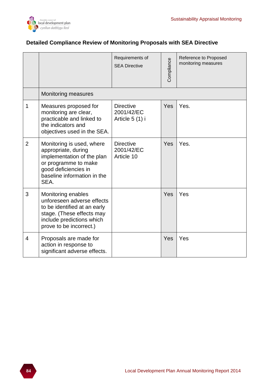

# **Detailed Compliance Review of Monitoring Proposals with SEA Directive**

|                |                                                                                                                                                                       | Requirements of<br><b>SEA Directive</b>           | Compliance | Reference to Proposed<br>monitoring measures |
|----------------|-----------------------------------------------------------------------------------------------------------------------------------------------------------------------|---------------------------------------------------|------------|----------------------------------------------|
|                | <b>Monitoring measures</b>                                                                                                                                            |                                                   |            |                                              |
| 1              | Measures proposed for<br>monitoring are clear,<br>practicable and linked to<br>the indicators and<br>objectives used in the SEA.                                      | <b>Directive</b><br>2001/42/EC<br>Article 5 (1) i | Yes        | Yes.                                         |
| $\overline{2}$ | Monitoring is used, where<br>appropriate, during<br>implementation of the plan<br>or programme to make<br>good deficiencies in<br>baseline information in the<br>SEA. | <b>Directive</b><br>2001/42/EC<br>Article 10      | <b>Yes</b> | Yes.                                         |
| 3              | Monitoring enables<br>unforeseen adverse effects<br>to be identified at an early<br>stage. (These effects may<br>include predictions which<br>prove to be incorrect.) |                                                   | Yes        | Yes                                          |
| 4              | Proposals are made for<br>action in response to<br>significant adverse effects.                                                                                       |                                                   | Yes        | Yes                                          |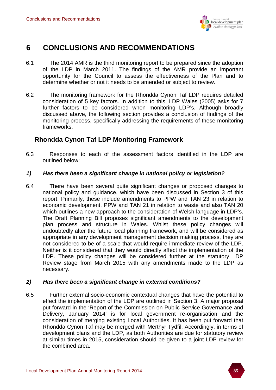

# **6 CONCLUSIONS AND RECOMMENDATIONS**

- 6.1 The 2014 AMR is the third monitoring report to be prepared since the adoption of the LDP in March 2011. The findings of the AMR provide an important opportunity for the Council to assess the effectiveness of the Plan and to determine whether or not it needs to be amended or subject to review.
- 6.2 The monitoring framework for the Rhondda Cynon Taf LDP requires detailed consideration of 5 key factors. In addition to this, LDP Wales (2005) asks for 7 further factors to be considered when monitoring LDP's. Although broadly discussed above, the following section provides a conclusion of findings of the monitoring process, specifically addressing the requirements of these monitoring frameworks.

# **Rhondda Cynon Taf LDP Monitoring Framework**

6.3 Responses to each of the assessment factors identified in the LDP are outlined below:

### **1) Has there been a significant change in national policy or legislation?**

6.4 There have been several quite significant changes or proposed changes to national policy and guidance, which have been discussed in Section 3 of this report. Primarily, these include amendments to PPW and TAN 23 in relation to economic development, PPW and TAN 21 in relation to waste and also TAN 20 which outlines a new approach to the consideration of Welsh language in LDP's. The Draft Planning Bill proposes significant amendments to the development plan process and structure in Wales. Whilst these policy changes will undoubtedly alter the future local planning framework, and will be considered as appropriate in any development management decision making process, they are not considered to be of a scale that would require immediate review of the LDP. Neither is it considered that they would directly affect the implementation of the LDP. These policy changes will be considered further at the statutory LDP Review stage from March 2015 with any amendments made to the LDP as necessary.

#### **2) Has there been a significant change in external conditions?**

6.5 Further external socio-economic contextual changes that have the potential to effect the implementation of the LDP are outlined in Section 3. A major proposal put forward in the 'Report of the Commission on Public Service Governance and Delivery, January 2014' is for local government re-organisation and the consideration of merging existing Local Authorities. It has been put forward that Rhondda Cynon Taf may be merged with Merthyr Tydfil. Accordingly, in terms of development plans and the LDP, as both Authorities are due for statutory review at similar times in 2015, consideration should be given to a joint LDP review for the combined area.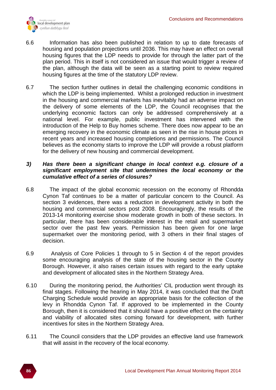

- 6.6 Information has also been published in relation to up to date forecasts of housing and population projections until 2036. This may have an effect on overall housing figures that the LDP needs to provide for through the latter part of the plan period. This in itself is not considered an issue that would trigger a review of the plan, although the data will be seen as a starting point to review required housing figures at the time of the statutory LDP review.
- 6.7 The section further outlines in detail the challenging economic conditions in which the LDP is being implemented. Whilst a prolonged reduction in investment in the housing and commercial markets has inevitably had an adverse impact on the delivery of some elements of the LDP, the Council recognises that the underlying economic factors can only be addressed comprehensively at a national level. For example, public investment has intervened with the introduction of the Help to Buy homes scheme. There does now appear to be an emerging recovery in the economic climate as seen in the rise in house prices in recent years and increased housing completions and permissions. The Council believes as the economy starts to improve the LDP will provide a robust platform for the delivery of new housing and commercial development.

#### **3) Has there been a significant change in local context e.g. closure of a significant employment site that undermines the local economy or the cumulative effect of a series of closures?**

- 6.8 The impact of the global economic recession on the economy of Rhondda Cynon Taf continues to be a matter of particular concern to the Council. As section 3 evidences, there was a reduction in development activity in both the housing and commercial sectors post 2008. Encouragingly, the results of the 2013-14 monitoring exercise show moderate growth in both of these sectors. In particular, there has been considerable interest in the retail and supermarket sector over the past few years. Permission has been given for one large supermarket over the monitoring period, with 3 others in their final stages of decision.
- 6.9 Analysis of Core Policies 1 through to 5 in Section 4 of the report provides some encouraging analysis of the state of the housing sector in the County Borough. However, it also raises certain issues with regard to the early uptake and development of allocated sites in the Northern Strategy Area.
- 6.10 During the monitoring period, the Authorities' CIL production went through its final stages. Following the hearing in May 2014, it was concluded that the Draft Charging Schedule would provide an appropriate basis for the collection of the levy in Rhondda Cynon Taf. If approved to be implemented in the County Borough, then it is considered that it should have a positive effect on the certainty and viability of allocated sites coming forward for development, with further incentives for sites in the Northern Strategy Area.
- 6.11 The Council considers that the LDP provides an effective land use framework that will assist in the recovery of the local economy.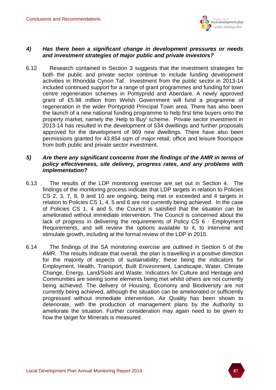

#### **4) Has there been a significant change in development pressures or needs and investment strategies of major public and private investors?**

6.12 Research contained in Section 3 suggests that the investment strategies for both the public and private sector continue to include funding development activities in Rhondda Cynon Taf. Investment from the public sector in 2013-14 included continued support for a range of grant programmes and funding for town centre regeneration schemes in Pontypridd and Aberdare. A newly approved grant of £5.98 million from Welsh Government will fund a programme of regeneration in the wider Pontypridd Principal Town area. There has also been the launch of a new national funding programme to help first time buyers onto the property market, namely the 'Help to Buy' scheme. Private sector investment in 2013-14 has resulted in the development of 534 dwellings and further proposals approved for the development of 969 new dwellings. There have also been permissions granted for 43,854 sqm of major retail, office and leisure floorspace from both public and private sector investment.

#### **5) Are there any significant concerns from the findings of the AMR in terms of policy effectiveness, site delivery, progress rates, and any problems with implementation?**

- 6.13 The results of the LDP monitoring exercise are set out in Section 4. The findings of the monitoring process indicate that LDP targets in relation to Policies CS 2, 3, 7, 8, 9 and 10 are ongoing, being met or exceeded and 4 targets in relation to Policies CS 1, 4, 5 and 6 are not currently being achieved. In the case of Policies CS 1, 4 and 5, the Council is satisfied that the situation can be ameliorated without immediate intervention. The Council is concerned about the lack of progress in delivering the requirements of Policy CS 6 - Employment Requirements, and will review the options available to it, to intervene and stimulate growth, including at the formal review of the LDP in 2015.
- 6.14 The findings of the SA monitoring exercise are outlined in Section 5 of the AMR. The results indicate that overall, the plan is travelling in a positive direction for the majority of aspects of sustainability; these being the indicators for Employment, Health, Transport, Built Environment, Landscape, Water, Climate Change, Energy, Land/Soils and Waste. Indicators for Culture and Heritage and Communities are seeing some elements being met whilst others are not currently being achieved. The delivery of Housing, Economy and Biodiversity are not currently being achieved, although the situation can be ameliorated or sufficiently progressed without immediate intervention. Air Quality has been shown to deteriorate, with the production of management plans by the Authority to ameliorate the situation. Further consideration may again need to be given to how the target for Minerals is measured.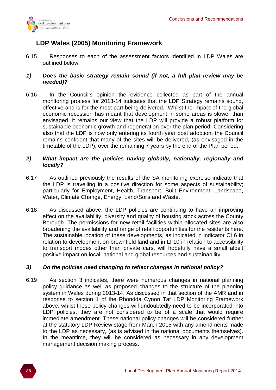

# **LDP Wales (2005) Monitoring Framework**

6.15 Responses to each of the assessment factors identified in LDP Wales are outlined below:

#### **1) Does the basic strategy remain sound (if not, a full plan review may be needed)?**

6.16 In the Council's opinion the evidence collected as part of the annual monitoring process for 2013-14 indicates that the LDP Strategy remains sound, effective and is for the most part being delivered. Whilst the impact of the global economic recession has meant that development in some areas is slower than envisaged, it remains our view that the LDP will provide a robust platform for sustainable economic growth and regeneration over the plan period. Considering also that the LDP is now only entering its fourth year post adoption, the Council remains confident that many of the sites will be delivered, (as envisaged in the timetable of the LDP), over the remaining 7 years by the end of the Plan period.

#### **2) What impact are the policies having globally, nationally, regionally and locally?**

- 6.17 As outlined previously the results of the SA monitoring exercise indicate that the LDP is travelling in a positive direction for some aspects of sustainability; particularly for Employment, Health, Transport, Built Environment, Landscape, Water, Climate Change, Energy, Land/Soils and Waste.
- 6.18 As discussed above, the LDP policies are continuing to have an improving effect on the availability, diversity and quality of housing stock across the County Borough. The permissions for new retail facilities within allocated sites are also broadening the availability and range of retail opportunities for the residents here. The sustainable location of these developments, as indicated in indicator CI 6 in relation to development on brownfield land and in LI 10 in relation to accessibility to transport modes other than private cars, will hopefully have a small albeit positive impact on local, national and global resources and sustainability.

# **3) Do the policies need changing to reflect changes in national policy?**

6.19 As section 3 indicates, there were numerous changes in national planning policy guidance as well as proposed changes to the structure of the planning system in Wales during 2013-14. As discussed in that section of the AMR and in response to section 1 of the Rhondda Cynon Taf LDP Monitoring Framework above, whilst these policy changes will undoubtedly need to be incorporated into LDP policies, they are not considered to be of a scale that would require immediate amendment. These national policy changes will be considered further at the statutory LDP Review stage from March 2015 with any amendments made to the LDP as necessary, (as is advised in the national documents themselves). In the meantime, they will be considered as necessary in any development management decision making process.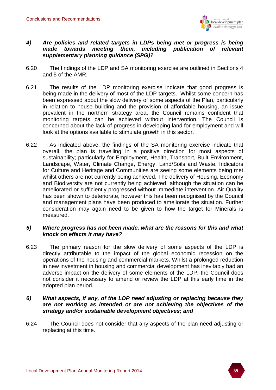

#### **4) Are policies and related targets in LDPs being met or progress is being made towards meeting them, including publication of relevant supplementary planning guidance (SPG)?**

- 6.20 The findings of the LDP and SA monitoring exercise are outlined in Sections 4 and 5 of the AMR.
- 6.21 The results of the LDP monitoring exercise indicate that good progress is being made in the delivery of most of the LDP targets. Whilst some concern has been expressed about the slow delivery of some aspects of the Plan, particularly in relation to house building and the provision of affordable housing, an issue prevalent in the northern strategy area, the Council remains confident that monitoring targets can be achieved without intervention. The Council is concerned about the lack of progress in developing land for employment and will look at the options available to stimulate growth in this sector.
- 6.22 As indicated above, the findings of the SA monitoring exercise indicate that overall, the plan is travelling in a positive direction for most aspects of sustainability; particularly for Employment, Health, Transport, Built Environment, Landscape, Water, Climate Change, Energy, Land/Soils and Waste. Indicators for Culture and Heritage and Communities are seeing some elements being met whilst others are not currently being achieved. The delivery of Housing, Economy and Biodiversity are not currently being achieved, although the situation can be ameliorated or sufficiently progressed without immediate intervention. Air Quality has been shown to deteriorate, however this has been recognised by the Council and management plans have been produced to ameliorate the situation. Further consideration may again need to be given to how the target for Minerals is measured.

#### **5) Where progress has not been made, what are the reasons for this and what knock on effects it may have?**

6.23 The primary reason for the slow delivery of some aspects of the LDP is directly attributable to the impact of the global economic recession on the operations of the housing and commercial markets. Whilst a prolonged reduction in new investment in housing and commercial development has inevitably had an adverse impact on the delivery of some elements of the LDP, the Council does not consider it necessary to amend or review the LDP at this early time in the adopted plan period.

#### **6) What aspects, if any, of the LDP need adjusting or replacing because they are not working as intended or are not achieving the objectives of the strategy and/or sustainable development objectives; and**

6.24 The Council does not consider that any aspects of the plan need adjusting or replacing at this time.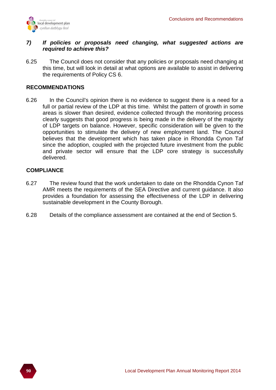

#### **7) If policies or proposals need changing, what suggested actions are required to achieve this?**

6.25 The Council does not consider that any policies or proposals need changing at this time, but will look in detail at what options are available to assist in delivering the requirements of Policy CS 6.

### **RECOMMENDATIONS**

6.26 In the Council's opinion there is no evidence to suggest there is a need for a full or partial review of the LDP at this time. Whilst the pattern of growth in some areas is slower than desired, evidence collected through the monitoring process clearly suggests that good progress is being made in the delivery of the majority of LDP targets on balance. However, specific consideration will be given to the opportunities to stimulate the delivery of new employment land. The Council believes that the development which has taken place in Rhondda Cynon Taf since the adoption, coupled with the projected future investment from the public and private sector will ensure that the LDP core strategy is successfully delivered.

### **COMPLIANCE**

- 6.27 The review found that the work undertaken to date on the Rhondda Cynon Taf AMR meets the requirements of the SEA Directive and current guidance. It also provides a foundation for assessing the effectiveness of the LDP in delivering sustainable development in the County Borough.
- 6.28 Details of the compliance assessment are contained at the end of Section 5.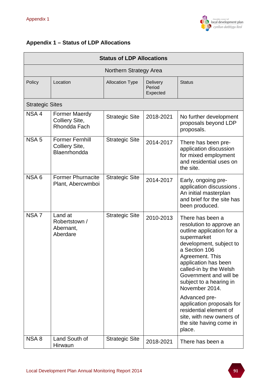

# **Appendix 1 – Status of LDP Allocations**

| <b>Status of LDP Allocations</b> |                                                          |                        |                                |                                                                                                                                                                                                                                                                                                                                                          |
|----------------------------------|----------------------------------------------------------|------------------------|--------------------------------|----------------------------------------------------------------------------------------------------------------------------------------------------------------------------------------------------------------------------------------------------------------------------------------------------------------------------------------------------------|
|                                  |                                                          | Northern Strategy Area |                                |                                                                                                                                                                                                                                                                                                                                                          |
| Policy                           | Location                                                 | <b>Allocation Type</b> | Delivery<br>Period<br>Expected | <b>Status</b>                                                                                                                                                                                                                                                                                                                                            |
| <b>Strategic Sites</b>           |                                                          |                        |                                |                                                                                                                                                                                                                                                                                                                                                          |
| NSA <sub>4</sub>                 | <b>Former Maerdy</b><br>Colliery Site,<br>Rhondda Fach   | <b>Strategic Site</b>  | 2018-2021                      | No further development<br>proposals beyond LDP<br>proposals.                                                                                                                                                                                                                                                                                             |
| NSA <sub>5</sub>                 | <b>Former Fernhill</b><br>Colliery Site,<br>Blaenrhondda | <b>Strategic Site</b>  | 2014-2017                      | There has been pre-<br>application discussion<br>for mixed employment<br>and residential uses on<br>the site.                                                                                                                                                                                                                                            |
| NSA <sub>6</sub>                 | <b>Former Phurnacite</b><br>Plant, Abercwmboi            | <b>Strategic Site</b>  | 2014-2017                      | Early, ongoing pre-<br>application discussions.<br>An initial masterplan<br>and brief for the site has<br>been produced.                                                                                                                                                                                                                                 |
| NSA <sub>7</sub>                 | Land at<br>Robertstown /<br>Abernant,<br>Aberdare        | <b>Strategic Site</b>  | 2010-2013                      | There has been a<br>resolution to approve an<br>outline application for a<br>supermarket<br>development, subject to<br>a Section 106<br>Agreement. This<br>application has been<br>called-in by the Welsh<br>Government and will be<br>subject to a hearing in<br>November 2014.<br>Advanced pre-<br>application proposals for<br>residential element of |
| NSA <sub>8</sub>                 | Land South of                                            | <b>Strategic Site</b>  |                                | site, with new owners of<br>the site having come in<br>place.                                                                                                                                                                                                                                                                                            |
|                                  | Hirwaun                                                  |                        | 2018-2021                      | There has been a                                                                                                                                                                                                                                                                                                                                         |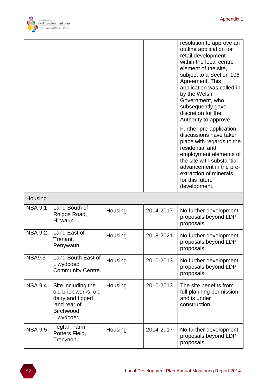

|                |                                                                                                           |         |           | resolution to approve an<br>outline application for<br>retail development<br>within the local centre<br>element of the site,<br>subject to a Section 106<br>Agreement. This<br>application was called-in<br>by the Welsh<br>Government, who<br>subsequently gave<br>discretion for the<br>Authority to approve. |
|----------------|-----------------------------------------------------------------------------------------------------------|---------|-----------|-----------------------------------------------------------------------------------------------------------------------------------------------------------------------------------------------------------------------------------------------------------------------------------------------------------------|
|                |                                                                                                           |         |           | Further pre-application<br>discussions have taken<br>place with regards to the<br>residential and<br>employment elements of<br>the site with substantial<br>advancement in the pre-<br>extraction of minerals<br>for this future<br>development.                                                                |
| Housing        |                                                                                                           |         |           |                                                                                                                                                                                                                                                                                                                 |
| <b>NSA 9.1</b> | Land South of<br>Rhigos Road,<br>Hirwaun.                                                                 | Housing | 2014-2017 | No further development<br>proposals beyond LDP<br>proposals.                                                                                                                                                                                                                                                    |
| <b>NSA 9.2</b> | Land East of<br>Trenant,<br>Penywaun.                                                                     | Housing | 2018-2021 | No further development<br>proposals beyond LDP<br>proposals.                                                                                                                                                                                                                                                    |
| <b>NSA9.3</b>  | Land South East of<br>Llwydcoed<br><b>Community Centre.</b>                                               | Housing | 2010-2013 | No further development<br>proposals beyond LDP<br>proposals.                                                                                                                                                                                                                                                    |
| <b>NSA 9.4</b> | Site including the<br>old brick works, old<br>dairy and tipped<br>land rear of<br>Birchwood,<br>Llwydcoed | Housing | 2010-2013 | The site benefits from<br>full planning permission<br>and is under<br>construction.                                                                                                                                                                                                                             |
| <b>NSA 9.5</b> | Tegfan Farm,<br>Potters Field,<br>Trecynon.                                                               | Housing | 2014-2017 | No further development<br>proposals beyond LDP<br>proposals.                                                                                                                                                                                                                                                    |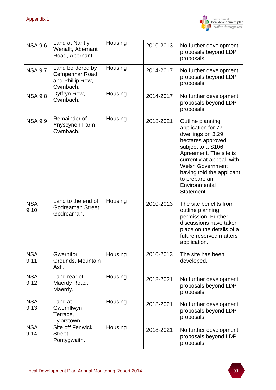

| <b>NSA 9.6</b>     | Land at Nant y<br>Wenallt, Abernant<br>Road, Abernant.              | Housing | 2010-2013 | No further development<br>proposals beyond LDP<br>proposals.                                                                                                                                                                                                         |
|--------------------|---------------------------------------------------------------------|---------|-----------|----------------------------------------------------------------------------------------------------------------------------------------------------------------------------------------------------------------------------------------------------------------------|
| <b>NSA 9.7</b>     | Land bordered by<br>Cefnpennar Road<br>and Phillip Row,<br>Cwmbach. | Housing | 2014-2017 | No further development<br>proposals beyond LDP<br>proposals.                                                                                                                                                                                                         |
| <b>NSA 9.8</b>     | Dyffryn Row,<br>Cwmbach.                                            | Housing | 2014-2017 | No further development<br>proposals beyond LDP<br>proposals.                                                                                                                                                                                                         |
| <b>NSA 9.9</b>     | Remainder of<br>Ynyscynon Farm,<br>Cwmbach.                         | Housing | 2018-2021 | Outline planning<br>application for 77<br>dwellings on 3.29<br>hectares approved<br>subject to a S106<br>Agreement. The site is<br>currently at appeal, with<br><b>Welsh Government</b><br>having told the applicant<br>to prepare an<br>Environmental<br>Statement. |
| <b>NSA</b><br>9.10 | Land to the end of<br>Godreaman Street,<br>Godreaman.               | Housing | 2010-2013 | The site benefits from<br>outline planning<br>permission. Further<br>discussions have taken<br>place on the details of a<br>future reserved matters<br>application.                                                                                                  |
| <b>NSA</b><br>9.11 | Gwernifor<br>Grounds, Mountain<br>Ash.                              | Housing | 2010-2013 | The site has been<br>developed.                                                                                                                                                                                                                                      |
| <b>NSA</b><br>9.12 | Land rear of<br>Maerdy Road,<br>Maerdy.                             | Housing | 2018-2021 | No further development<br>proposals beyond LDP<br>proposals.                                                                                                                                                                                                         |
| <b>NSA</b><br>9.13 | Land at<br>Gwernllwyn<br>Terrace,<br>Tylorstown.                    | Housing | 2018-2021 | No further development<br>proposals beyond LDP<br>proposals.                                                                                                                                                                                                         |
| <b>NSA</b><br>9.14 | <b>Site off Fenwick</b><br>Street,<br>Pontygwaith.                  | Housing | 2018-2021 | No further development<br>proposals beyond LDP<br>proposals.                                                                                                                                                                                                         |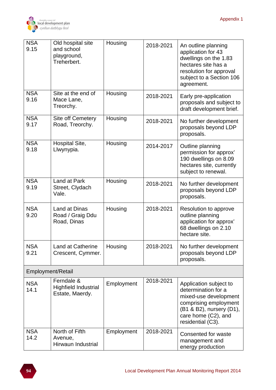

| <b>NSA</b><br>9.15 | Old hospital site<br>and school<br>playground,<br>Treherbert. | Housing    | 2018-2021 | An outline planning<br>application for 43<br>dwellings on the 1.83<br>hectares site has a<br>resolution for approval<br>subject to a Section 106<br>agreement.          |
|--------------------|---------------------------------------------------------------|------------|-----------|-------------------------------------------------------------------------------------------------------------------------------------------------------------------------|
| <b>NSA</b><br>9.16 | Site at the end of<br>Mace Lane,<br>Treorchy.                 | Housing    | 2018-2021 | Early pre-application<br>proposals and subject to<br>draft development brief.                                                                                           |
| <b>NSA</b><br>9.17 | <b>Site off Cemetery</b><br>Road, Treorchy.                   | Housing    | 2018-2021 | No further development<br>proposals beyond LDP<br>proposals.                                                                                                            |
| <b>NSA</b><br>9.18 | <b>Hospital Site,</b><br>Llwynypia.                           | Housing    | 2014-2017 | Outline planning<br>permission for approx'<br>190 dwellings on 8.09<br>hectares site, currently<br>subject to renewal.                                                  |
| <b>NSA</b><br>9.19 | Land at Park<br>Street, Clydach<br>Vale.                      | Housing    | 2018-2021 | No further development<br>proposals beyond LDP<br>proposals.                                                                                                            |
| <b>NSA</b><br>9.20 | <b>Land at Dinas</b><br>Road / Graig Ddu<br>Road, Dinas       | Housing    | 2018-2021 | Resolution to approve<br>outline planning<br>application for approx'<br>68 dwellings on 2.10<br>hectare site.                                                           |
| <b>NSA</b><br>9.21 | and at Catherine<br>Crescent, Cymmer.                         | Housing    | 2018-2021 | No further development<br>proposals beyond LDP<br>proposals.                                                                                                            |
| Employment/Retail  |                                                               |            |           |                                                                                                                                                                         |
| <b>NSA</b><br>14.1 | Ferndale &<br><b>Highfield Industrial</b><br>Estate, Maerdy.  | Employment | 2018-2021 | Application subject to<br>determination for a<br>mixed-use development<br>comprising employment<br>(B1 & B2), nursery (D1),<br>care home (C2), and<br>residential (C3). |
| <b>NSA</b><br>14.2 | North of Fifth<br>Avenue,<br>Hirwaun Industrial               | Employment | 2018-2021 | Consented for waste<br>management and<br>energy production                                                                                                              |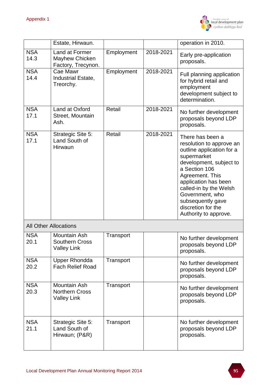

|                    | Estate, Hirwaun.                                            |            |           | operation in 2010.                                                                                                                                                                                                                                                                               |
|--------------------|-------------------------------------------------------------|------------|-----------|--------------------------------------------------------------------------------------------------------------------------------------------------------------------------------------------------------------------------------------------------------------------------------------------------|
| <b>NSA</b><br>14.3 | Land at Former<br>Mayhew Chicken<br>Factory, Trecynon.      | Employment | 2018-2021 | Early pre-application<br>proposals.                                                                                                                                                                                                                                                              |
| <b>NSA</b><br>14.4 | Cae Mawr<br>Industrial Estate,<br>Treorchy.                 | Employment | 2018-2021 | Full planning application<br>for hybrid retail and<br>employment<br>development subject to<br>determination.                                                                                                                                                                                     |
| <b>NSA</b><br>17.1 | Land at Oxford<br>Street, Mountain<br>Ash.                  | Retail     | 2018-2021 | No further development<br>proposals beyond LDP<br>proposals.                                                                                                                                                                                                                                     |
| <b>NSA</b><br>17.1 | Strategic Site 5:<br>Land South of<br>Hirwaun               | Retail     | 2018-2021 | There has been a<br>resolution to approve an<br>outline application for a<br>supermarket<br>development, subject to<br>a Section 106<br>Agreement. This<br>application has been<br>called-in by the Welsh<br>Government, who<br>subsequently gave<br>discretion for the<br>Authority to approve. |
|                    | <b>All Other Allocations</b>                                |            |           |                                                                                                                                                                                                                                                                                                  |
| <b>NSA</b><br>20.1 | Mountain Ash<br><b>Southern Cross</b><br><b>Valley Link</b> | Transport  |           | No further development<br>proposals beyond LDP<br>proposals.                                                                                                                                                                                                                                     |
| <b>NSA</b><br>20.2 | <b>Upper Rhondda</b><br><b>Fach Relief Road</b>             | Transport  |           | No further development<br>proposals beyond LDP<br>proposals.                                                                                                                                                                                                                                     |
| <b>NSA</b><br>20.3 | Mountain Ash<br><b>Northern Cross</b><br><b>Valley Link</b> | Transport  |           | No further development<br>proposals beyond LDP<br>proposals.                                                                                                                                                                                                                                     |
| <b>NSA</b><br>21.1 | Strategic Site 5:<br>Land South of<br>Hirwaun; (P&R)        | Transport  |           | No further development<br>proposals beyond LDP<br>proposals.                                                                                                                                                                                                                                     |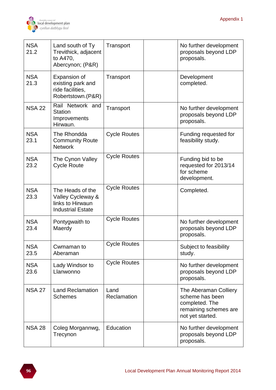

| <b>NSA</b><br>21.2 | Land south of Ty<br>Trevithick, adjacent<br>to A470,<br>Abercynon; (P&R)              | Transport           | No further development<br>proposals beyond LDP<br>proposals.                                            |
|--------------------|---------------------------------------------------------------------------------------|---------------------|---------------------------------------------------------------------------------------------------------|
| <b>NSA</b><br>21.3 | Expansion of<br>existing park and<br>ride facilities,<br>Robertstown.(P&R)            | Transport           | Development<br>completed.                                                                               |
| <b>NSA 22</b>      | Rail Network and<br><b>Station</b><br>Improvements<br>Hirwaun.                        | Transport           | No further development<br>proposals beyond LDP<br>proposals.                                            |
| <b>NSA</b><br>23.1 | The Rhondda<br><b>Community Route</b><br><b>Network</b>                               | <b>Cycle Routes</b> | Funding requested for<br>feasibility study.                                                             |
| <b>NSA</b><br>23.2 | The Cynon Valley<br><b>Cycle Route</b>                                                | <b>Cycle Routes</b> | Funding bid to be<br>requested for 2013/14<br>for scheme<br>development.                                |
| <b>NSA</b><br>23.3 | The Heads of the<br>Valley Cycleway &<br>links to Hirwaun<br><b>Industrial Estate</b> | <b>Cycle Routes</b> | Completed.                                                                                              |
| <b>NSA</b><br>23.4 | Pontygwaith to<br>Maerdy                                                              | <b>Cycle Routes</b> | No further development<br>proposals beyond LDP<br>proposals.                                            |
| <b>NSA</b><br>23.5 | Cwmaman to<br>Aberaman                                                                | <b>Cycle Routes</b> | Subject to feasibility<br>study.                                                                        |
| <b>NSA</b><br>23.6 | Lady Windsor to<br>Llanwonno                                                          | <b>Cycle Routes</b> | No further development<br>proposals beyond LDP<br>proposals.                                            |
| <b>NSA 27</b>      | <b>Land Reclamation</b><br><b>Schemes</b>                                             | Land<br>Reclamation | The Aberaman Colliery<br>scheme has been<br>completed. The<br>remaining schemes are<br>not yet started. |
| <b>NSA 28</b>      | Coleg Morgannwg,<br>Trecynon                                                          | Education           | No further development<br>proposals beyond LDP<br>proposals.                                            |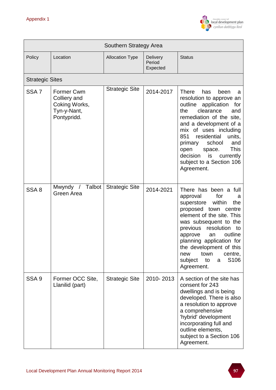

| Southern Strategy Area |                                                                                  |                        |                                |                                                                                                                                                                                                                                                                                                                                                                            |
|------------------------|----------------------------------------------------------------------------------|------------------------|--------------------------------|----------------------------------------------------------------------------------------------------------------------------------------------------------------------------------------------------------------------------------------------------------------------------------------------------------------------------------------------------------------------------|
| Policy                 | Location                                                                         | <b>Allocation Type</b> | Delivery<br>Period<br>Expected | <b>Status</b>                                                                                                                                                                                                                                                                                                                                                              |
| <b>Strategic Sites</b> |                                                                                  |                        |                                |                                                                                                                                                                                                                                                                                                                                                                            |
| SSA <sub>7</sub>       | <b>Former Cwm</b><br>Colliery and<br>Coking Works,<br>Tyn-y-Nant,<br>Pontypridd. | <b>Strategic Site</b>  | 2014-2017                      | <b>There</b><br>has<br>been<br>a<br>resolution to approve an<br>outline application<br>for<br>the<br>clearance<br>and<br>remediation of the site,<br>and a development of a<br>mix of uses including<br>851<br>residential<br>units,<br>school<br>primary<br>and<br><b>This</b><br>open<br>space.<br>decision<br>is<br>currently<br>subject to a Section 106<br>Agreement. |
| SSA <sub>8</sub>       | Talbot<br>Mwyndy /<br>Green Area                                                 | <b>Strategic Site</b>  | 2014-2021                      | There has been a full<br>for<br>approval<br>a<br>superstore within<br>the<br>proposed town centre<br>element of the site. This<br>was subsequent to the<br>previous resolution to<br>outline<br>approve<br>an<br>planning application for<br>the development of this<br>town<br>centre,<br>new<br>S <sub>106</sub><br>subject<br>to<br>a<br>Agreement.                     |
| SSA <sub>9</sub>       | Former OCC Site,<br>Llanilid (part)                                              | <b>Strategic Site</b>  | 2010-2013                      | A section of the site has<br>consent for 243<br>dwellings and is being<br>developed. There is also<br>a resolution to approve<br>a comprehensive<br>'hybrid' development<br>incorporating full and<br>outline elements,<br>subject to a Section 106<br>Agreement.                                                                                                          |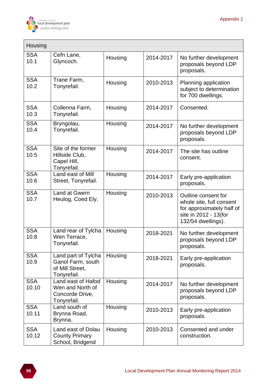

| Housing             |                                                                            |         |           |                                                                                                                             |  |
|---------------------|----------------------------------------------------------------------------|---------|-----------|-----------------------------------------------------------------------------------------------------------------------------|--|
| <b>SSA</b><br>10.1  | Cefn Lane,<br>Glyncoch.                                                    | Housing | 2014-2017 | No further development<br>proposals beyond LDP<br>proposals.                                                                |  |
| <b>SSA</b><br>10.2  | Trane Farm,<br>Tonyrefail.                                                 | Housing | 2010-2013 | Planning application<br>subject to determination<br>for 700 dwellings.                                                      |  |
| <b>SSA</b><br>10.3  | Collenna Farm,<br>Tonyrefail.                                              | Housing | 2014-2017 | Consented.                                                                                                                  |  |
| <b>SSA</b><br>10.4  | Bryngolau,<br>Tonyrefail.                                                  | Housing | 2014-2017 | No further development<br>proposals beyond LDP<br>proposals.                                                                |  |
| <b>SSA</b><br>10.5  | Site of the former<br>Hillside Club,<br>Capel Hill,<br>Tonyrefail.         | Housing | 2014-2017 | The site has outline<br>consent.                                                                                            |  |
| <b>SSA</b><br>10.6  | Land east of Mill<br>Street, Tonyrefail.                                   | Housing | 2014-2017 | Early pre-application<br>proposals.                                                                                         |  |
| <b>SSA</b><br>10.7  | Land at Gwern<br>Heulog, Coed Ely.                                         | Housing | 2010-2013 | Outline consent for<br>whole site, full consent<br>for approximately half of<br>site in 2012 - 13(for<br>132/54 dwellings). |  |
| <b>SSA</b><br>10.8  | Land rear of Tylcha<br>Wen Terrace,<br>Tonyrefail.                         | Housing | 2018-2021 | No further development<br>proposals beyond LDP<br>proposals.                                                                |  |
| <b>SSA</b><br>10.9  | Land part of Tylcha<br>Ganol Farm, south<br>of Mill Street,<br>Tonyrefail. | Housing | 2018-2021 | Early pre-application<br>proposals.                                                                                         |  |
| <b>SSA</b><br>10.10 | Land east of Hafod<br>Wen and North of<br>Concorde Drive,<br>Tonyrefail.   | Housing | 2014-2017 | No further development<br>proposals beyond LDP<br>proposals.                                                                |  |
| <b>SSA</b><br>10.11 | Land south of<br>Brynna Road,<br>Brynna.                                   | Housing | 2010-2013 | Early pre-application<br>proposals.                                                                                         |  |
| <b>SSA</b><br>10.12 | Land east of Dolau<br><b>County Primary</b><br>School, Bridgend            | Housing | 2010-2013 | Consented and under<br>construction.                                                                                        |  |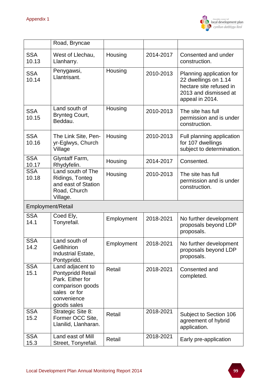

|                     | Road, Bryncae                                                                                                                      |            |           |                                                                                                                         |
|---------------------|------------------------------------------------------------------------------------------------------------------------------------|------------|-----------|-------------------------------------------------------------------------------------------------------------------------|
| <b>SSA</b><br>10.13 | West of Llechau,<br>Llanharry.                                                                                                     | Housing    | 2014-2017 | Consented and under<br>construction.                                                                                    |
| <b>SSA</b><br>10.14 | Penygawsi,<br>Llantrisant.                                                                                                         | Housing    | 2010-2013 | Planning application for<br>22 dwellings on 1.14<br>hectare site refused in<br>2013 and dismissed at<br>appeal in 2014. |
| <b>SSA</b><br>10.15 | Land south of<br><b>Brynteg Court,</b><br>Beddau.                                                                                  | Housing    | 2010-2013 | The site has full<br>permission and is under<br>construction.                                                           |
| <b>SSA</b><br>10.16 | The Link Site, Pen-<br>yr-Eglwys, Church<br>Village                                                                                | Housing    | 2010-2013 | Full planning application<br>for 107 dwellings<br>subject to determination.                                             |
| <b>SSA</b><br>10.17 | Glyntaff Farm,<br>Rhydyfelin.                                                                                                      | Housing    | 2014-2017 | Consented.                                                                                                              |
| <b>SSA</b><br>10.18 | Land south of The<br>Ridings, Tonteg<br>and east of Station<br>Road, Church<br>Village.                                            | Housing    | 2010-2013 | The site has full<br>permission and is under<br>construction.                                                           |
| Employment/Retail   |                                                                                                                                    |            |           |                                                                                                                         |
| <b>SSA</b><br>14.1  | Coed Ely,<br>Tonyrefail.                                                                                                           | Employment | 2018-2021 | No further development<br>proposals beyond LDP<br>proposals.                                                            |
| <b>SSA</b><br>14.2  | Land south of<br>Gellihirion<br>Industrial Estate,<br>Pontypridd.                                                                  | Employment | 2018-2021 | No further development<br>proposals beyond LDP<br>proposals.                                                            |
| <b>SSA</b><br>15.1  | Land adjacent to<br><b>Pontypridd Retail</b><br>Park. Either for<br>comparison goods<br>sales or for<br>convenience<br>goods sales | Retail     | 2018-2021 | Consented and<br>completed.                                                                                             |
| <b>SSA</b><br>15.2  | Strategic Site 8:<br>Former OCC Site,<br>Llanilid, Llanharan.                                                                      | Retail     | 2018-2021 | Subject to Section 106<br>agreement of hybrid<br>application.                                                           |
| <b>SSA</b><br>15.3  | Land east of Mill<br>Street, Tonyrefail.                                                                                           | Retail     | 2018-2021 | Early pre-application                                                                                                   |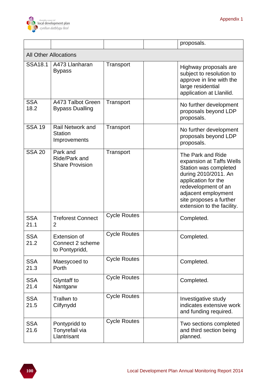

|                              |                                                     |                     |  | proposals.                                                                                                                                                                                                                   |  |
|------------------------------|-----------------------------------------------------|---------------------|--|------------------------------------------------------------------------------------------------------------------------------------------------------------------------------------------------------------------------------|--|
| <b>All Other Allocations</b> |                                                     |                     |  |                                                                                                                                                                                                                              |  |
| <b>SSA18.1</b>               | A473 Llanharan<br><b>Bypass</b>                     | Transport           |  | Highway proposals are<br>subject to resolution to<br>approve in line with the<br>large residential<br>application at Llanilid.                                                                                               |  |
| <b>SSA</b><br>18.2           | A473 Talbot Green<br><b>Bypass Dualling</b>         | Transport           |  | No further development<br>proposals beyond LDP<br>proposals.                                                                                                                                                                 |  |
| <b>SSA 19</b>                | Rail Network and<br><b>Station</b><br>Improvements  | Transport           |  | No further development<br>proposals beyond LDP<br>proposals.                                                                                                                                                                 |  |
| <b>SSA 20</b>                | Park and<br>Ride/Park and<br><b>Share Provision</b> | Transport           |  | The Park and Ride<br>expansion at Taffs Wells<br>Station was completed<br>during 2010/2011. An<br>application for the<br>redevelopment of an<br>adjacent employment<br>site proposes a further<br>extension to the facility. |  |
| <b>SSA</b><br>21.1           | <b>Treforest Connect</b><br>2                       | <b>Cycle Routes</b> |  | Completed.                                                                                                                                                                                                                   |  |
| <b>SSA</b><br>21.2           | Extension of<br>Connect 2 scheme<br>to Pontypridd,  | <b>Cycle Routes</b> |  | Completed.                                                                                                                                                                                                                   |  |
| <b>SSA</b><br>21.3           | Maesycoed to<br>Porth                               | <b>Cycle Routes</b> |  | Completed.                                                                                                                                                                                                                   |  |
| <b>SSA</b><br>21.4           | Glyntaff to<br>Nantgarw                             | <b>Cycle Routes</b> |  | Completed.                                                                                                                                                                                                                   |  |
| <b>SSA</b><br>21.5           | Trallwn to<br>Cilfynydd                             | <b>Cycle Routes</b> |  | Investigative study<br>indicates extensive work<br>and funding required.                                                                                                                                                     |  |
| <b>SSA</b><br>21.6           | Pontypridd to<br>Tonyrefail via<br>Llantrisant      | <b>Cycle Routes</b> |  | Two sections completed<br>and third section being<br>planned.                                                                                                                                                                |  |